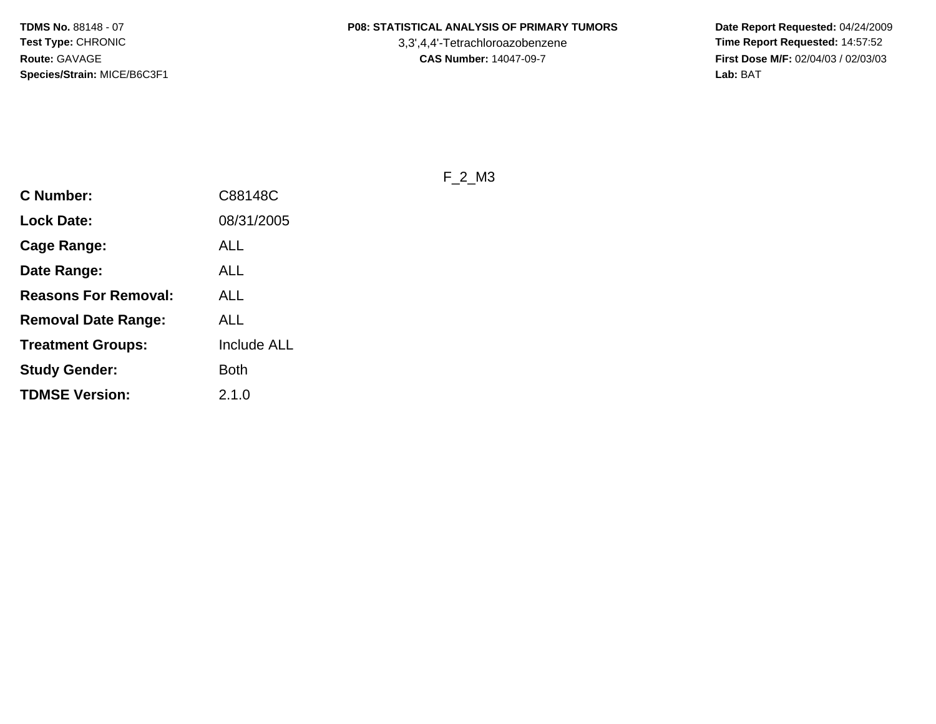3,3',4,4'-Tetrachloroazobenzene

 **Date Report Requested:** 04/24/2009 **Time Report Requested:** 14:57:52 **First Dose M/F:** 02/04/03 / 02/03/03<br>Lab: BAT **Lab:** BAT

F\_2\_M3

| 08/31/2005<br><b>Lock Date:</b>                |
|------------------------------------------------|
|                                                |
| ALL<br>Cage Range:                             |
| ALL<br>Date Range:                             |
| Reasons For Removal:<br>ALL                    |
| ALL<br><b>Removal Date Range:</b>              |
| <b>Treatment Groups:</b><br><b>Include ALL</b> |
| <b>Study Gender:</b><br>Both                   |
| <b>TDMSE Version:</b><br>2.1.0                 |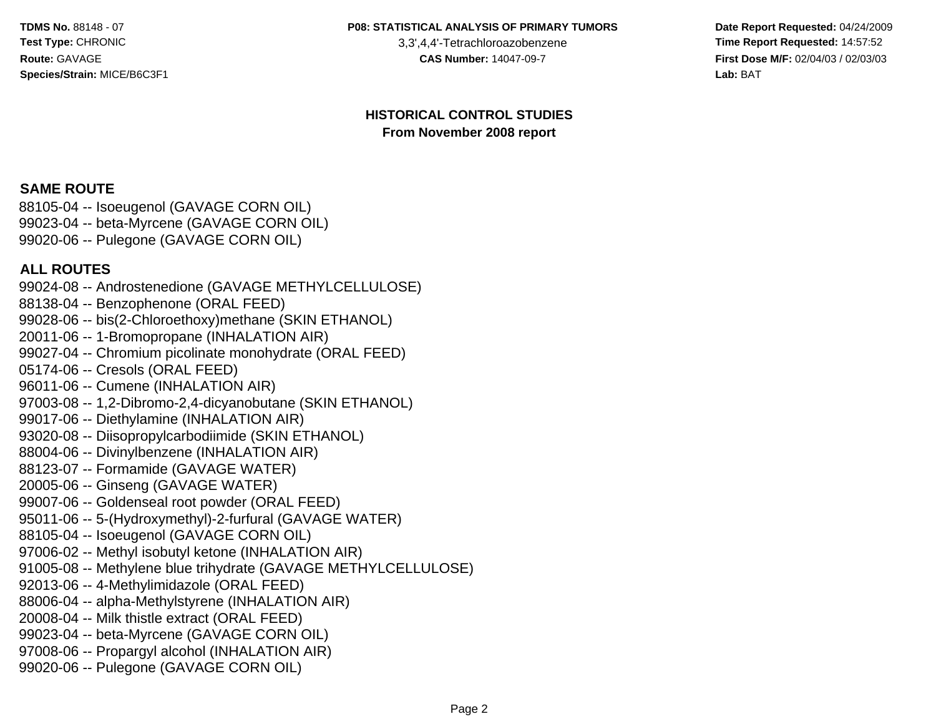#### **P08: STATISTICAL ANALYSIS OF PRIMARY TUMORS**

3,3',4,4'-Tetrachloroazobenzene

 **Date Report Requested:** 04/24/2009 **Time Report Requested:** 14:57:52 **First Dose M/F:** 02/04/03 / 02/03/03<br>Lab: BAT **Lab:** BAT

#### **HISTORICAL CONTROL STUDIESFrom November 2008 report**

#### **SAME ROUTE**

 88105-04 -- Isoeugenol (GAVAGE CORN OIL) 99023-04 -- beta-Myrcene (GAVAGE CORN OIL)99020-06 -- Pulegone (GAVAGE CORN OIL)

#### **ALL ROUTES**

 99024-08 -- Androstenedione (GAVAGE METHYLCELLULOSE)88138-04 -- Benzophenone (ORAL FEED) 99028-06 -- bis(2-Chloroethoxy)methane (SKIN ETHANOL)20011-06 -- 1-Bromopropane (INHALATION AIR) 99027-04 -- Chromium picolinate monohydrate (ORAL FEED)05174-06 -- Cresols (ORAL FEED) 96011-06 -- Cumene (INHALATION AIR) 97003-08 -- 1,2-Dibromo-2,4-dicyanobutane (SKIN ETHANOL)99017-06 -- Diethylamine (INHALATION AIR) 93020-08 -- Diisopropylcarbodiimide (SKIN ETHANOL)88004-06 -- Divinylbenzene (INHALATION AIR)88123-07 -- Formamide (GAVAGE WATER)20005-06 -- Ginseng (GAVAGE WATER) 99007-06 -- Goldenseal root powder (ORAL FEED) 95011-06 -- 5-(Hydroxymethyl)-2-furfural (GAVAGE WATER)88105-04 -- Isoeugenol (GAVAGE CORN OIL) 97006-02 -- Methyl isobutyl ketone (INHALATION AIR) 91005-08 -- Methylene blue trihydrate (GAVAGE METHYLCELLULOSE)92013-06 -- 4-Methylimidazole (ORAL FEED) 88006-04 -- alpha-Methylstyrene (INHALATION AIR)20008-04 -- Milk thistle extract (ORAL FEED) 99023-04 -- beta-Myrcene (GAVAGE CORN OIL) 97008-06 -- Propargyl alcohol (INHALATION AIR)99020-06 -- Pulegone (GAVAGE CORN OIL)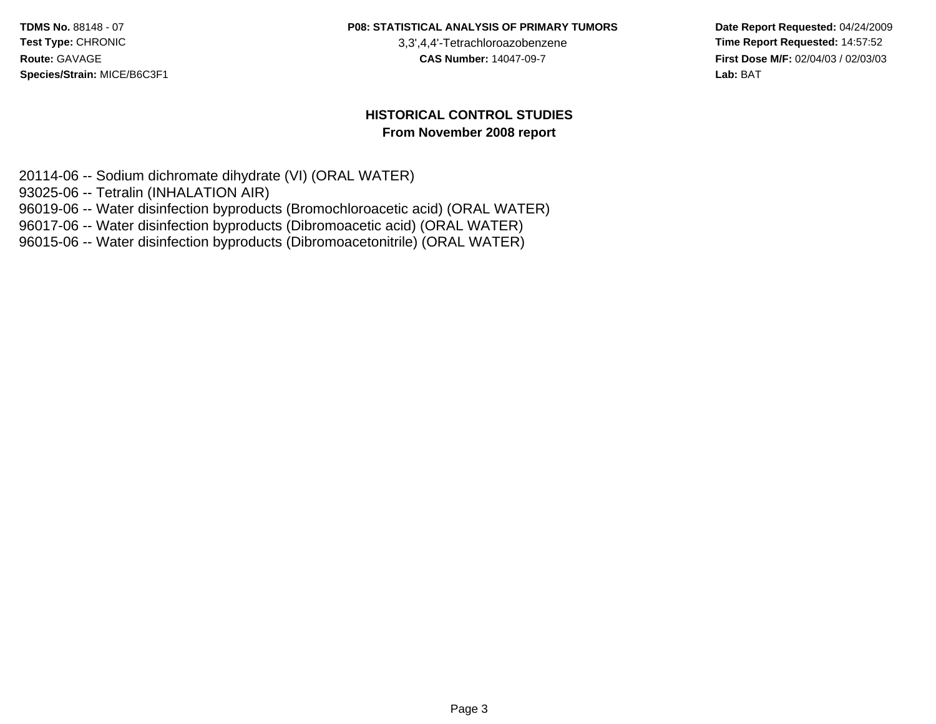**P08: STATISTICAL ANALYSIS OF PRIMARY TUMORS**

3,3',4,4'-Tetrachloroazobenzene

 **Date Report Requested:** 04/24/2009 **Time Report Requested:** 14:57:52 **First Dose M/F:** 02/04/03 / 02/03/03<br>Lab: BAT **Lab:** BAT

#### **HISTORICAL CONTROL STUDIESFrom November 2008 report**

20114-06 -- Sodium dichromate dihydrate (VI) (ORAL WATER)

93025-06 -- Tetralin (INHALATION AIR)

96019-06 -- Water disinfection byproducts (Bromochloroacetic acid) (ORAL WATER)

96017-06 -- Water disinfection byproducts (Dibromoacetic acid) (ORAL WATER)

96015-06 -- Water disinfection byproducts (Dibromoacetonitrile) (ORAL WATER)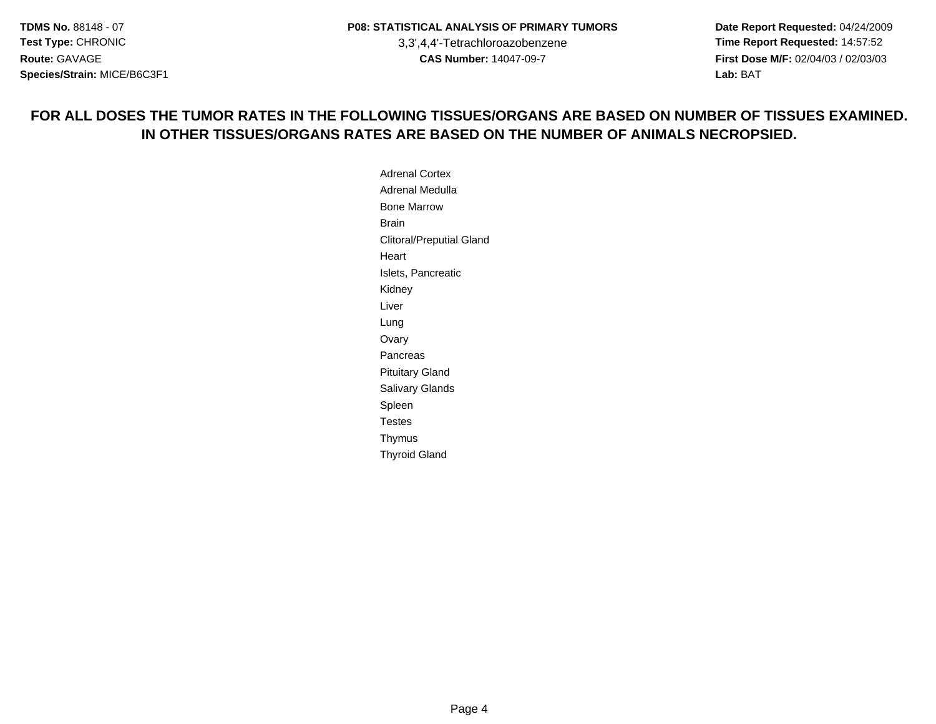**Date Report Requested:** 04/24/2009 **Time Report Requested:** 14:57:52 **First Dose M/F:** 02/04/03 / 02/03/03<br>**Lab:** BAT **Lab:** BAT

#### **FOR ALL DOSES THE TUMOR RATES IN THE FOLLOWING TISSUES/ORGANS ARE BASED ON NUMBER OF TISSUES EXAMINED.IN OTHER TISSUES/ORGANS RATES ARE BASED ON THE NUMBER OF ANIMALS NECROPSIED.**

Adrenal Cortex Adrenal MedullaBone MarrowBrain Clitoral/Preputial Gland**Heart** Islets, PancreaticKidneyLiverLungOvary**Pancreas** Pituitary Gland Salivary GlandsSpleen TestesThymusThyroid Gland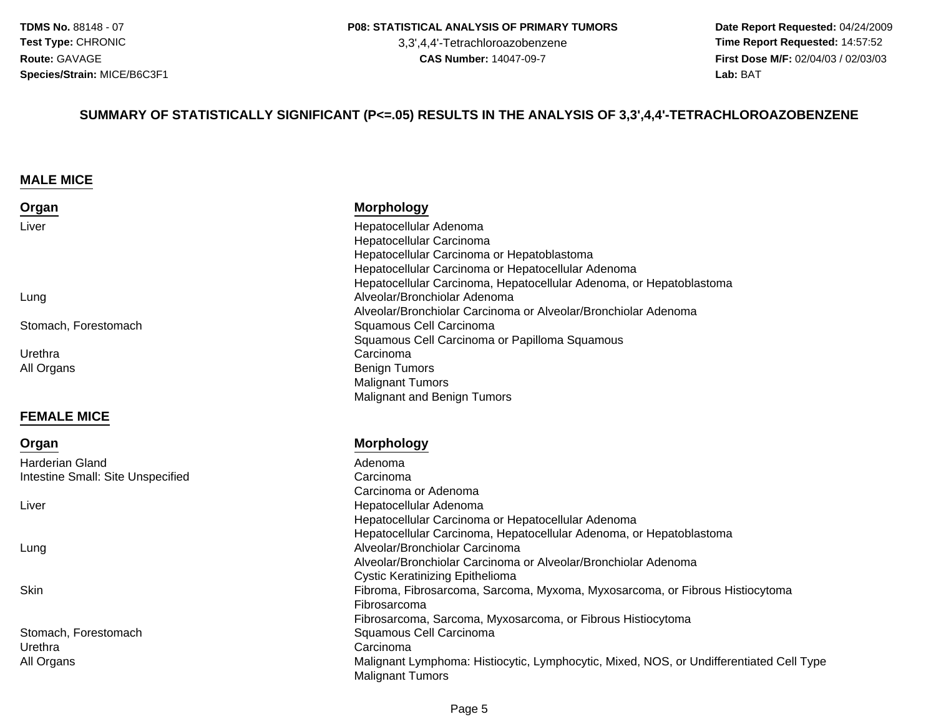3,3',4,4'-Tetrachloroazobenzene

 **Date Report Requested:** 04/24/2009 **Time Report Requested:** 14:57:52 **First Dose M/F:** 02/04/03 / 02/03/03<br>Lab: BAT **Lab:** BAT

#### **SUMMARY OF STATISTICALLY SIGNIFICANT (P<=.05) RESULTS IN THE ANALYSIS OF 3,3',4,4'-TETRACHLOROAZOBENZENE**

#### **MALE MICE**

**FEMALE MICE**

Harderian Gland

Intestine Small: Site Unspecified

**Organ**

Liver

Lung

| Organ                | <b>Morphology</b>                                                   |
|----------------------|---------------------------------------------------------------------|
| Liver                | Hepatocellular Adenoma                                              |
|                      | Hepatocellular Carcinoma                                            |
|                      | Hepatocellular Carcinoma or Hepatoblastoma                          |
|                      | Hepatocellular Carcinoma or Hepatocellular Adenoma                  |
|                      | Hepatocellular Carcinoma, Hepatocellular Adenoma, or Hepatoblastoma |
| Lung                 | Alveolar/Bronchiolar Adenoma                                        |
|                      | Alveolar/Bronchiolar Carcinoma or Alveolar/Bronchiolar Adenoma      |
| Stomach, Forestomach | Squamous Cell Carcinoma                                             |
|                      | Squamous Cell Carcinoma or Papilloma Squamous                       |
| Urethra              | Carcinoma                                                           |
| All Organs           | <b>Benign Tumors</b>                                                |
|                      | <b>Malignant Tumors</b>                                             |
|                      | Malignant and Benign Tumors                                         |

#### **Morphology**

 Adenoma Carcinoma Carcinoma or Adenoma Hepatocellular Adenoma Hepatocellular Carcinoma or Hepatocellular Adenoma Hepatocellular Carcinoma, Hepatocellular Adenoma, or Hepatoblastoma Alveolar/Bronchiolar Carcinoma Alveolar/Bronchiolar Carcinoma or Alveolar/Bronchiolar AdenomaCystic Keratinizing Epithelioma Fibroma, Fibrosarcoma, Sarcoma, Myxoma, Myxosarcoma, or Fibrous Histiocytoma Fibrosarcoma Fibrosarcoma, Sarcoma, Myxosarcoma, or Fibrous Histiocytoma Squamous Cell Carcinoma Malignant Lymphoma: Histiocytic, Lymphocytic, Mixed, NOS, or Undifferentiated Cell TypeMalignant Tumors

Stomach, ForestomachUrethraa Carcinoma e Carcinoma e Carcinoma e Carcinoma e Carcinoma e Carcinoma e Carcinoma e Carcinoma e C All Organs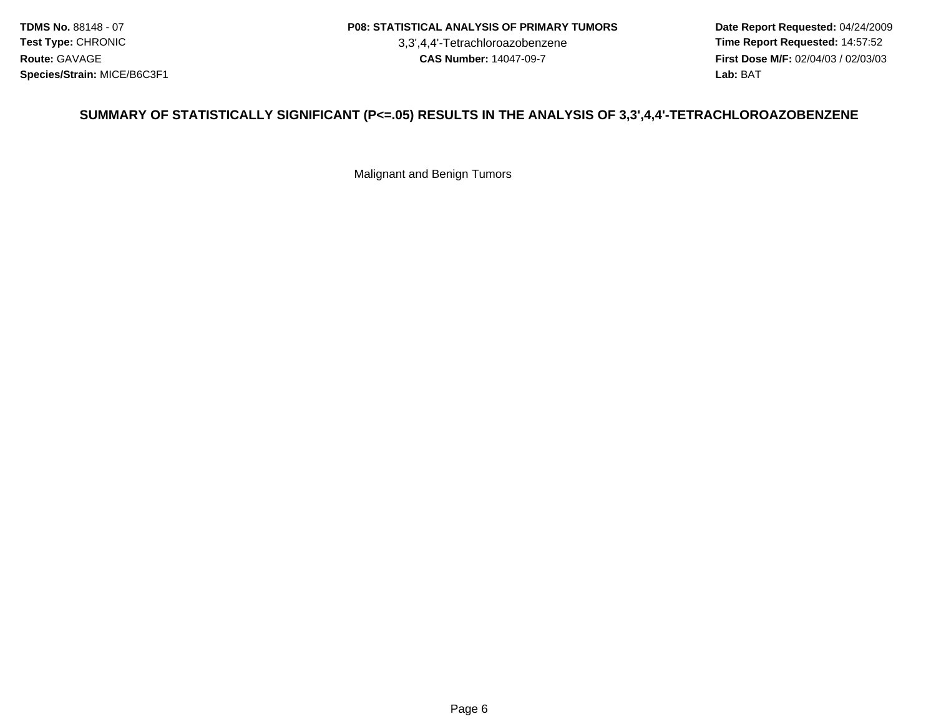#### **P08: STATISTICAL ANALYSIS OF PRIMARY TUMORS**

3,3',4,4'-Tetrachloroazobenzene

 **Date Report Requested:** 04/24/2009 **Time Report Requested:** 14:57:52 **First Dose M/F:** 02/04/03 / 02/03/03<br>Lab: BAT **Lab:** BAT

#### **SUMMARY OF STATISTICALLY SIGNIFICANT (P<=.05) RESULTS IN THE ANALYSIS OF 3,3',4,4'-TETRACHLOROAZOBENZENE**

Malignant and Benign Tumors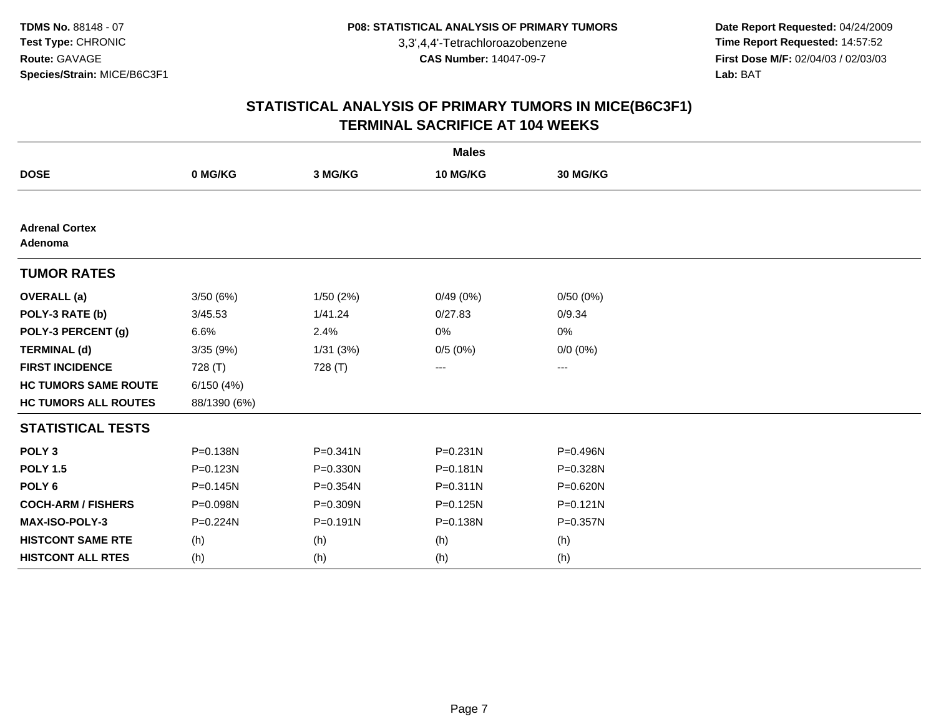**Date Report Requested:** 04/24/2009 **Time Report Requested:** 14:57:52 **First Dose M/F:** 02/04/03 / 02/03/03<br>Lab: BAT **Lab:** BAT

| <b>Males</b>                     |              |              |              |              |  |  |
|----------------------------------|--------------|--------------|--------------|--------------|--|--|
| <b>DOSE</b>                      | 0 MG/KG      | 3 MG/KG      | 10 MG/KG     | 30 MG/KG     |  |  |
|                                  |              |              |              |              |  |  |
| <b>Adrenal Cortex</b><br>Adenoma |              |              |              |              |  |  |
| <b>TUMOR RATES</b>               |              |              |              |              |  |  |
| <b>OVERALL</b> (a)               | 3/50(6%)     | 1/50(2%)     | 0/49(0%)     | 0/50(0%)     |  |  |
| POLY-3 RATE (b)                  | 3/45.53      | 1/41.24      | 0/27.83      | 0/9.34       |  |  |
| POLY-3 PERCENT (g)               | 6.6%         | 2.4%         | 0%           | 0%           |  |  |
| <b>TERMINAL (d)</b>              | 3/35(9%)     | 1/31(3%)     | 0/5(0%)      | $0/0 (0\%)$  |  |  |
| <b>FIRST INCIDENCE</b>           | 728 (T)      | 728 (T)      | ---          | ---          |  |  |
| <b>HC TUMORS SAME ROUTE</b>      | 6/150(4%)    |              |              |              |  |  |
| <b>HC TUMORS ALL ROUTES</b>      | 88/1390 (6%) |              |              |              |  |  |
| <b>STATISTICAL TESTS</b>         |              |              |              |              |  |  |
| POLY <sub>3</sub>                | P=0.138N     | $P = 0.341N$ | $P = 0.231N$ | P=0.496N     |  |  |
| <b>POLY 1.5</b>                  | P=0.123N     | P=0.330N     | $P = 0.181N$ | P=0.328N     |  |  |
| POLY <sub>6</sub>                | $P = 0.145N$ | P=0.354N     | $P = 0.311N$ | P=0.620N     |  |  |
| <b>COCH-ARM / FISHERS</b>        | P=0.098N     | P=0.309N     | P=0.125N     | $P = 0.121N$ |  |  |
| MAX-ISO-POLY-3                   | $P = 0.224N$ | $P = 0.191N$ | P=0.138N     | P=0.357N     |  |  |
| <b>HISTCONT SAME RTE</b>         | (h)          | (h)          | (h)          | (h)          |  |  |
| <b>HISTCONT ALL RTES</b>         | (h)          | (h)          | (h)          | (h)          |  |  |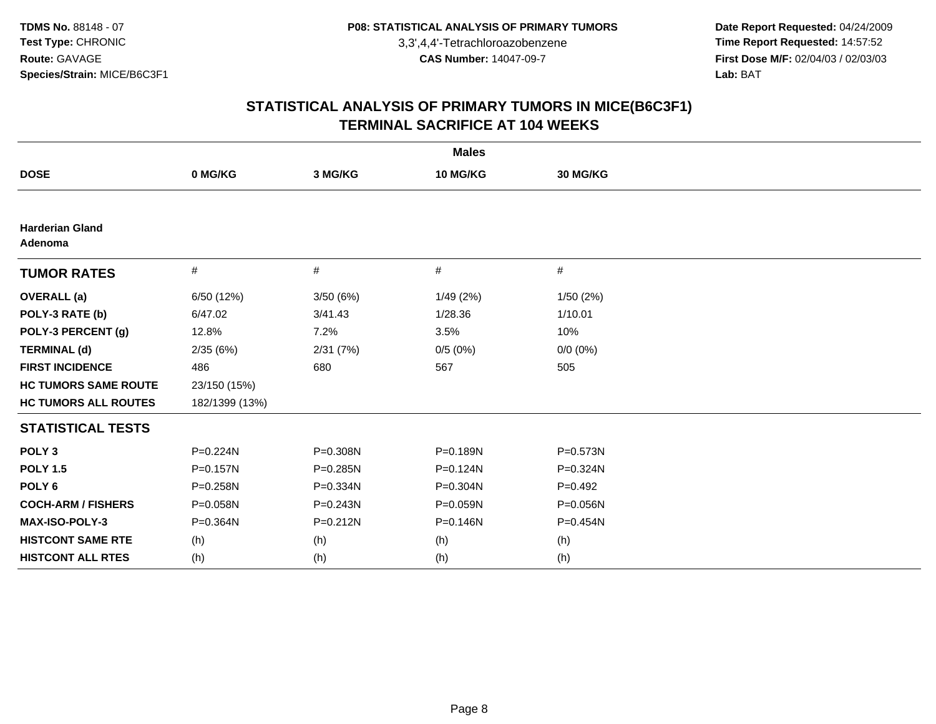**Date Report Requested:** 04/24/2009 **Time Report Requested:** 14:57:52 **First Dose M/F:** 02/04/03 / 02/03/03<br>Lab: BAT **Lab:** BAT

| <b>Males</b>                      |                |              |              |             |  |  |
|-----------------------------------|----------------|--------------|--------------|-------------|--|--|
| <b>DOSE</b>                       | 0 MG/KG        | 3 MG/KG      | 10 MG/KG     | 30 MG/KG    |  |  |
|                                   |                |              |              |             |  |  |
| <b>Harderian Gland</b><br>Adenoma |                |              |              |             |  |  |
| <b>TUMOR RATES</b>                | $\#$           | #            | #            | $\#$        |  |  |
| <b>OVERALL</b> (a)                | 6/50 (12%)     | 3/50(6%)     | 1/49(2%)     | 1/50 (2%)   |  |  |
| POLY-3 RATE (b)                   | 6/47.02        | 3/41.43      | 1/28.36      | 1/10.01     |  |  |
| POLY-3 PERCENT (g)                | 12.8%          | 7.2%         | 3.5%         | 10%         |  |  |
| <b>TERMINAL (d)</b>               | 2/35(6%)       | 2/31(7%)     | 0/5(0%)      | $0/0 (0\%)$ |  |  |
| <b>FIRST INCIDENCE</b>            | 486            | 680          | 567          | 505         |  |  |
| <b>HC TUMORS SAME ROUTE</b>       | 23/150 (15%)   |              |              |             |  |  |
| <b>HC TUMORS ALL ROUTES</b>       | 182/1399 (13%) |              |              |             |  |  |
| <b>STATISTICAL TESTS</b>          |                |              |              |             |  |  |
| POLY <sub>3</sub>                 | P=0.224N       | P=0.308N     | P=0.189N     | P=0.573N    |  |  |
| <b>POLY 1.5</b>                   | P=0.157N       | $P = 0.285N$ | $P = 0.124N$ | P=0.324N    |  |  |
| POLY <sub>6</sub>                 | P=0.258N       | P=0.334N     | P=0.304N     | $P=0.492$   |  |  |
| <b>COCH-ARM / FISHERS</b>         | P=0.058N       | $P = 0.243N$ | P=0.059N     | P=0.056N    |  |  |
| <b>MAX-ISO-POLY-3</b>             | P=0.364N       | $P = 0.212N$ | $P = 0.146N$ | P=0.454N    |  |  |
| <b>HISTCONT SAME RTE</b>          | (h)            | (h)          | (h)          | (h)         |  |  |
| <b>HISTCONT ALL RTES</b>          | (h)            | (h)          | (h)          | (h)         |  |  |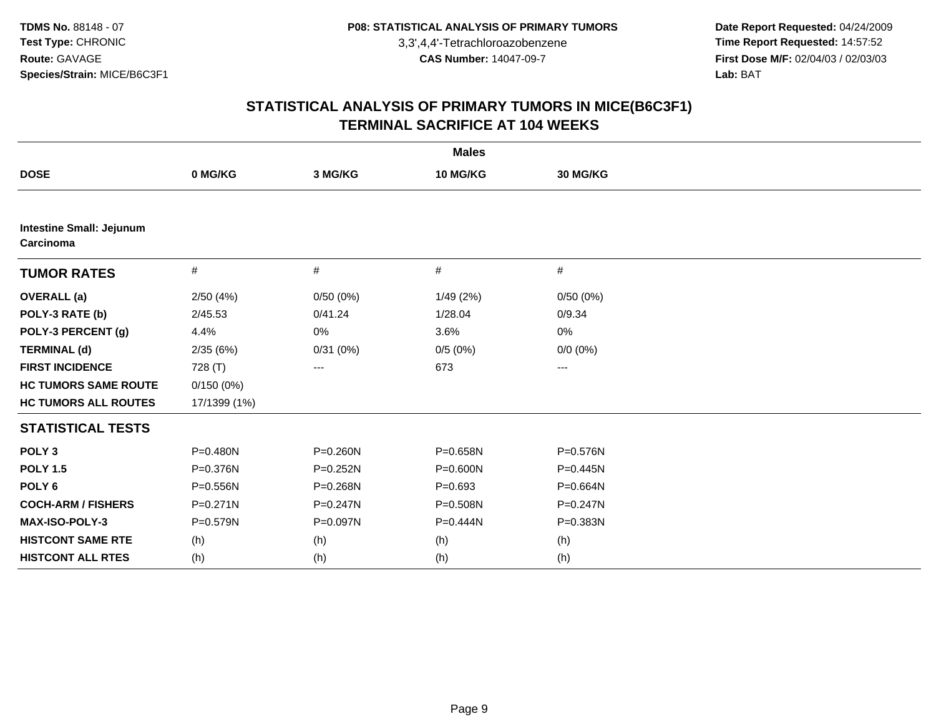**Date Report Requested:** 04/24/2009 **Time Report Requested:** 14:57:52 **First Dose M/F:** 02/04/03 / 02/03/03<br>Lab: BAT **Lab:** BAT

| <b>Males</b>                                 |              |                   |              |                   |  |  |
|----------------------------------------------|--------------|-------------------|--------------|-------------------|--|--|
| <b>DOSE</b>                                  | 0 MG/KG      | 3 MG/KG           | 10 MG/KG     | 30 MG/KG          |  |  |
|                                              |              |                   |              |                   |  |  |
| <b>Intestine Small: Jejunum</b><br>Carcinoma |              |                   |              |                   |  |  |
| <b>TUMOR RATES</b>                           | #            | #                 | #            | $\#$              |  |  |
| <b>OVERALL</b> (a)                           | 2/50(4%)     | 0/50(0%)          | 1/49(2%)     | 0/50(0%)          |  |  |
| POLY-3 RATE (b)                              | 2/45.53      | 0/41.24           | 1/28.04      | 0/9.34            |  |  |
| POLY-3 PERCENT (g)                           | 4.4%         | 0%                | 3.6%         | 0%                |  |  |
| <b>TERMINAL (d)</b>                          | 2/35(6%)     | 0/31(0%)          | 0/5(0%)      | $0/0 (0\%)$       |  |  |
| <b>FIRST INCIDENCE</b>                       | 728 (T)      | $\qquad \qquad -$ | 673          | $\qquad \qquad -$ |  |  |
| <b>HC TUMORS SAME ROUTE</b>                  | 0/150(0%)    |                   |              |                   |  |  |
| <b>HC TUMORS ALL ROUTES</b>                  | 17/1399 (1%) |                   |              |                   |  |  |
| <b>STATISTICAL TESTS</b>                     |              |                   |              |                   |  |  |
| POLY <sub>3</sub>                            | $P = 0.480N$ | P=0.260N          | P=0.658N     | P=0.576N          |  |  |
| <b>POLY 1.5</b>                              | P=0.376N     | P=0.252N          | $P = 0.600N$ | $P = 0.445N$      |  |  |
| POLY <sub>6</sub>                            | $P = 0.556N$ | P=0.268N          | $P = 0.693$  | P=0.664N          |  |  |
| <b>COCH-ARM / FISHERS</b>                    | $P = 0.271N$ | $P = 0.247N$      | P=0.508N     | $P = 0.247N$      |  |  |
| <b>MAX-ISO-POLY-3</b>                        | $P = 0.579N$ | P=0.097N          | P=0.444N     | P=0.383N          |  |  |
| <b>HISTCONT SAME RTE</b>                     | (h)          | (h)               | (h)          | (h)               |  |  |
| <b>HISTCONT ALL RTES</b>                     | (h)          | (h)               | (h)          | (h)               |  |  |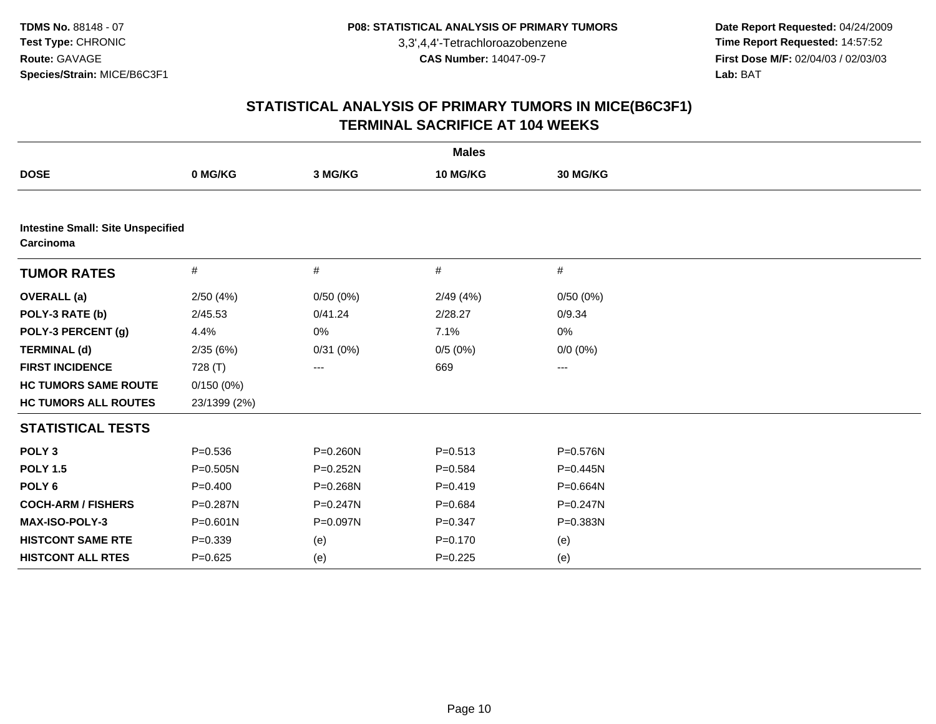**Date Report Requested:** 04/24/2009 **Time Report Requested:** 14:57:52 **First Dose M/F:** 02/04/03 / 02/03/03<br>Lab: BAT **Lab:** BAT

| <b>Males</b>                                          |              |              |             |              |  |  |
|-------------------------------------------------------|--------------|--------------|-------------|--------------|--|--|
| <b>DOSE</b>                                           | 0 MG/KG      | 3 MG/KG      | 10 MG/KG    | 30 MG/KG     |  |  |
|                                                       |              |              |             |              |  |  |
| <b>Intestine Small: Site Unspecified</b><br>Carcinoma |              |              |             |              |  |  |
| <b>TUMOR RATES</b>                                    | #            | #            | #           | #            |  |  |
| <b>OVERALL</b> (a)                                    | 2/50(4%)     | 0/50(0%)     | 2/49(4%)    | 0/50(0%)     |  |  |
| POLY-3 RATE (b)                                       | 2/45.53      | 0/41.24      | 2/28.27     | 0/9.34       |  |  |
| POLY-3 PERCENT (g)                                    | 4.4%         | 0%           | 7.1%        | 0%           |  |  |
| <b>TERMINAL (d)</b>                                   | 2/35(6%)     | 0/31(0%)     | 0/5(0%)     | $0/0 (0\%)$  |  |  |
| <b>FIRST INCIDENCE</b>                                | 728 (T)      | ---          | 669         | ---          |  |  |
| <b>HC TUMORS SAME ROUTE</b>                           | 0/150(0%)    |              |             |              |  |  |
| <b>HC TUMORS ALL ROUTES</b>                           | 23/1399 (2%) |              |             |              |  |  |
| <b>STATISTICAL TESTS</b>                              |              |              |             |              |  |  |
| POLY <sub>3</sub>                                     | $P = 0.536$  | P=0.260N     | $P = 0.513$ | P=0.576N     |  |  |
| <b>POLY 1.5</b>                                       | P=0.505N     | $P = 0.252N$ | $P = 0.584$ | $P = 0.445N$ |  |  |
| POLY <sub>6</sub>                                     | $P=0.400$    | P=0.268N     | $P=0.419$   | P=0.664N     |  |  |
| <b>COCH-ARM / FISHERS</b>                             | P=0.287N     | $P = 0.247N$ | $P = 0.684$ | $P = 0.247N$ |  |  |
| MAX-ISO-POLY-3                                        | P=0.601N     | P=0.097N     | $P = 0.347$ | P=0.383N     |  |  |
| <b>HISTCONT SAME RTE</b>                              | $P = 0.339$  | (e)          | $P = 0.170$ | (e)          |  |  |
| <b>HISTCONT ALL RTES</b>                              | $P = 0.625$  | (e)          | $P=0.225$   | (e)          |  |  |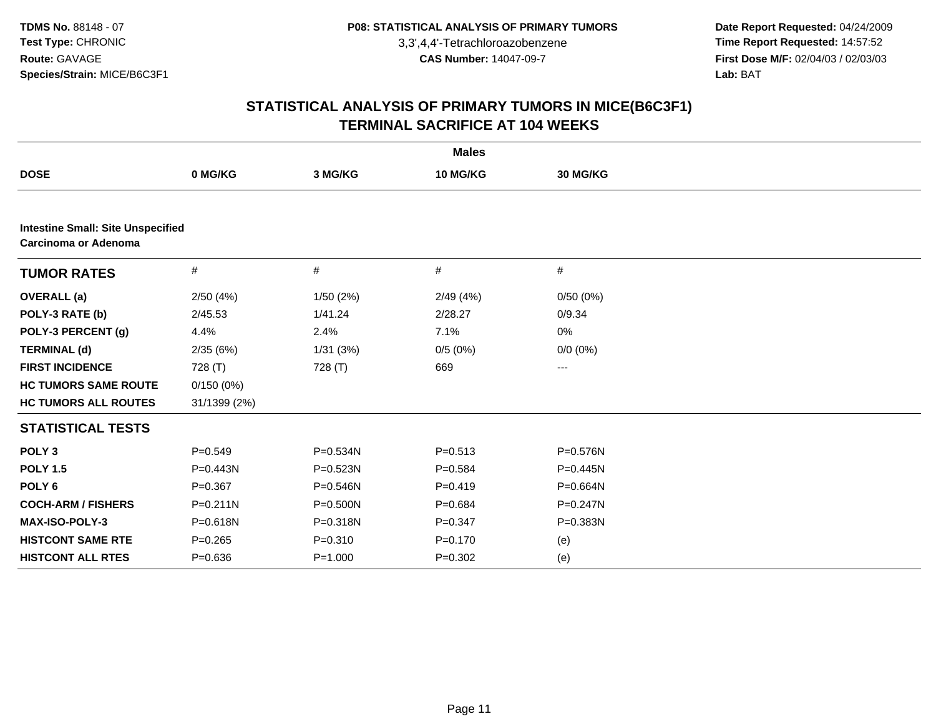**Date Report Requested:** 04/24/2009 **Time Report Requested:** 14:57:52 **First Dose M/F:** 02/04/03 / 02/03/03<br>Lab: BAT **Lab:** BAT

| <b>Males</b>                                                     |              |             |             |             |  |  |
|------------------------------------------------------------------|--------------|-------------|-------------|-------------|--|--|
| <b>DOSE</b>                                                      | 0 MG/KG      | 3 MG/KG     | 10 MG/KG    | 30 MG/KG    |  |  |
|                                                                  |              |             |             |             |  |  |
| <b>Intestine Small: Site Unspecified</b><br>Carcinoma or Adenoma |              |             |             |             |  |  |
| <b>TUMOR RATES</b>                                               | $\#$         | #           | #           | #           |  |  |
| <b>OVERALL</b> (a)                                               | 2/50(4%)     | 1/50(2%)    | 2/49(4%)    | 0/50(0%)    |  |  |
| POLY-3 RATE (b)                                                  | 2/45.53      | 1/41.24     | 2/28.27     | 0/9.34      |  |  |
| POLY-3 PERCENT (g)                                               | 4.4%         | 2.4%        | 7.1%        | 0%          |  |  |
| <b>TERMINAL (d)</b>                                              | 2/35(6%)     | 1/31(3%)    | 0/5(0%)     | $0/0 (0\%)$ |  |  |
| <b>FIRST INCIDENCE</b>                                           | 728 (T)      | 728 (T)     | 669         | ---         |  |  |
| <b>HC TUMORS SAME ROUTE</b>                                      | 0/150(0%)    |             |             |             |  |  |
| <b>HC TUMORS ALL ROUTES</b>                                      | 31/1399 (2%) |             |             |             |  |  |
| <b>STATISTICAL TESTS</b>                                         |              |             |             |             |  |  |
| POLY <sub>3</sub>                                                | $P = 0.549$  | P=0.534N    | $P = 0.513$ | P=0.576N    |  |  |
| <b>POLY 1.5</b>                                                  | $P = 0.443N$ | P=0.523N    | $P = 0.584$ | P=0.445N    |  |  |
| POLY <sub>6</sub>                                                | $P=0.367$    | P=0.546N    | $P=0.419$   | P=0.664N    |  |  |
| <b>COCH-ARM / FISHERS</b>                                        | $P = 0.211N$ | P=0.500N    | $P = 0.684$ | P=0.247N    |  |  |
| MAX-ISO-POLY-3                                                   | P=0.618N     | P=0.318N    | $P = 0.347$ | P=0.383N    |  |  |
| <b>HISTCONT SAME RTE</b>                                         | $P = 0.265$  | $P = 0.310$ | $P = 0.170$ | (e)         |  |  |
| <b>HISTCONT ALL RTES</b>                                         | $P = 0.636$  | $P = 1.000$ | $P = 0.302$ | (e)         |  |  |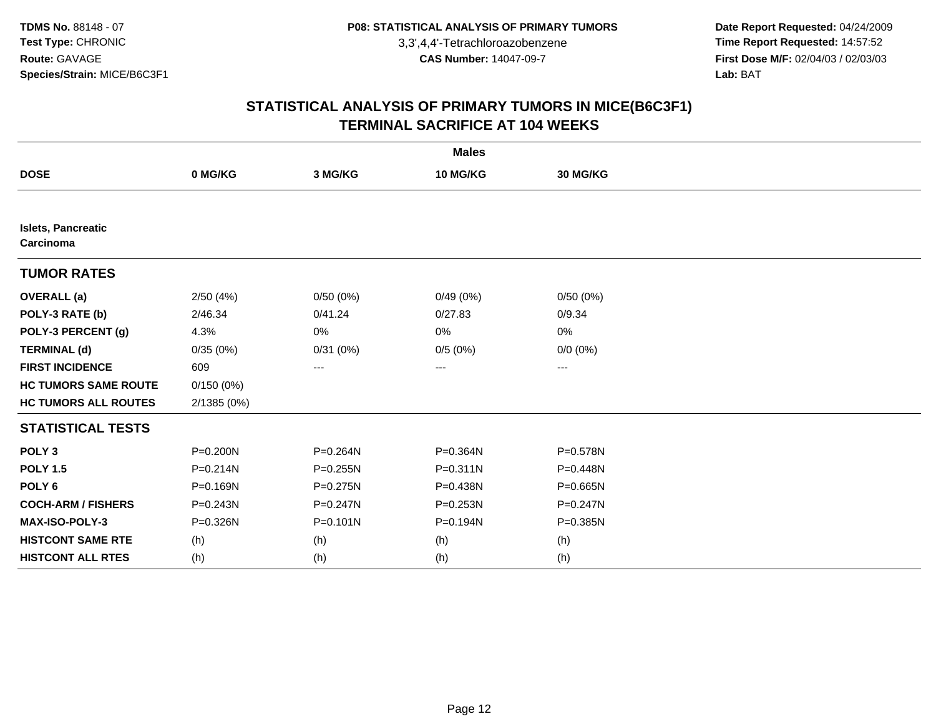**Date Report Requested:** 04/24/2009 **Time Report Requested:** 14:57:52 **First Dose M/F:** 02/04/03 / 02/03/03<br>Lab: BAT **Lab:** BAT

| <b>Males</b>                           |              |              |              |              |  |  |
|----------------------------------------|--------------|--------------|--------------|--------------|--|--|
| <b>DOSE</b>                            | 0 MG/KG      | 3 MG/KG      | 10 MG/KG     | 30 MG/KG     |  |  |
|                                        |              |              |              |              |  |  |
| <b>Islets, Pancreatic</b><br>Carcinoma |              |              |              |              |  |  |
| <b>TUMOR RATES</b>                     |              |              |              |              |  |  |
| <b>OVERALL</b> (a)                     | 2/50(4%)     | 0/50(0%)     | 0/49(0%)     | 0/50(0%)     |  |  |
| POLY-3 RATE (b)                        | 2/46.34      | 0/41.24      | 0/27.83      | 0/9.34       |  |  |
| POLY-3 PERCENT (g)                     | 4.3%         | 0%           | 0%           | 0%           |  |  |
| <b>TERMINAL (d)</b>                    | 0/35(0%)     | 0/31(0%)     | 0/5(0%)      | $0/0 (0\%)$  |  |  |
| <b>FIRST INCIDENCE</b>                 | 609          | ---          | $--$         | ---          |  |  |
| <b>HC TUMORS SAME ROUTE</b>            | 0/150(0%)    |              |              |              |  |  |
| <b>HC TUMORS ALL ROUTES</b>            | 2/1385 (0%)  |              |              |              |  |  |
| <b>STATISTICAL TESTS</b>               |              |              |              |              |  |  |
| POLY <sub>3</sub>                      | P=0.200N     | P=0.264N     | P=0.364N     | P=0.578N     |  |  |
| <b>POLY 1.5</b>                        | P=0.214N     | $P = 0.255N$ | $P = 0.311N$ | P=0.448N     |  |  |
| POLY <sub>6</sub>                      | P=0.169N     | P=0.275N     | P=0.438N     | $P = 0.665N$ |  |  |
| <b>COCH-ARM / FISHERS</b>              | $P = 0.243N$ | $P = 0.247N$ | P=0.253N     | $P = 0.247N$ |  |  |
| MAX-ISO-POLY-3                         | P=0.326N     | $P = 0.101N$ | P=0.194N     | P=0.385N     |  |  |
| <b>HISTCONT SAME RTE</b>               | (h)          | (h)          | (h)          | (h)          |  |  |
| <b>HISTCONT ALL RTES</b>               | (h)          | (h)          | (h)          | (h)          |  |  |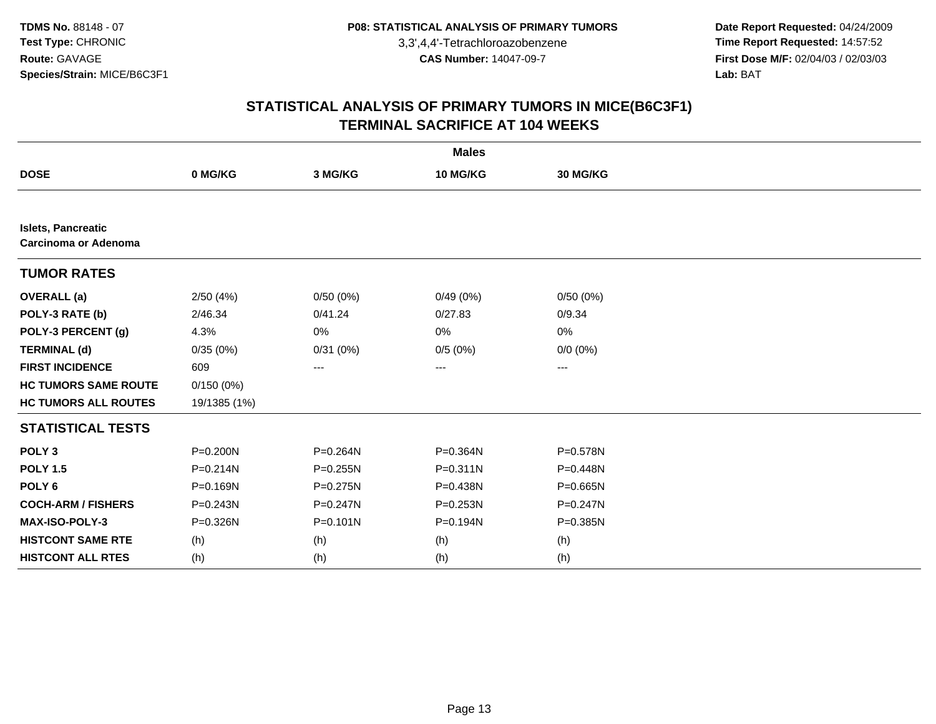**Date Report Requested:** 04/24/2009 **Time Report Requested:** 14:57:52 **First Dose M/F:** 02/04/03 / 02/03/03<br>Lab: BAT **Lab:** BAT

| <b>Males</b>                                             |              |              |              |              |  |  |
|----------------------------------------------------------|--------------|--------------|--------------|--------------|--|--|
| <b>DOSE</b>                                              | 0 MG/KG      | 3 MG/KG      | 10 MG/KG     | 30 MG/KG     |  |  |
|                                                          |              |              |              |              |  |  |
| <b>Islets, Pancreatic</b><br><b>Carcinoma or Adenoma</b> |              |              |              |              |  |  |
| <b>TUMOR RATES</b>                                       |              |              |              |              |  |  |
| <b>OVERALL</b> (a)                                       | 2/50(4%)     | 0/50(0%)     | 0/49(0%)     | 0/50(0%)     |  |  |
| POLY-3 RATE (b)                                          | 2/46.34      | 0/41.24      | 0/27.83      | 0/9.34       |  |  |
| POLY-3 PERCENT (g)                                       | 4.3%         | 0%           | 0%           | 0%           |  |  |
| <b>TERMINAL (d)</b>                                      | 0/35(0%)     | 0/31(0%)     | 0/5(0%)      | $0/0 (0\%)$  |  |  |
| <b>FIRST INCIDENCE</b>                                   | 609          | ---          | ---          | ---          |  |  |
| <b>HC TUMORS SAME ROUTE</b>                              | 0/150(0%)    |              |              |              |  |  |
| <b>HC TUMORS ALL ROUTES</b>                              | 19/1385 (1%) |              |              |              |  |  |
| <b>STATISTICAL TESTS</b>                                 |              |              |              |              |  |  |
| POLY <sub>3</sub>                                        | P=0.200N     | P=0.264N     | $P = 0.364N$ | P=0.578N     |  |  |
| <b>POLY 1.5</b>                                          | $P = 0.214N$ | $P = 0.255N$ | $P = 0.311N$ | P=0.448N     |  |  |
| POLY <sub>6</sub>                                        | P=0.169N     | $P = 0.275N$ | P=0.438N     | $P = 0.665N$ |  |  |
| <b>COCH-ARM / FISHERS</b>                                | P=0.243N     | $P = 0.247N$ | P=0.253N     | P=0.247N     |  |  |
| <b>MAX-ISO-POLY-3</b>                                    | P=0.326N     | $P = 0.101N$ | P=0.194N     | P=0.385N     |  |  |
| <b>HISTCONT SAME RTE</b>                                 | (h)          | (h)          | (h)          | (h)          |  |  |
| <b>HISTCONT ALL RTES</b>                                 | (h)          | (h)          | (h)          | (h)          |  |  |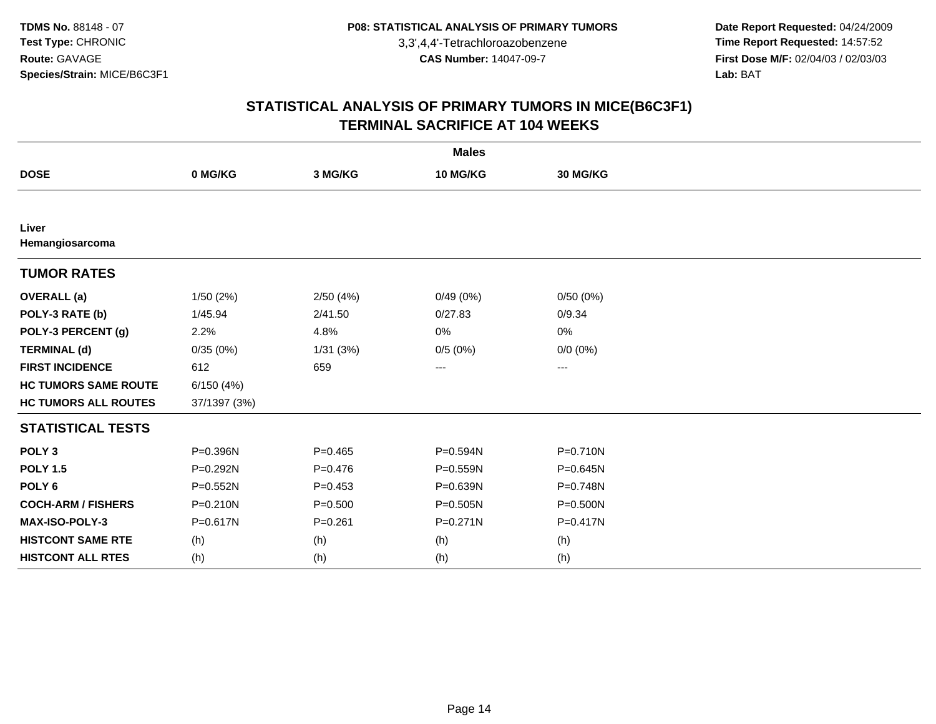**Date Report Requested:** 04/24/2009 **Time Report Requested:** 14:57:52 **First Dose M/F:** 02/04/03 / 02/03/03<br>Lab: BAT **Lab:** BAT

| <b>Males</b>                |              |             |              |              |  |  |
|-----------------------------|--------------|-------------|--------------|--------------|--|--|
| <b>DOSE</b>                 | 0 MG/KG      | 3 MG/KG     | 10 MG/KG     | 30 MG/KG     |  |  |
|                             |              |             |              |              |  |  |
| Liver<br>Hemangiosarcoma    |              |             |              |              |  |  |
| <b>TUMOR RATES</b>          |              |             |              |              |  |  |
| <b>OVERALL (a)</b>          | 1/50(2%)     | 2/50(4%)    | 0/49(0%)     | 0/50(0%)     |  |  |
| POLY-3 RATE (b)             | 1/45.94      | 2/41.50     | 0/27.83      | 0/9.34       |  |  |
| POLY-3 PERCENT (g)          | 2.2%         | 4.8%        | 0%           | 0%           |  |  |
| <b>TERMINAL (d)</b>         | 0/35(0%)     | 1/31(3%)    | 0/5(0%)      | $0/0 (0\%)$  |  |  |
| <b>FIRST INCIDENCE</b>      | 612          | 659         | $---$        | ---          |  |  |
| <b>HC TUMORS SAME ROUTE</b> | 6/150(4%)    |             |              |              |  |  |
| <b>HC TUMORS ALL ROUTES</b> | 37/1397 (3%) |             |              |              |  |  |
| <b>STATISTICAL TESTS</b>    |              |             |              |              |  |  |
| POLY <sub>3</sub>           | P=0.396N     | $P = 0.465$ | P=0.594N     | P=0.710N     |  |  |
| <b>POLY 1.5</b>             | P=0.292N     | $P=0.476$   | $P = 0.559N$ | $P = 0.645N$ |  |  |
| POLY <sub>6</sub>           | $P = 0.552N$ | $P=0.453$   | P=0.639N     | P=0.748N     |  |  |
| <b>COCH-ARM / FISHERS</b>   | $P = 0.210N$ | $P = 0.500$ | P=0.505N     | P=0.500N     |  |  |
| <b>MAX-ISO-POLY-3</b>       | P=0.617N     | $P = 0.261$ | $P = 0.271N$ | P=0.417N     |  |  |
| <b>HISTCONT SAME RTE</b>    | (h)          | (h)         | (h)          | (h)          |  |  |
| <b>HISTCONT ALL RTES</b>    | (h)          | (h)         | (h)          | (h)          |  |  |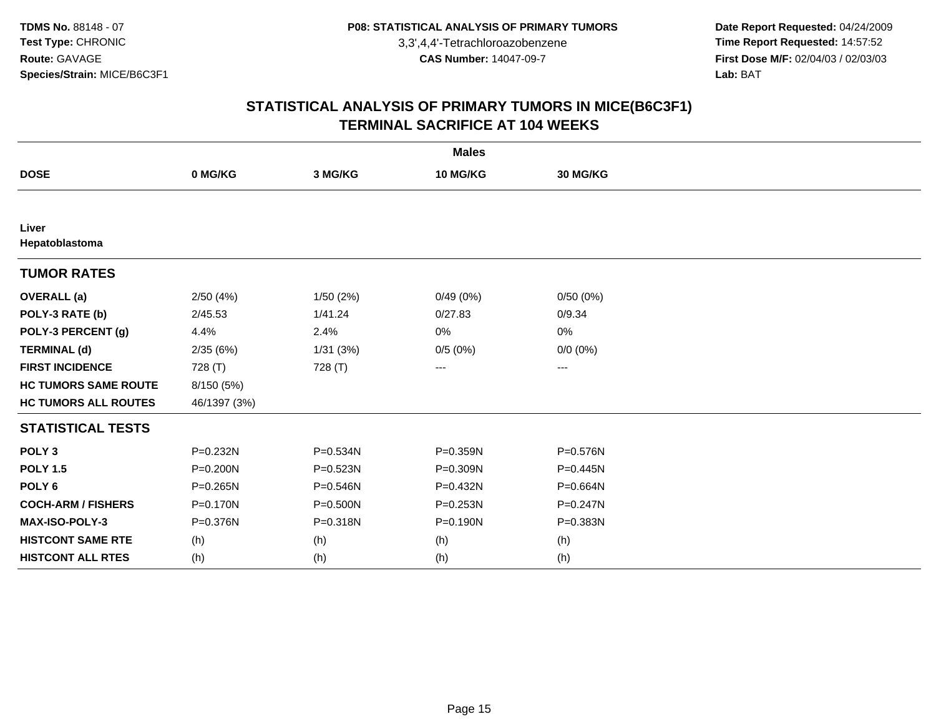**Date Report Requested:** 04/24/2009 **Time Report Requested:** 14:57:52 **First Dose M/F:** 02/04/03 / 02/03/03<br>Lab: BAT **Lab:** BAT

| <b>Males</b>                |              |              |              |              |  |  |
|-----------------------------|--------------|--------------|--------------|--------------|--|--|
| <b>DOSE</b>                 | 0 MG/KG      | 3 MG/KG      | 10 MG/KG     | 30 MG/KG     |  |  |
|                             |              |              |              |              |  |  |
| Liver<br>Hepatoblastoma     |              |              |              |              |  |  |
| <b>TUMOR RATES</b>          |              |              |              |              |  |  |
| <b>OVERALL (a)</b>          | 2/50(4%)     | 1/50(2%)     | 0/49(0%)     | 0/50(0%)     |  |  |
| POLY-3 RATE (b)             | 2/45.53      | 1/41.24      | 0/27.83      | 0/9.34       |  |  |
| POLY-3 PERCENT (g)          | 4.4%         | 2.4%         | 0%           | 0%           |  |  |
| <b>TERMINAL (d)</b>         | 2/35(6%)     | 1/31(3%)     | 0/5(0%)      | $0/0 (0\%)$  |  |  |
| <b>FIRST INCIDENCE</b>      | 728 (T)      | 728 (T)      | $---$        | ---          |  |  |
| <b>HC TUMORS SAME ROUTE</b> | 8/150 (5%)   |              |              |              |  |  |
| <b>HC TUMORS ALL ROUTES</b> | 46/1397 (3%) |              |              |              |  |  |
| <b>STATISTICAL TESTS</b>    |              |              |              |              |  |  |
| POLY <sub>3</sub>           | P=0.232N     | P=0.534N     | P=0.359N     | P=0.576N     |  |  |
| <b>POLY 1.5</b>             | $P = 0.200N$ | $P = 0.523N$ | P=0.309N     | $P=0.445N$   |  |  |
| POLY <sub>6</sub>           | $P = 0.265N$ | $P = 0.546N$ | P=0.432N     | P=0.664N     |  |  |
| <b>COCH-ARM / FISHERS</b>   | P=0.170N     | P=0.500N     | P=0.253N     | $P = 0.247N$ |  |  |
| <b>MAX-ISO-POLY-3</b>       | P=0.376N     | P=0.318N     | $P = 0.190N$ | P=0.383N     |  |  |
| <b>HISTCONT SAME RTE</b>    | (h)          | (h)          | (h)          | (h)          |  |  |
| <b>HISTCONT ALL RTES</b>    | (h)          | (h)          | (h)          | (h)          |  |  |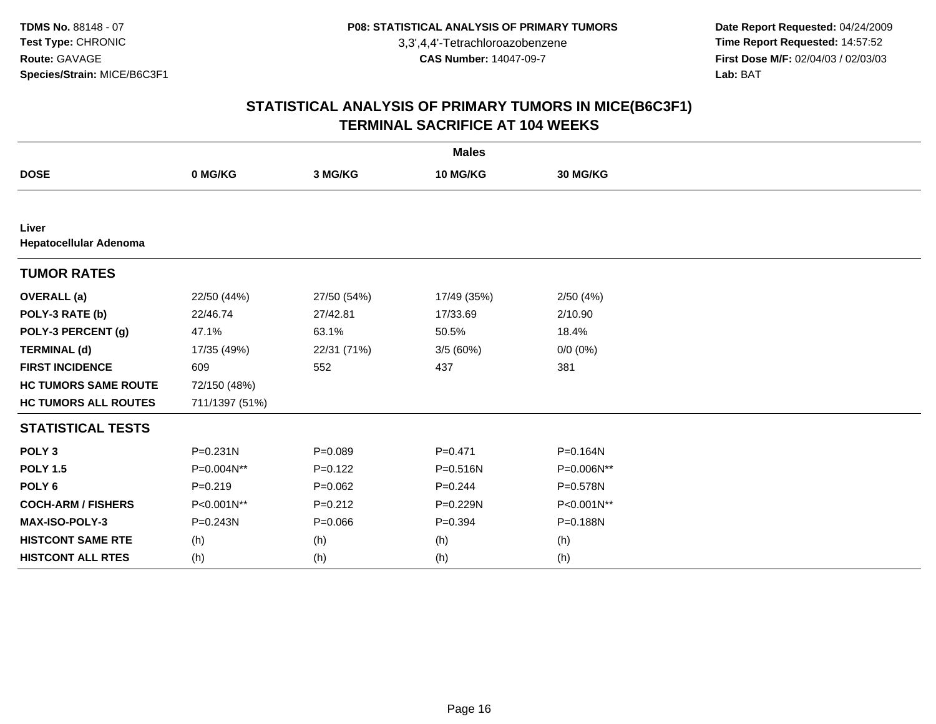**Date Report Requested:** 04/24/2009 **Time Report Requested:** 14:57:52 **First Dose M/F:** 02/04/03 / 02/03/03<br>Lab: BAT **Lab:** BAT

| <b>Males</b>                    |                |             |              |             |  |  |
|---------------------------------|----------------|-------------|--------------|-------------|--|--|
| <b>DOSE</b>                     | 0 MG/KG        | 3 MG/KG     | 10 MG/KG     | 30 MG/KG    |  |  |
|                                 |                |             |              |             |  |  |
| Liver<br>Hepatocellular Adenoma |                |             |              |             |  |  |
| <b>TUMOR RATES</b>              |                |             |              |             |  |  |
| <b>OVERALL</b> (a)              | 22/50 (44%)    | 27/50 (54%) | 17/49 (35%)  | 2/50(4%)    |  |  |
| POLY-3 RATE (b)                 | 22/46.74       | 27/42.81    | 17/33.69     | 2/10.90     |  |  |
| POLY-3 PERCENT (g)              | 47.1%          | 63.1%       | 50.5%        | 18.4%       |  |  |
| <b>TERMINAL (d)</b>             | 17/35 (49%)    | 22/31 (71%) | 3/5(60%)     | $0/0 (0\%)$ |  |  |
| <b>FIRST INCIDENCE</b>          | 609            | 552         | 437          | 381         |  |  |
| <b>HC TUMORS SAME ROUTE</b>     | 72/150 (48%)   |             |              |             |  |  |
| <b>HC TUMORS ALL ROUTES</b>     | 711/1397 (51%) |             |              |             |  |  |
| <b>STATISTICAL TESTS</b>        |                |             |              |             |  |  |
| POLY <sub>3</sub>               | $P = 0.231N$   | $P = 0.089$ | $P = 0.471$  | P=0.164N    |  |  |
| <b>POLY 1.5</b>                 | P=0.004N**     | $P=0.122$   | $P = 0.516N$ | P=0.006N**  |  |  |
| POLY <sub>6</sub>               | $P = 0.219$    | $P=0.062$   | $P=0.244$    | P=0.578N    |  |  |
| <b>COCH-ARM / FISHERS</b>       | P<0.001N**     | $P = 0.212$ | P=0.229N     | P<0.001N**  |  |  |
| <b>MAX-ISO-POLY-3</b>           | $P = 0.243N$   | $P = 0.066$ | $P=0.394$    | P=0.188N    |  |  |
| <b>HISTCONT SAME RTE</b>        | (h)            | (h)         | (h)          | (h)         |  |  |
| <b>HISTCONT ALL RTES</b>        | (h)            | (h)         | (h)          | (h)         |  |  |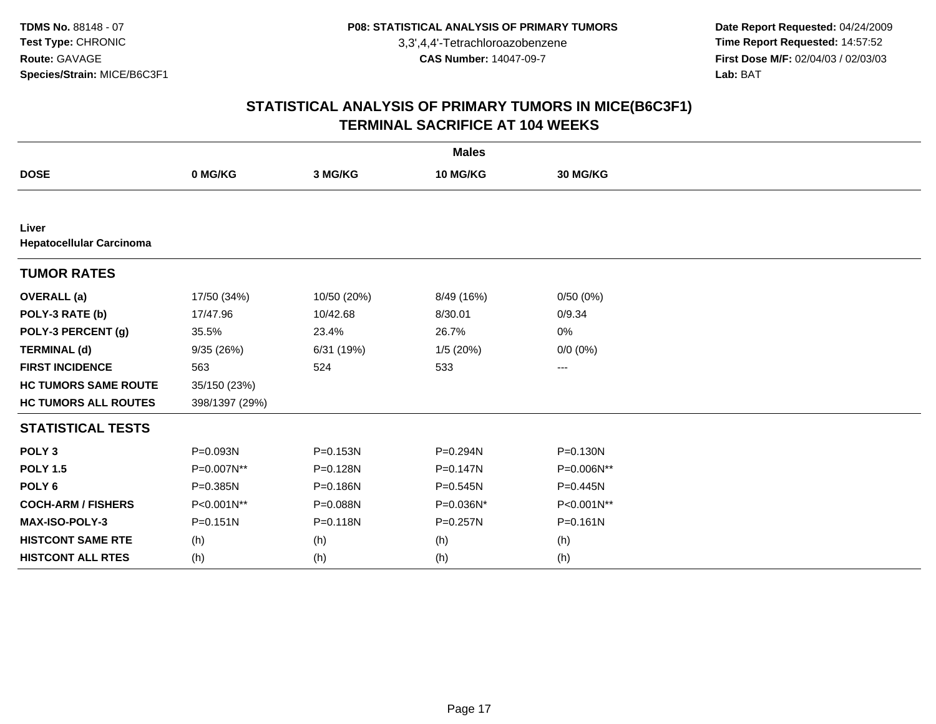**Date Report Requested:** 04/24/2009 **Time Report Requested:** 14:57:52 **First Dose M/F:** 02/04/03 / 02/03/03<br>Lab: BAT **Lab:** BAT

| <b>Males</b>                    |                |              |              |              |  |  |  |
|---------------------------------|----------------|--------------|--------------|--------------|--|--|--|
| <b>DOSE</b>                     | 0 MG/KG        | 3 MG/KG      | 10 MG/KG     | 30 MG/KG     |  |  |  |
|                                 |                |              |              |              |  |  |  |
| Liver                           |                |              |              |              |  |  |  |
| <b>Hepatocellular Carcinoma</b> |                |              |              |              |  |  |  |
| <b>TUMOR RATES</b>              |                |              |              |              |  |  |  |
| <b>OVERALL</b> (a)              | 17/50 (34%)    | 10/50 (20%)  | 8/49 (16%)   | 0/50(0%)     |  |  |  |
| POLY-3 RATE (b)                 | 17/47.96       | 10/42.68     | 8/30.01      | 0/9.34       |  |  |  |
| POLY-3 PERCENT (g)              | 35.5%          | 23.4%        | 26.7%        | 0%           |  |  |  |
| <b>TERMINAL (d)</b>             | 9/35(26%)      | 6/31 (19%)   | 1/5(20%)     | $0/0 (0\%)$  |  |  |  |
| <b>FIRST INCIDENCE</b>          | 563            | 524          | 533          | ---          |  |  |  |
| <b>HC TUMORS SAME ROUTE</b>     | 35/150 (23%)   |              |              |              |  |  |  |
| <b>HC TUMORS ALL ROUTES</b>     | 398/1397 (29%) |              |              |              |  |  |  |
| <b>STATISTICAL TESTS</b>        |                |              |              |              |  |  |  |
| POLY <sub>3</sub>               | P=0.093N       | P=0.153N     | P=0.294N     | $P = 0.130N$ |  |  |  |
| <b>POLY 1.5</b>                 | P=0.007N**     | P=0.128N     | $P = 0.147N$ | P=0.006N**   |  |  |  |
| POLY <sub>6</sub>               | P=0.385N       | P=0.186N     | $P = 0.545N$ | P=0.445N     |  |  |  |
| <b>COCH-ARM / FISHERS</b>       | P<0.001N**     | P=0.088N     | P=0.036N*    | P<0.001N**   |  |  |  |
| <b>MAX-ISO-POLY-3</b>           | $P = 0.151N$   | $P = 0.118N$ | P=0.257N     | $P = 0.161N$ |  |  |  |
| <b>HISTCONT SAME RTE</b>        | (h)            | (h)          | (h)          | (h)          |  |  |  |
| <b>HISTCONT ALL RTES</b>        | (h)            | (h)          | (h)          | (h)          |  |  |  |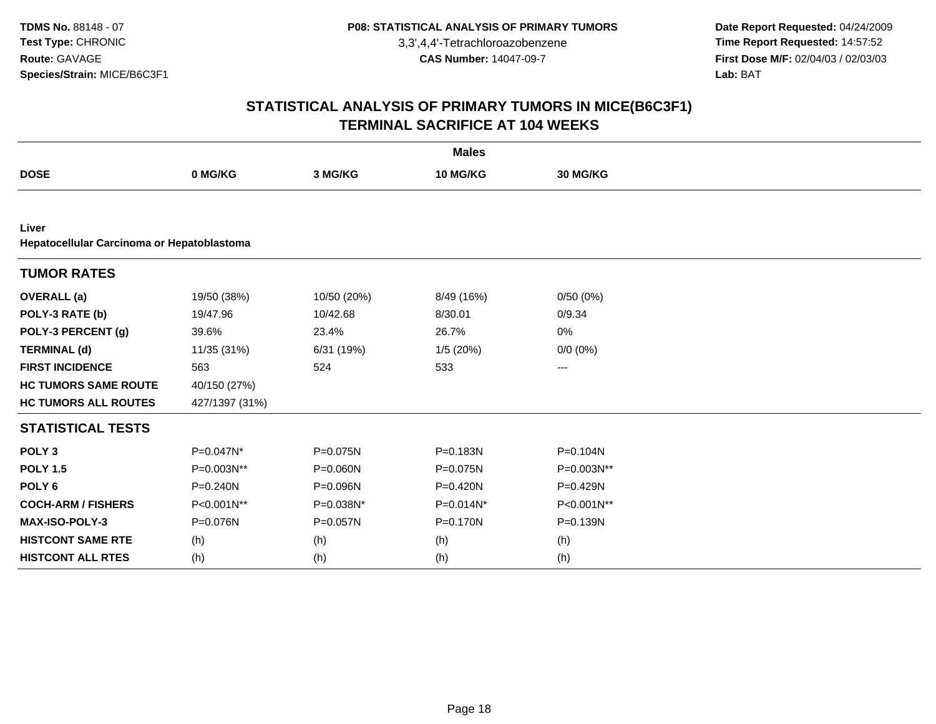**Date Report Requested:** 04/24/2009 **Time Report Requested:** 14:57:52 **First Dose M/F:** 02/04/03 / 02/03/03<br>Lab: BAT **Lab:** BAT

|                                                     | <b>Males</b>   |              |              |             |  |  |  |  |
|-----------------------------------------------------|----------------|--------------|--------------|-------------|--|--|--|--|
| <b>DOSE</b>                                         | 0 MG/KG        | 3 MG/KG      | 10 MG/KG     | 30 MG/KG    |  |  |  |  |
|                                                     |                |              |              |             |  |  |  |  |
| Liver<br>Hepatocellular Carcinoma or Hepatoblastoma |                |              |              |             |  |  |  |  |
| <b>TUMOR RATES</b>                                  |                |              |              |             |  |  |  |  |
| <b>OVERALL</b> (a)                                  | 19/50 (38%)    | 10/50 (20%)  | 8/49 (16%)   | 0/50(0%)    |  |  |  |  |
| POLY-3 RATE (b)                                     | 19/47.96       | 10/42.68     | 8/30.01      | 0/9.34      |  |  |  |  |
| POLY-3 PERCENT (g)                                  | 39.6%          | 23.4%        | 26.7%        | 0%          |  |  |  |  |
| <b>TERMINAL (d)</b>                                 | 11/35 (31%)    | 6/31 (19%)   | 1/5(20%)     | $0/0 (0\%)$ |  |  |  |  |
| <b>FIRST INCIDENCE</b>                              | 563            | 524          | 533          | ---         |  |  |  |  |
| <b>HC TUMORS SAME ROUTE</b>                         | 40/150 (27%)   |              |              |             |  |  |  |  |
| <b>HC TUMORS ALL ROUTES</b>                         | 427/1397 (31%) |              |              |             |  |  |  |  |
| <b>STATISTICAL TESTS</b>                            |                |              |              |             |  |  |  |  |
| POLY <sub>3</sub>                                   | $P=0.047N^*$   | P=0.075N     | $P = 0.183N$ | P=0.104N    |  |  |  |  |
| <b>POLY 1.5</b>                                     | P=0.003N**     | $P = 0.060N$ | P=0.075N     | P=0.003N**  |  |  |  |  |
| POLY <sub>6</sub>                                   | P=0.240N       | P=0.096N     | $P = 0.420N$ | P=0.429N    |  |  |  |  |
| <b>COCH-ARM / FISHERS</b>                           | P<0.001N**     | P=0.038N*    | P=0.014N*    | P<0.001N**  |  |  |  |  |
| MAX-ISO-POLY-3                                      | P=0.076N       | P=0.057N     | $P = 0.170N$ | P=0.139N    |  |  |  |  |
| <b>HISTCONT SAME RTE</b>                            | (h)            | (h)          | (h)          | (h)         |  |  |  |  |
| <b>HISTCONT ALL RTES</b>                            | (h)            | (h)          | (h)          | (h)         |  |  |  |  |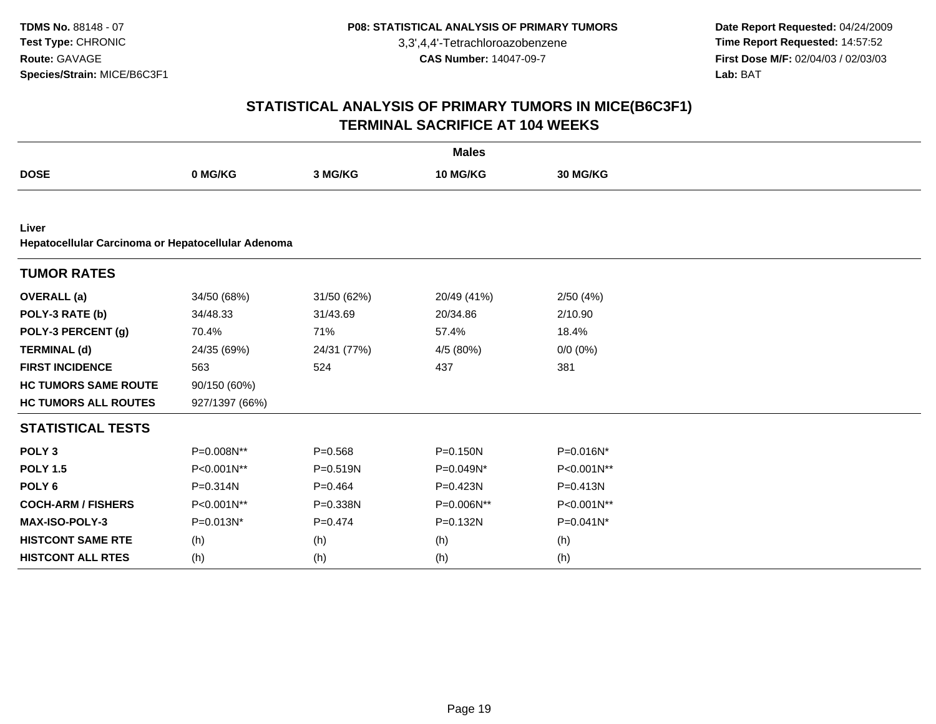**Date Report Requested:** 04/24/2009 **Time Report Requested:** 14:57:52 **First Dose M/F:** 02/04/03 / 02/03/03<br>Lab: BAT **Lab:** BAT

|                                                             |                |              | <b>Males</b> |             |  |
|-------------------------------------------------------------|----------------|--------------|--------------|-------------|--|
| <b>DOSE</b>                                                 | 0 MG/KG        | 3 MG/KG      | 10 MG/KG     | 30 MG/KG    |  |
|                                                             |                |              |              |             |  |
| Liver<br>Hepatocellular Carcinoma or Hepatocellular Adenoma |                |              |              |             |  |
| <b>TUMOR RATES</b>                                          |                |              |              |             |  |
| <b>OVERALL</b> (a)                                          | 34/50 (68%)    | 31/50 (62%)  | 20/49 (41%)  | 2/50(4%)    |  |
| POLY-3 RATE (b)                                             | 34/48.33       | 31/43.69     | 20/34.86     | 2/10.90     |  |
| POLY-3 PERCENT (g)                                          | 70.4%          | 71%          | 57.4%        | 18.4%       |  |
| <b>TERMINAL (d)</b>                                         | 24/35 (69%)    | 24/31 (77%)  | 4/5 (80%)    | $0/0 (0\%)$ |  |
| <b>FIRST INCIDENCE</b>                                      | 563            | 524          | 437          | 381         |  |
| <b>HC TUMORS SAME ROUTE</b>                                 | 90/150 (60%)   |              |              |             |  |
| <b>HC TUMORS ALL ROUTES</b>                                 | 927/1397 (66%) |              |              |             |  |
| <b>STATISTICAL TESTS</b>                                    |                |              |              |             |  |
| POLY <sub>3</sub>                                           | P=0.008N**     | $P = 0.568$  | $P = 0.150N$ | P=0.016N*   |  |
| <b>POLY 1.5</b>                                             | P<0.001N**     | $P = 0.519N$ | P=0.049N*    | P<0.001N**  |  |
| POLY <sub>6</sub>                                           | P=0.314N       | $P=0.464$    | P=0.423N     | P=0.413N    |  |
| <b>COCH-ARM / FISHERS</b>                                   | P<0.001N**     | P=0.338N     | P=0.006N**   | P<0.001N**  |  |
| MAX-ISO-POLY-3                                              | P=0.013N*      | $P = 0.474$  | P=0.132N     | P=0.041N*   |  |
| <b>HISTCONT SAME RTE</b>                                    | (h)            | (h)          | (h)          | (h)         |  |
| <b>HISTCONT ALL RTES</b>                                    | (h)            | (h)          | (h)          | (h)         |  |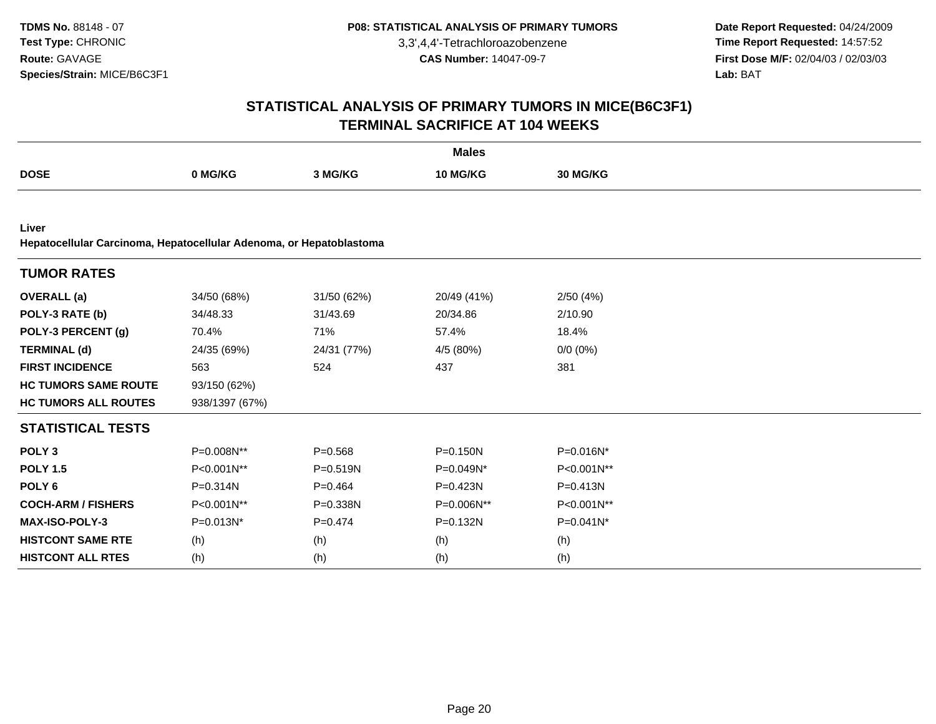**Date Report Requested:** 04/24/2009 **Time Report Requested:** 14:57:52 **First Dose M/F:** 02/04/03 / 02/03/03<br>Lab: BAT **Lab:** BAT

|                                                                              |                |              | <b>Males</b>    |             |  |
|------------------------------------------------------------------------------|----------------|--------------|-----------------|-------------|--|
| <b>DOSE</b>                                                                  | 0 MG/KG        | 3 MG/KG      | <b>10 MG/KG</b> | 30 MG/KG    |  |
|                                                                              |                |              |                 |             |  |
| Liver<br>Hepatocellular Carcinoma, Hepatocellular Adenoma, or Hepatoblastoma |                |              |                 |             |  |
| <b>TUMOR RATES</b>                                                           |                |              |                 |             |  |
| <b>OVERALL</b> (a)                                                           | 34/50 (68%)    | 31/50 (62%)  | 20/49 (41%)     | 2/50(4%)    |  |
| POLY-3 RATE (b)                                                              | 34/48.33       | 31/43.69     | 20/34.86        | 2/10.90     |  |
| POLY-3 PERCENT (g)                                                           | 70.4%          | 71%          | 57.4%           | 18.4%       |  |
| <b>TERMINAL (d)</b>                                                          | 24/35 (69%)    | 24/31 (77%)  | 4/5 (80%)       | $0/0 (0\%)$ |  |
| <b>FIRST INCIDENCE</b>                                                       | 563            | 524          | 437             | 381         |  |
| <b>HC TUMORS SAME ROUTE</b>                                                  | 93/150 (62%)   |              |                 |             |  |
| <b>HC TUMORS ALL ROUTES</b>                                                  | 938/1397 (67%) |              |                 |             |  |
| <b>STATISTICAL TESTS</b>                                                     |                |              |                 |             |  |
| POLY <sub>3</sub>                                                            | P=0.008N**     | $P = 0.568$  | $P = 0.150N$    | P=0.016N*   |  |
| <b>POLY 1.5</b>                                                              | P<0.001N**     | $P = 0.519N$ | P=0.049N*       | P<0.001N**  |  |
| POLY <sub>6</sub>                                                            | $P = 0.314N$   | $P=0.464$    | P=0.423N        | P=0.413N    |  |
| <b>COCH-ARM / FISHERS</b>                                                    | P<0.001N**     | P=0.338N     | P=0.006N**      | P<0.001N**  |  |
| MAX-ISO-POLY-3                                                               | $P=0.013N*$    | $P=0.474$    | P=0.132N        | P=0.041N*   |  |
| <b>HISTCONT SAME RTE</b>                                                     | (h)            | (h)          | (h)             | (h)         |  |
| <b>HISTCONT ALL RTES</b>                                                     | (h)            | (h)          | (h)             | (h)         |  |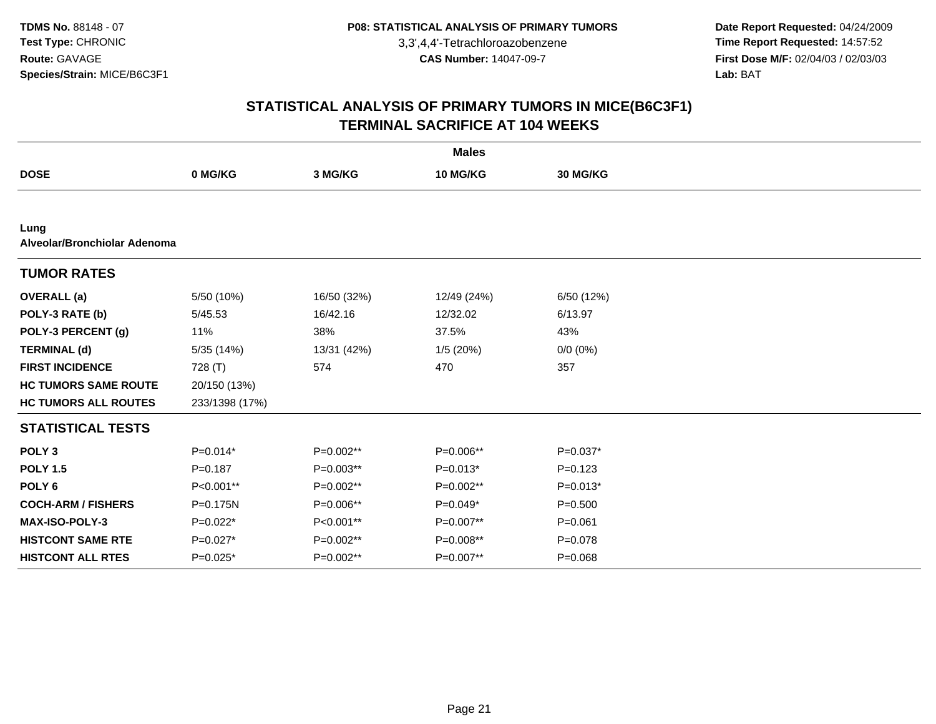**Date Report Requested:** 04/24/2009 **Time Report Requested:** 14:57:52 **First Dose M/F:** 02/04/03 / 02/03/03<br>Lab: BAT **Lab:** BAT

|                                      | <b>Males</b>   |             |             |             |  |  |  |  |
|--------------------------------------|----------------|-------------|-------------|-------------|--|--|--|--|
| <b>DOSE</b>                          | 0 MG/KG        | 3 MG/KG     | 10 MG/KG    | 30 MG/KG    |  |  |  |  |
|                                      |                |             |             |             |  |  |  |  |
| Lung<br>Alveolar/Bronchiolar Adenoma |                |             |             |             |  |  |  |  |
| <b>TUMOR RATES</b>                   |                |             |             |             |  |  |  |  |
| <b>OVERALL</b> (a)                   | 5/50 (10%)     | 16/50 (32%) | 12/49 (24%) | 6/50 (12%)  |  |  |  |  |
| POLY-3 RATE (b)                      | 5/45.53        | 16/42.16    | 12/32.02    | 6/13.97     |  |  |  |  |
| POLY-3 PERCENT (g)                   | 11%            | 38%         | 37.5%       | 43%         |  |  |  |  |
| <b>TERMINAL (d)</b>                  | 5/35 (14%)     | 13/31 (42%) | 1/5(20%)    | $0/0 (0\%)$ |  |  |  |  |
| <b>FIRST INCIDENCE</b>               | 728 (T)        | 574         | 470         | 357         |  |  |  |  |
| <b>HC TUMORS SAME ROUTE</b>          | 20/150 (13%)   |             |             |             |  |  |  |  |
| <b>HC TUMORS ALL ROUTES</b>          | 233/1398 (17%) |             |             |             |  |  |  |  |
| <b>STATISTICAL TESTS</b>             |                |             |             |             |  |  |  |  |
| POLY <sub>3</sub>                    | $P=0.014*$     | P=0.002**   | $P=0.006**$ | $P=0.037*$  |  |  |  |  |
| <b>POLY 1.5</b>                      | $P = 0.187$    | $P=0.003**$ | $P=0.013*$  | $P=0.123$   |  |  |  |  |
| POLY <sub>6</sub>                    | P<0.001**      | P=0.002**   | P=0.002**   | $P=0.013*$  |  |  |  |  |
| <b>COCH-ARM / FISHERS</b>            | P=0.175N       | P=0.006**   | $P=0.049*$  | $P = 0.500$ |  |  |  |  |
| <b>MAX-ISO-POLY-3</b>                | P=0.022*       | P<0.001**   | P=0.007**   | $P = 0.061$ |  |  |  |  |
| <b>HISTCONT SAME RTE</b>             | $P=0.027*$     | P=0.002**   | P=0.008**   | $P = 0.078$ |  |  |  |  |
| <b>HISTCONT ALL RTES</b>             | P=0.025*       | $P=0.002**$ | P=0.007**   | $P = 0.068$ |  |  |  |  |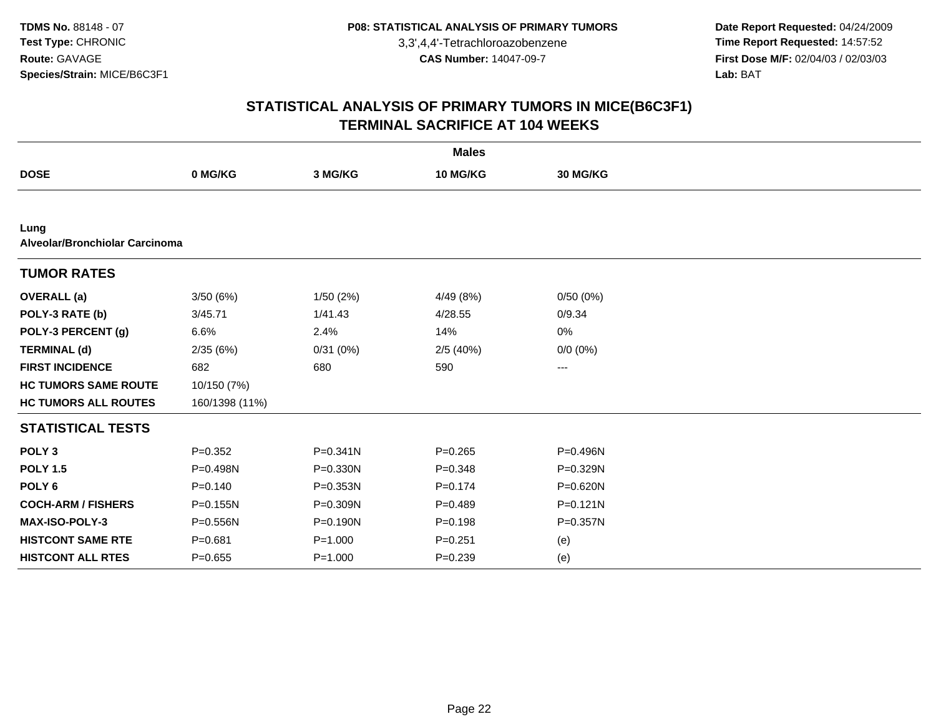**Date Report Requested:** 04/24/2009 **Time Report Requested:** 14:57:52 **First Dose M/F:** 02/04/03 / 02/03/03<br>Lab: BAT **Lab:** BAT

|                                        |                |              | <b>Males</b> |              |  |
|----------------------------------------|----------------|--------------|--------------|--------------|--|
| <b>DOSE</b>                            | 0 MG/KG        | 3 MG/KG      | 10 MG/KG     | 30 MG/KG     |  |
|                                        |                |              |              |              |  |
| Lung<br>Alveolar/Bronchiolar Carcinoma |                |              |              |              |  |
| <b>TUMOR RATES</b>                     |                |              |              |              |  |
| <b>OVERALL</b> (a)                     | 3/50(6%)       | 1/50(2%)     | 4/49 (8%)    | 0/50(0%)     |  |
| POLY-3 RATE (b)                        | 3/45.71        | 1/41.43      | 4/28.55      | 0/9.34       |  |
| POLY-3 PERCENT (g)                     | 6.6%           | 2.4%         | 14%          | 0%           |  |
| <b>TERMINAL (d)</b>                    | 2/35(6%)       | 0/31(0%)     | 2/5(40%)     | $0/0 (0\%)$  |  |
| <b>FIRST INCIDENCE</b>                 | 682            | 680          | 590          | $---$        |  |
| <b>HC TUMORS SAME ROUTE</b>            | 10/150 (7%)    |              |              |              |  |
| <b>HC TUMORS ALL ROUTES</b>            | 160/1398 (11%) |              |              |              |  |
| <b>STATISTICAL TESTS</b>               |                |              |              |              |  |
| POLY <sub>3</sub>                      | $P=0.352$      | $P = 0.341N$ | $P = 0.265$  | P=0.496N     |  |
| <b>POLY 1.5</b>                        | P=0.498N       | $P = 0.330N$ | $P = 0.348$  | P=0.329N     |  |
| POLY <sub>6</sub>                      | $P = 0.140$    | P=0.353N     | $P = 0.174$  | P=0.620N     |  |
| <b>COCH-ARM / FISHERS</b>              | P=0.155N       | P=0.309N     | $P=0.489$    | $P = 0.121N$ |  |
| <b>MAX-ISO-POLY-3</b>                  | P=0.556N       | P=0.190N     | $P = 0.198$  | P=0.357N     |  |
| <b>HISTCONT SAME RTE</b>               | $P = 0.681$    | $P = 1.000$  | $P = 0.251$  | (e)          |  |
| <b>HISTCONT ALL RTES</b>               | $P = 0.655$    | $P = 1.000$  | $P = 0.239$  | (e)          |  |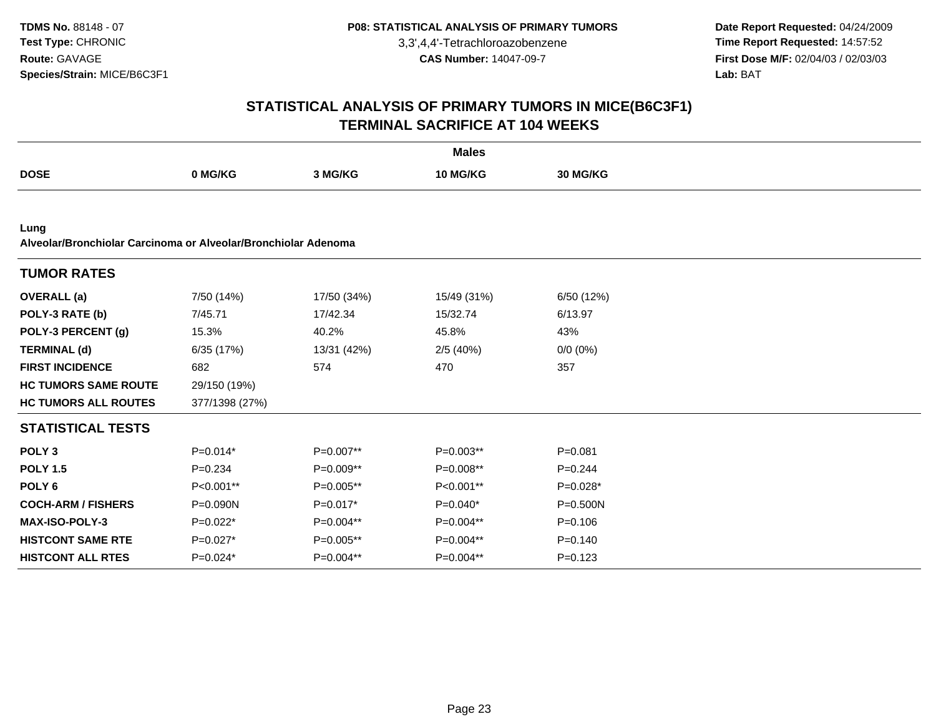**Date Report Requested:** 04/24/2009 **Time Report Requested:** 14:57:52 **First Dose M/F:** 02/04/03 / 02/03/03<br>Lab: BAT **Lab:** BAT

|                                                                        |                |             | <b>Males</b>    |                 |  |
|------------------------------------------------------------------------|----------------|-------------|-----------------|-----------------|--|
| <b>DOSE</b>                                                            | 0 MG/KG        | 3 MG/KG     | <b>10 MG/KG</b> | <b>30 MG/KG</b> |  |
|                                                                        |                |             |                 |                 |  |
| Lung<br>Alveolar/Bronchiolar Carcinoma or Alveolar/Bronchiolar Adenoma |                |             |                 |                 |  |
| <b>TUMOR RATES</b>                                                     |                |             |                 |                 |  |
| <b>OVERALL</b> (a)                                                     | 7/50 (14%)     | 17/50 (34%) | 15/49 (31%)     | 6/50 (12%)      |  |
| POLY-3 RATE (b)                                                        | 7/45.71        | 17/42.34    | 15/32.74        | 6/13.97         |  |
| POLY-3 PERCENT (g)                                                     | 15.3%          | 40.2%       | 45.8%           | 43%             |  |
| <b>TERMINAL (d)</b>                                                    | 6/35 (17%)     | 13/31 (42%) | 2/5 (40%)       | $0/0 (0\%)$     |  |
| <b>FIRST INCIDENCE</b>                                                 | 682            | 574         | 470             | 357             |  |
| <b>HC TUMORS SAME ROUTE</b>                                            | 29/150 (19%)   |             |                 |                 |  |
| <b>HC TUMORS ALL ROUTES</b>                                            | 377/1398 (27%) |             |                 |                 |  |
| <b>STATISTICAL TESTS</b>                                               |                |             |                 |                 |  |
| POLY <sub>3</sub>                                                      | $P=0.014*$     | P=0.007**   | $P=0.003**$     | $P = 0.081$     |  |
| <b>POLY 1.5</b>                                                        | $P = 0.234$    | P=0.009**   | P=0.008**       | $P = 0.244$     |  |
| POLY <sub>6</sub>                                                      | P<0.001**      | P=0.005**   | P<0.001**       | $P=0.028*$      |  |
| <b>COCH-ARM / FISHERS</b>                                              | $P = 0.090N$   | $P=0.017*$  | $P=0.040*$      | $P = 0.500N$    |  |
| <b>MAX-ISO-POLY-3</b>                                                  | $P=0.022*$     | P=0.004**   | P=0.004**       | $P = 0.106$     |  |
| <b>HISTCONT SAME RTE</b>                                               | $P=0.027*$     | P=0.005**   | P=0.004**       | $P = 0.140$     |  |
| <b>HISTCONT ALL RTES</b>                                               | $P=0.024*$     | P=0.004**   | P=0.004**       | $P = 0.123$     |  |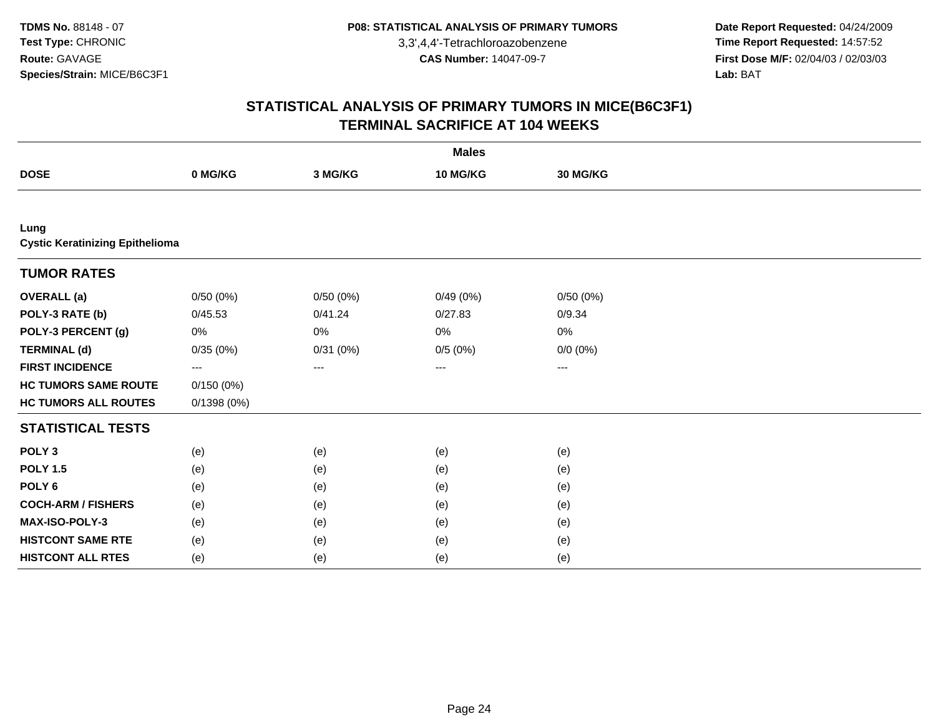**Date Report Requested:** 04/24/2009 **Time Report Requested:** 14:57:52 **First Dose M/F:** 02/04/03 / 02/03/03<br>Lab: BAT **Lab:** BAT

|                                                |            |          | <b>Males</b> |             |  |
|------------------------------------------------|------------|----------|--------------|-------------|--|
| <b>DOSE</b>                                    | 0 MG/KG    | 3 MG/KG  | 10 MG/KG     | 30 MG/KG    |  |
|                                                |            |          |              |             |  |
| Lung<br><b>Cystic Keratinizing Epithelioma</b> |            |          |              |             |  |
| <b>TUMOR RATES</b>                             |            |          |              |             |  |
| <b>OVERALL (a)</b>                             | 0/50(0%)   | 0/50(0%) | 0/49(0%)     | 0/50(0%)    |  |
| POLY-3 RATE (b)                                | 0/45.53    | 0/41.24  | 0/27.83      | 0/9.34      |  |
| POLY-3 PERCENT (g)                             | 0%         | 0%       | 0%           | 0%          |  |
| <b>TERMINAL (d)</b>                            | 0/35(0%)   | 0/31(0%) | 0/5(0%)      | $0/0 (0\%)$ |  |
| <b>FIRST INCIDENCE</b>                         | $--$       | ---      | ---          | ---         |  |
| <b>HC TUMORS SAME ROUTE</b>                    | 0/150(0%)  |          |              |             |  |
| <b>HC TUMORS ALL ROUTES</b>                    | 0/1398(0%) |          |              |             |  |
| <b>STATISTICAL TESTS</b>                       |            |          |              |             |  |
| POLY <sub>3</sub>                              | (e)        | (e)      | (e)          | (e)         |  |
| <b>POLY 1.5</b>                                | (e)        | (e)      | (e)          | (e)         |  |
| POLY <sub>6</sub>                              | (e)        | (e)      | (e)          | (e)         |  |
| <b>COCH-ARM / FISHERS</b>                      | (e)        | (e)      | (e)          | (e)         |  |
| MAX-ISO-POLY-3                                 | (e)        | (e)      | (e)          | (e)         |  |
| <b>HISTCONT SAME RTE</b>                       | (e)        | (e)      | (e)          | (e)         |  |
| <b>HISTCONT ALL RTES</b>                       | (e)        | (e)      | (e)          | (e)         |  |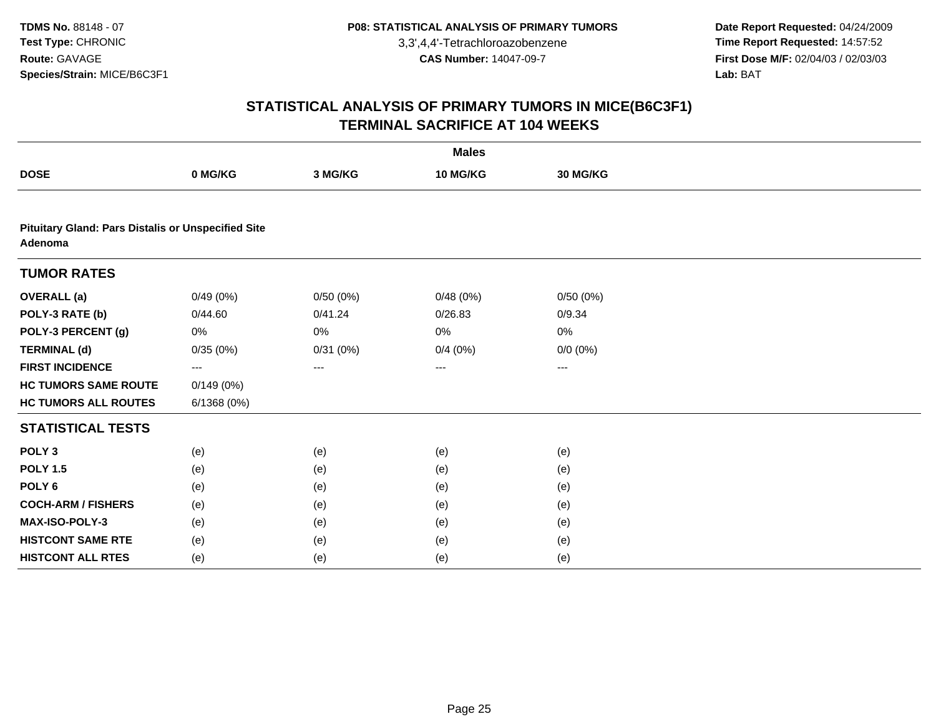**Date Report Requested:** 04/24/2009 **Time Report Requested:** 14:57:52 **First Dose M/F:** 02/04/03 / 02/03/03<br>Lab: BAT **Lab:** BAT

|                                                                      |            |          | <b>Males</b> |             |  |
|----------------------------------------------------------------------|------------|----------|--------------|-------------|--|
| <b>DOSE</b>                                                          | 0 MG/KG    | 3 MG/KG  | 10 MG/KG     | 30 MG/KG    |  |
|                                                                      |            |          |              |             |  |
| <b>Pituitary Gland: Pars Distalis or Unspecified Site</b><br>Adenoma |            |          |              |             |  |
| <b>TUMOR RATES</b>                                                   |            |          |              |             |  |
| <b>OVERALL</b> (a)                                                   | 0/49(0%)   | 0/50(0%) | 0/48(0%)     | 0/50(0%)    |  |
| POLY-3 RATE (b)                                                      | 0/44.60    | 0/41.24  | 0/26.83      | 0/9.34      |  |
| POLY-3 PERCENT (g)                                                   | 0%         | 0%       | 0%           | 0%          |  |
| <b>TERMINAL (d)</b>                                                  | 0/35(0%)   | 0/31(0%) | 0/4(0%)      | $0/0 (0\%)$ |  |
| <b>FIRST INCIDENCE</b>                                               | ---        | ---      | ---          | ---         |  |
| <b>HC TUMORS SAME ROUTE</b>                                          | 0/149(0%)  |          |              |             |  |
| <b>HC TUMORS ALL ROUTES</b>                                          | 6/1368(0%) |          |              |             |  |
| <b>STATISTICAL TESTS</b>                                             |            |          |              |             |  |
| POLY <sub>3</sub>                                                    | (e)        | (e)      | (e)          | (e)         |  |
| <b>POLY 1.5</b>                                                      | (e)        | (e)      | (e)          | (e)         |  |
| POLY <sub>6</sub>                                                    | (e)        | (e)      | (e)          | (e)         |  |
| <b>COCH-ARM / FISHERS</b>                                            | (e)        | (e)      | (e)          | (e)         |  |
| MAX-ISO-POLY-3                                                       | (e)        | (e)      | (e)          | (e)         |  |
| <b>HISTCONT SAME RTE</b>                                             | (e)        | (e)      | (e)          | (e)         |  |
| <b>HISTCONT ALL RTES</b>                                             | (e)        | (e)      | (e)          | (e)         |  |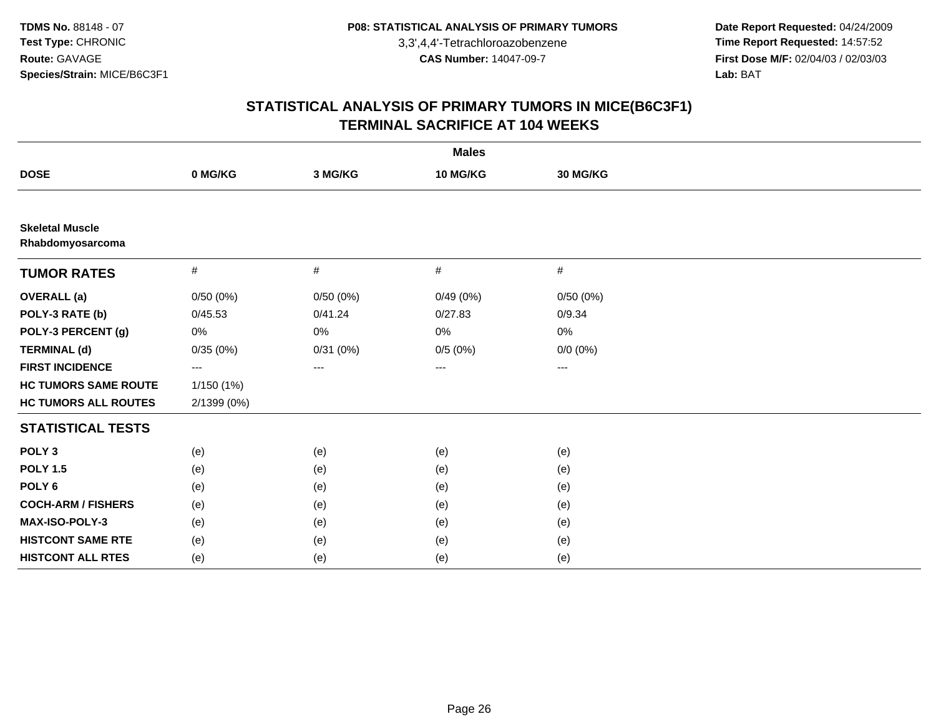**Date Report Requested:** 04/24/2009 **Time Report Requested:** 14:57:52 **First Dose M/F:** 02/04/03 / 02/03/03<br>Lab: BAT **Lab:** BAT

| <b>Males</b>                               |             |          |          |                   |  |  |
|--------------------------------------------|-------------|----------|----------|-------------------|--|--|
| <b>DOSE</b>                                | 0 MG/KG     | 3 MG/KG  | 10 MG/KG | 30 MG/KG          |  |  |
|                                            |             |          |          |                   |  |  |
| <b>Skeletal Muscle</b><br>Rhabdomyosarcoma |             |          |          |                   |  |  |
| <b>TUMOR RATES</b>                         | #           | #        | #        | #                 |  |  |
| <b>OVERALL (a)</b>                         | 0/50(0%)    | 0/50(0%) | 0/49(0%) | 0/50(0%)          |  |  |
| POLY-3 RATE (b)                            | 0/45.53     | 0/41.24  | 0/27.83  | 0/9.34            |  |  |
| POLY-3 PERCENT (g)                         | 0%          | $0\%$    | 0%       | 0%                |  |  |
| <b>TERMINAL (d)</b>                        | 0/35(0%)    | 0/31(0%) | 0/5(0%)  | $0/0 (0\%)$       |  |  |
| <b>FIRST INCIDENCE</b>                     | ---         | ---      | ---      | $\qquad \qquad -$ |  |  |
| <b>HC TUMORS SAME ROUTE</b>                | 1/150(1%)   |          |          |                   |  |  |
| <b>HC TUMORS ALL ROUTES</b>                | 2/1399 (0%) |          |          |                   |  |  |
| <b>STATISTICAL TESTS</b>                   |             |          |          |                   |  |  |
| POLY <sub>3</sub>                          | (e)         | (e)      | (e)      | (e)               |  |  |
| <b>POLY 1.5</b>                            | (e)         | (e)      | (e)      | (e)               |  |  |
| POLY <sub>6</sub>                          | (e)         | (e)      | (e)      | (e)               |  |  |
| <b>COCH-ARM / FISHERS</b>                  | (e)         | (e)      | (e)      | (e)               |  |  |
| MAX-ISO-POLY-3                             | (e)         | (e)      | (e)      | (e)               |  |  |
| <b>HISTCONT SAME RTE</b>                   | (e)         | (e)      | (e)      | (e)               |  |  |
| <b>HISTCONT ALL RTES</b>                   | (e)         | (e)      | (e)      | (e)               |  |  |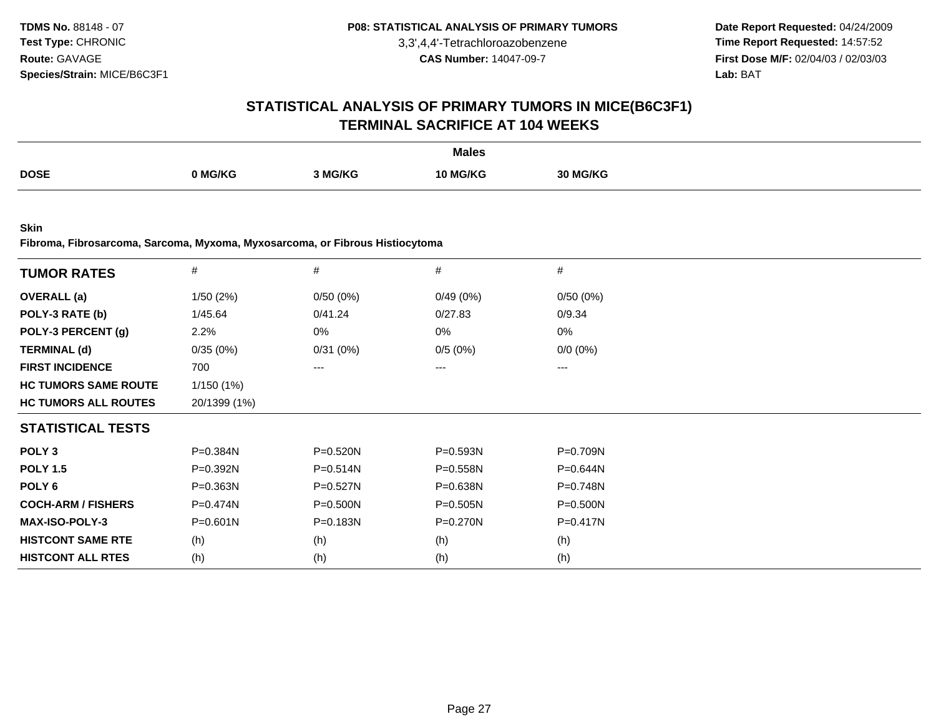**Date Report Requested:** 04/24/2009 **Time Report Requested:** 14:57:52 **First Dose M/F:** 02/04/03 / 02/03/03<br>**Lab:** BAT **Lab:** BAT

## **STATISTICAL ANALYSIS OF PRIMARY TUMORS IN MICE(B6C3F1)TERMINAL SACRIFICE AT 104 WEEKS**

|             |         |              | <b>Males</b> |                 |
|-------------|---------|--------------|--------------|-----------------|
| <b>DOSE</b> |         |              |              |                 |
|             | 0 MG/KG | <b>MG/KG</b> | <b>G/KG</b>  | <b>30 MG/KG</b> |
|             |         |              |              |                 |

**Skin**

**Fibroma, Fibrosarcoma, Sarcoma, Myxoma, Myxosarcoma, or Fibrous Histiocytoma**

| <b>TUMOR RATES</b>          | $\#$         | $\#$         | $\#$         | #            |
|-----------------------------|--------------|--------------|--------------|--------------|
| <b>OVERALL</b> (a)          | 1/50 (2%)    | 0/50(0%)     | 0/49(0%)     | 0/50(0%)     |
| POLY-3 RATE (b)             | 1/45.64      | 0/41.24      | 0/27.83      | 0/9.34       |
| POLY-3 PERCENT (g)          | 2.2%         | 0%           | 0%           | 0%           |
| <b>TERMINAL (d)</b>         | 0/35(0%)     | 0/31(0%)     | 0/5(0%)      | $0/0 (0\%)$  |
| <b>FIRST INCIDENCE</b>      | 700          | ---          | ---          | ---          |
| <b>HC TUMORS SAME ROUTE</b> | 1/150(1%)    |              |              |              |
| <b>HC TUMORS ALL ROUTES</b> | 20/1399 (1%) |              |              |              |
| <b>STATISTICAL TESTS</b>    |              |              |              |              |
| POLY <sub>3</sub>           | $P = 0.384N$ | P=0.520N     | P=0.593N     | P=0.709N     |
| <b>POLY 1.5</b>             | $P = 0.392N$ | $P = 0.514N$ | $P = 0.558N$ | $P = 0.644N$ |
| POLY 6                      | $P = 0.363N$ | $P = 0.527N$ | $P = 0.638N$ | P=0.748N     |
| <b>COCH-ARM / FISHERS</b>   | $P = 0.474N$ | P=0.500N     | $P = 0.505N$ | $P = 0.500N$ |
| <b>MAX-ISO-POLY-3</b>       | $P = 0.601N$ | P=0.183N     | P=0.270N     | P=0.417N     |
| <b>HISTCONT SAME RTE</b>    | (h)          | (h)          | (h)          | (h)          |
| <b>HISTCONT ALL RTES</b>    | (h)          | (h)          | (h)          | (h)          |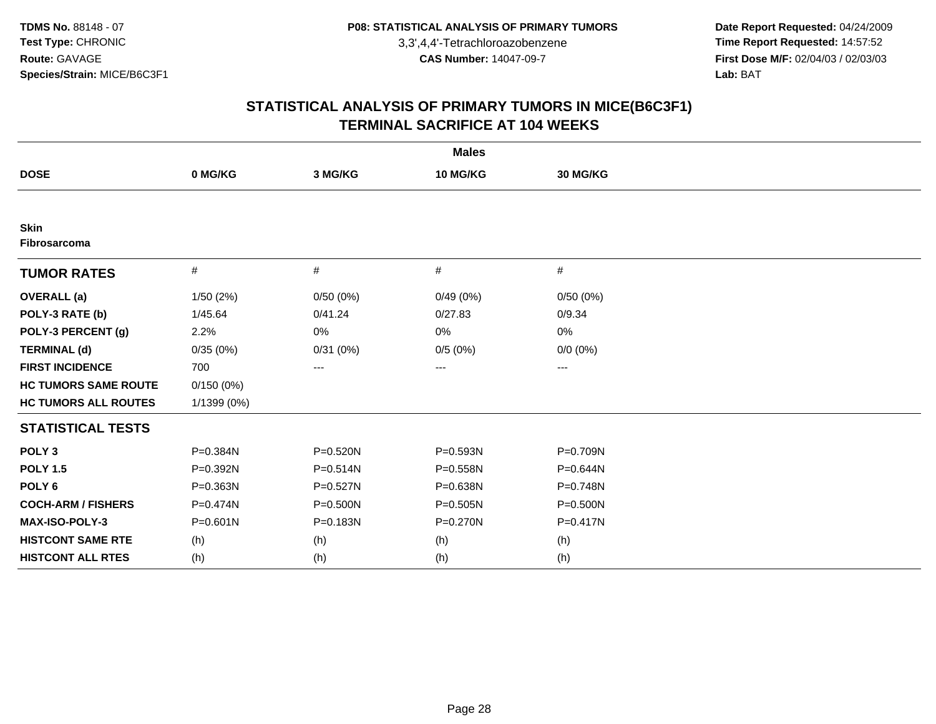**Date Report Requested:** 04/24/2009 **Time Report Requested:** 14:57:52 **First Dose M/F:** 02/04/03 / 02/03/03<br>Lab: BAT **Lab:** BAT

| <b>Males</b>                       |              |          |              |              |  |  |  |
|------------------------------------|--------------|----------|--------------|--------------|--|--|--|
| <b>DOSE</b>                        | 0 MG/KG      | 3 MG/KG  | 10 MG/KG     | 30 MG/KG     |  |  |  |
|                                    |              |          |              |              |  |  |  |
| <b>Skin</b><br><b>Fibrosarcoma</b> |              |          |              |              |  |  |  |
| <b>TUMOR RATES</b>                 | $\#$         | $\#$     | #            | $\#$         |  |  |  |
| <b>OVERALL</b> (a)                 | 1/50(2%)     | 0/50(0%) | 0/49(0%)     | 0/50(0%)     |  |  |  |
| POLY-3 RATE (b)                    | 1/45.64      | 0/41.24  | 0/27.83      | 0/9.34       |  |  |  |
| POLY-3 PERCENT (g)                 | 2.2%         | 0%       | 0%           | 0%           |  |  |  |
| <b>TERMINAL (d)</b>                | 0/35(0%)     | 0/31(0%) | 0/5(0%)      | $0/0 (0\%)$  |  |  |  |
| <b>FIRST INCIDENCE</b>             | 700          | $\cdots$ | ---          | $\cdots$     |  |  |  |
| <b>HC TUMORS SAME ROUTE</b>        | 0/150(0%)    |          |              |              |  |  |  |
| <b>HC TUMORS ALL ROUTES</b>        | 1/1399 (0%)  |          |              |              |  |  |  |
| <b>STATISTICAL TESTS</b>           |              |          |              |              |  |  |  |
| POLY <sub>3</sub>                  | P=0.384N     | P=0.520N | P=0.593N     | P=0.709N     |  |  |  |
| <b>POLY 1.5</b>                    | P=0.392N     | P=0.514N | P=0.558N     | P=0.644N     |  |  |  |
| POLY <sub>6</sub>                  | P=0.363N     | P=0.527N | P=0.638N     | P=0.748N     |  |  |  |
| <b>COCH-ARM / FISHERS</b>          | P=0.474N     | P=0.500N | $P = 0.505N$ | $P = 0.500N$ |  |  |  |
| <b>MAX-ISO-POLY-3</b>              | $P = 0.601N$ | P=0.183N | P=0.270N     | $P = 0.417N$ |  |  |  |
| <b>HISTCONT SAME RTE</b>           | (h)          | (h)      | (h)          | (h)          |  |  |  |
| <b>HISTCONT ALL RTES</b>           | (h)          | (h)      | (h)          | (h)          |  |  |  |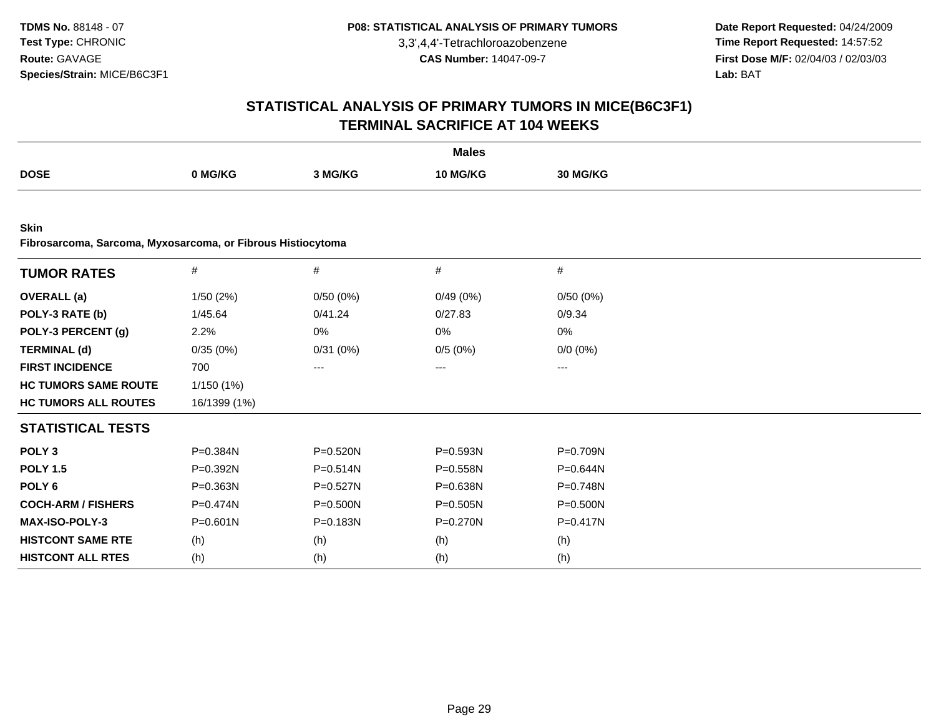**Date Report Requested:** 04/24/2009 **Time Report Requested:** 14:57:52 **First Dose M/F:** 02/04/03 / 02/03/03<br>Lab: BAT **Lab:** BAT

| <b>Males</b>                                                               |              |              |              |              |  |  |  |
|----------------------------------------------------------------------------|--------------|--------------|--------------|--------------|--|--|--|
| <b>DOSE</b>                                                                | 0 MG/KG      | 3 MG/KG      | 10 MG/KG     | 30 MG/KG     |  |  |  |
|                                                                            |              |              |              |              |  |  |  |
| <b>Skin</b><br>Fibrosarcoma, Sarcoma, Myxosarcoma, or Fibrous Histiocytoma |              |              |              |              |  |  |  |
| <b>TUMOR RATES</b>                                                         | $\#$         | #            | #            | $\#$         |  |  |  |
| <b>OVERALL</b> (a)                                                         | 1/50(2%)     | 0/50(0%)     | 0/49(0%)     | 0/50(0%)     |  |  |  |
| POLY-3 RATE (b)                                                            | 1/45.64      | 0/41.24      | 0/27.83      | 0/9.34       |  |  |  |
| POLY-3 PERCENT (g)                                                         | 2.2%         | 0%           | 0%           | 0%           |  |  |  |
| <b>TERMINAL (d)</b>                                                        | 0/35(0%)     | 0/31(0%)     | 0/5(0%)      | $0/0 (0\%)$  |  |  |  |
| <b>FIRST INCIDENCE</b>                                                     | 700          | ---          | ---          | ---          |  |  |  |
| <b>HC TUMORS SAME ROUTE</b>                                                | 1/150(1%)    |              |              |              |  |  |  |
| <b>HC TUMORS ALL ROUTES</b>                                                | 16/1399 (1%) |              |              |              |  |  |  |
| <b>STATISTICAL TESTS</b>                                                   |              |              |              |              |  |  |  |
| POLY <sub>3</sub>                                                          | P=0.384N     | P=0.520N     | P=0.593N     | P=0.709N     |  |  |  |
| <b>POLY 1.5</b>                                                            | P=0.392N     | $P = 0.514N$ | P=0.558N     | P=0.644N     |  |  |  |
| POLY <sub>6</sub>                                                          | P=0.363N     | P=0.527N     | P=0.638N     | P=0.748N     |  |  |  |
| <b>COCH-ARM / FISHERS</b>                                                  | $P = 0.474N$ | $P = 0.500N$ | $P = 0.505N$ | $P = 0.500N$ |  |  |  |
| MAX-ISO-POLY-3                                                             | $P = 0.601N$ | P=0.183N     | $P = 0.270N$ | $P = 0.417N$ |  |  |  |
| <b>HISTCONT SAME RTE</b>                                                   | (h)          | (h)          | (h)          | (h)          |  |  |  |
| <b>HISTCONT ALL RTES</b>                                                   | (h)          | (h)          | (h)          | (h)          |  |  |  |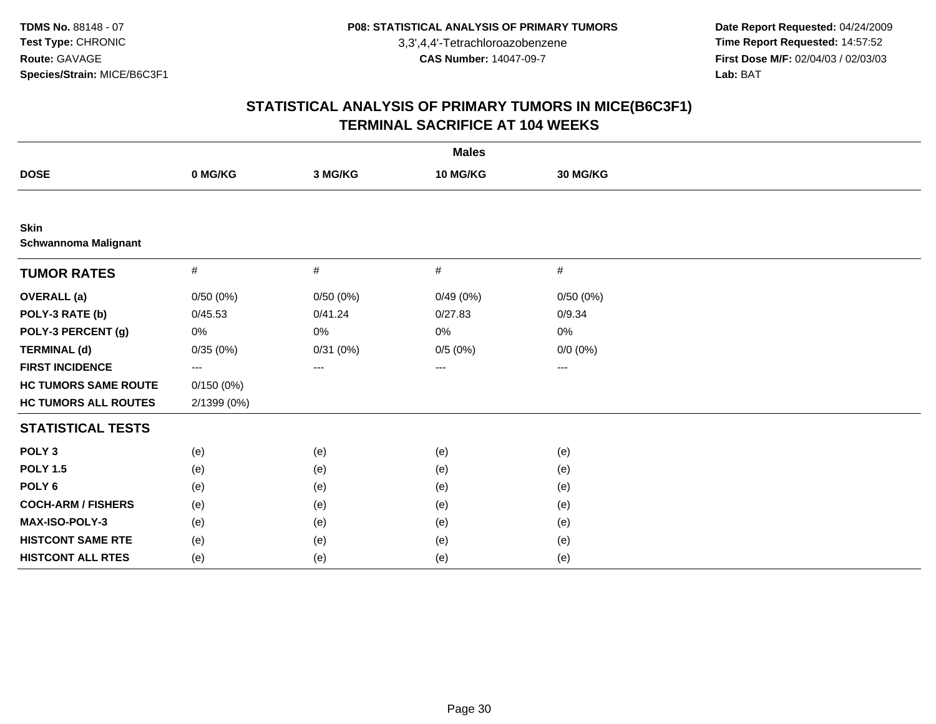**Date Report Requested:** 04/24/2009 **Time Report Requested:** 14:57:52 **First Dose M/F:** 02/04/03 / 02/03/03<br>Lab: BAT **Lab:** BAT

| <b>Males</b>                               |                   |          |          |             |  |  |  |
|--------------------------------------------|-------------------|----------|----------|-------------|--|--|--|
| <b>DOSE</b>                                | 0 MG/KG           | 3 MG/KG  | 10 MG/KG | 30 MG/KG    |  |  |  |
|                                            |                   |          |          |             |  |  |  |
| <b>Skin</b><br><b>Schwannoma Malignant</b> |                   |          |          |             |  |  |  |
| <b>TUMOR RATES</b>                         | $\#$              | $\#$     | $\#$     | #           |  |  |  |
| <b>OVERALL</b> (a)                         | 0/50(0%)          | 0/50(0%) | 0/49(0%) | 0/50(0%)    |  |  |  |
| POLY-3 RATE (b)                            | 0/45.53           | 0/41.24  | 0/27.83  | 0/9.34      |  |  |  |
| POLY-3 PERCENT (g)                         | 0%                | $0\%$    | 0%       | 0%          |  |  |  |
| <b>TERMINAL (d)</b>                        | 0/35(0%)          | 0/31(0%) | 0/5(0%)  | $0/0 (0\%)$ |  |  |  |
| <b>FIRST INCIDENCE</b>                     | $\qquad \qquad -$ | $\cdots$ | ---      | $\cdots$    |  |  |  |
| <b>HC TUMORS SAME ROUTE</b>                | 0/150(0%)         |          |          |             |  |  |  |
| <b>HC TUMORS ALL ROUTES</b>                | 2/1399 (0%)       |          |          |             |  |  |  |
| <b>STATISTICAL TESTS</b>                   |                   |          |          |             |  |  |  |
| POLY <sub>3</sub>                          | (e)               | (e)      | (e)      | (e)         |  |  |  |
| <b>POLY 1.5</b>                            | (e)               | (e)      | (e)      | (e)         |  |  |  |
| POLY <sub>6</sub>                          | (e)               | (e)      | (e)      | (e)         |  |  |  |
| <b>COCH-ARM / FISHERS</b>                  | (e)               | (e)      | (e)      | (e)         |  |  |  |
| MAX-ISO-POLY-3                             | (e)               | (e)      | (e)      | (e)         |  |  |  |
| <b>HISTCONT SAME RTE</b>                   | (e)               | (e)      | (e)      | (e)         |  |  |  |
| <b>HISTCONT ALL RTES</b>                   | (e)               | (e)      | (e)      | (e)         |  |  |  |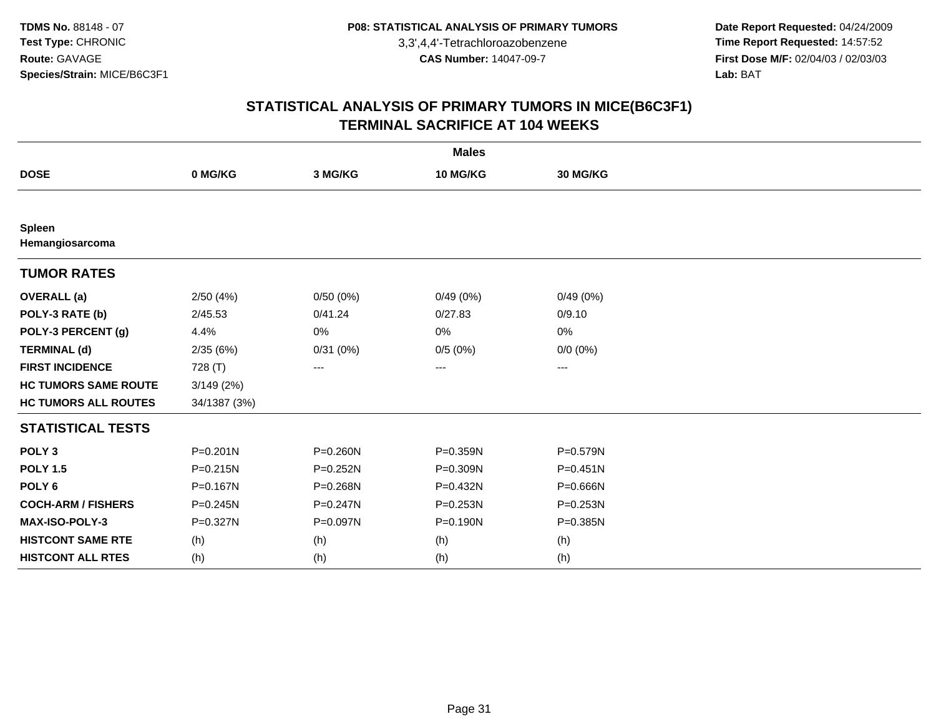**Date Report Requested:** 04/24/2009 **Time Report Requested:** 14:57:52 **First Dose M/F:** 02/04/03 / 02/03/03<br>Lab: BAT **Lab:** BAT

|                             |              |              | <b>Males</b> |             |  |
|-----------------------------|--------------|--------------|--------------|-------------|--|
| <b>DOSE</b>                 | 0 MG/KG      | 3 MG/KG      | 10 MG/KG     | 30 MG/KG    |  |
|                             |              |              |              |             |  |
| Spleen<br>Hemangiosarcoma   |              |              |              |             |  |
| <b>TUMOR RATES</b>          |              |              |              |             |  |
| <b>OVERALL (a)</b>          | 2/50(4%)     | 0/50(0%)     | 0/49(0%)     | 0/49(0%)    |  |
| POLY-3 RATE (b)             | 2/45.53      | 0/41.24      | 0/27.83      | 0/9.10      |  |
| POLY-3 PERCENT (g)          | 4.4%         | 0%           | 0%           | 0%          |  |
| <b>TERMINAL (d)</b>         | 2/35(6%)     | 0/31(0%)     | 0/5(0%)      | $0/0 (0\%)$ |  |
| <b>FIRST INCIDENCE</b>      | 728 (T)      | $\cdots$     | $---$        | ---         |  |
| <b>HC TUMORS SAME ROUTE</b> | 3/149(2%)    |              |              |             |  |
| <b>HC TUMORS ALL ROUTES</b> | 34/1387 (3%) |              |              |             |  |
| <b>STATISTICAL TESTS</b>    |              |              |              |             |  |
| POLY <sub>3</sub>           | $P = 0.201N$ | $P = 0.260N$ | P=0.359N     | P=0.579N    |  |
| <b>POLY 1.5</b>             | $P = 0.215N$ | $P = 0.252N$ | P=0.309N     | $P=0.451N$  |  |
| POLY <sub>6</sub>           | P=0.167N     | P=0.268N     | P=0.432N     | P=0.666N    |  |
| <b>COCH-ARM / FISHERS</b>   | $P = 0.245N$ | $P = 0.247N$ | P=0.253N     | P=0.253N    |  |
| <b>MAX-ISO-POLY-3</b>       | P=0.327N     | P=0.097N     | $P = 0.190N$ | P=0.385N    |  |
| <b>HISTCONT SAME RTE</b>    | (h)          | (h)          | (h)          | (h)         |  |
| <b>HISTCONT ALL RTES</b>    | (h)          | (h)          | (h)          | (h)         |  |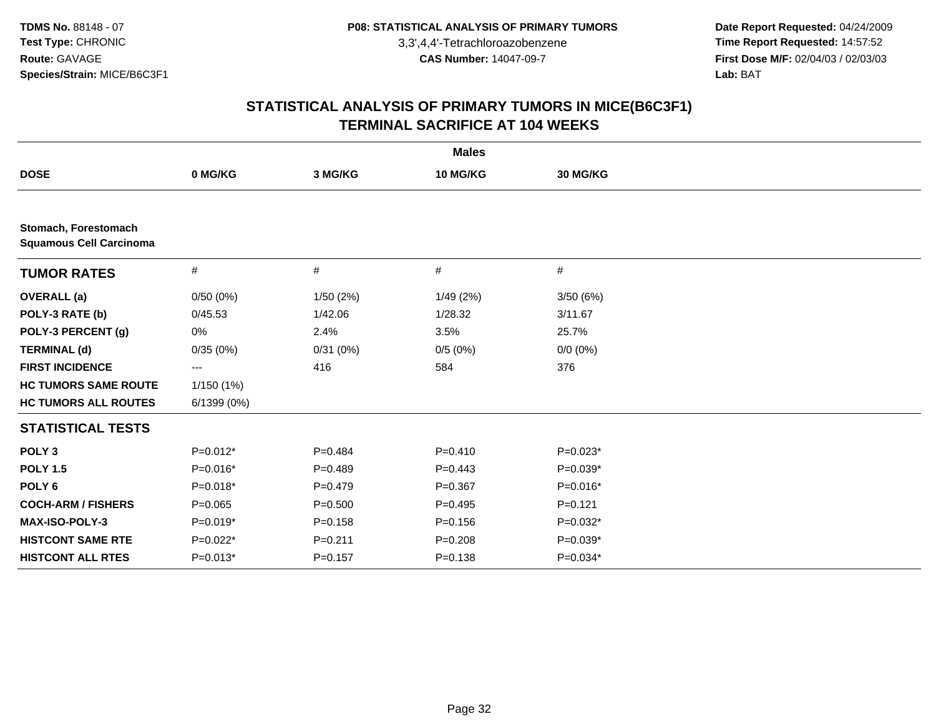**Date Report Requested:** 04/24/2009 **Time Report Requested:** 14:57:52 **First Dose M/F:** 02/04/03 / 02/03/03<br>Lab: BAT **Lab:** BAT

| <b>Males</b>                                           |             |             |             |             |  |  |
|--------------------------------------------------------|-------------|-------------|-------------|-------------|--|--|
| <b>DOSE</b>                                            | 0 MG/KG     | 3 MG/KG     | 10 MG/KG    | 30 MG/KG    |  |  |
|                                                        |             |             |             |             |  |  |
| Stomach, Forestomach<br><b>Squamous Cell Carcinoma</b> |             |             |             |             |  |  |
| <b>TUMOR RATES</b>                                     | #           | #           | #           | #           |  |  |
| <b>OVERALL</b> (a)                                     | 0/50(0%)    | 1/50(2%)    | 1/49(2%)    | 3/50(6%)    |  |  |
| POLY-3 RATE (b)                                        | 0/45.53     | 1/42.06     | 1/28.32     | 3/11.67     |  |  |
| POLY-3 PERCENT (g)                                     | 0%          | 2.4%        | 3.5%        | 25.7%       |  |  |
| <b>TERMINAL (d)</b>                                    | 0/35(0%)    | 0/31(0%)    | 0/5(0%)     | $0/0 (0\%)$ |  |  |
| <b>FIRST INCIDENCE</b>                                 | ---         | 416         | 584         | 376         |  |  |
| <b>HC TUMORS SAME ROUTE</b>                            | 1/150(1%)   |             |             |             |  |  |
| <b>HC TUMORS ALL ROUTES</b>                            | 6/1399(0%)  |             |             |             |  |  |
| <b>STATISTICAL TESTS</b>                               |             |             |             |             |  |  |
| POLY <sub>3</sub>                                      | $P=0.012*$  | $P=0.484$   | $P = 0.410$ | $P=0.023*$  |  |  |
| <b>POLY 1.5</b>                                        | P=0.016*    | $P=0.489$   | $P=0.443$   | $P=0.039*$  |  |  |
| POLY <sub>6</sub>                                      | $P=0.018*$  | $P=0.479$   | $P = 0.367$ | $P=0.016*$  |  |  |
| <b>COCH-ARM / FISHERS</b>                              | $P = 0.065$ | $P = 0.500$ | $P=0.495$   | $P=0.121$   |  |  |
| MAX-ISO-POLY-3                                         | $P=0.019*$  | $P = 0.158$ | $P = 0.156$ | $P=0.032*$  |  |  |
| <b>HISTCONT SAME RTE</b>                               | $P=0.022*$  | $P = 0.211$ | $P = 0.208$ | $P=0.039*$  |  |  |
| <b>HISTCONT ALL RTES</b>                               | $P=0.013*$  | $P = 0.157$ | $P = 0.138$ | $P=0.034*$  |  |  |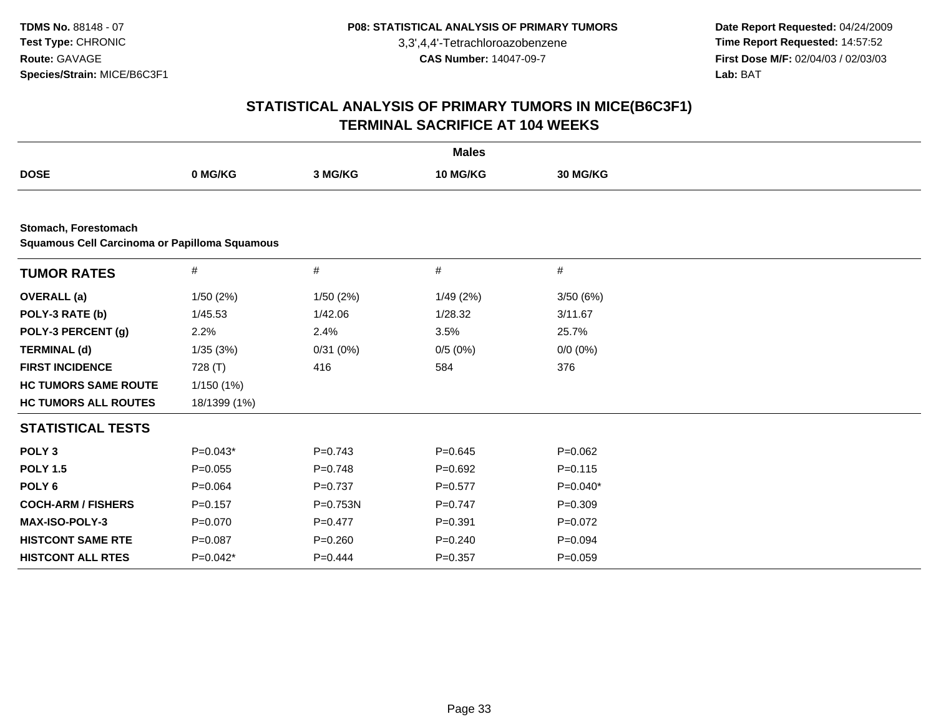**Date Report Requested:** 04/24/2009 **Time Report Requested:** 14:57:52 **First Dose M/F:** 02/04/03 / 02/03/03<br>Lab: BAT **Lab:** BAT

| <b>Males</b>                                                          |              |             |             |                 |  |  |  |
|-----------------------------------------------------------------------|--------------|-------------|-------------|-----------------|--|--|--|
| <b>DOSE</b>                                                           | 0 MG/KG      | 3 MG/KG     | 10 MG/KG    | <b>30 MG/KG</b> |  |  |  |
|                                                                       |              |             |             |                 |  |  |  |
| Stomach, Forestomach<br>Squamous Cell Carcinoma or Papilloma Squamous |              |             |             |                 |  |  |  |
| <b>TUMOR RATES</b>                                                    | $\#$         | #           | $\#$        | $\#$            |  |  |  |
| <b>OVERALL</b> (a)                                                    | 1/50(2%)     | 1/50(2%)    | 1/49 (2%)   | 3/50(6%)        |  |  |  |
| POLY-3 RATE (b)                                                       | 1/45.53      | 1/42.06     | 1/28.32     | 3/11.67         |  |  |  |
| POLY-3 PERCENT (g)                                                    | 2.2%         | 2.4%        | 3.5%        | 25.7%           |  |  |  |
| <b>TERMINAL (d)</b>                                                   | 1/35(3%)     | 0/31(0%)    | 0/5(0%)     | $0/0 (0\%)$     |  |  |  |
| <b>FIRST INCIDENCE</b>                                                | 728 (T)      | 416         | 584         | 376             |  |  |  |
| <b>HC TUMORS SAME ROUTE</b>                                           | 1/150(1%)    |             |             |                 |  |  |  |
| <b>HC TUMORS ALL ROUTES</b>                                           | 18/1399 (1%) |             |             |                 |  |  |  |
| <b>STATISTICAL TESTS</b>                                              |              |             |             |                 |  |  |  |
| POLY <sub>3</sub>                                                     | $P=0.043*$   | $P=0.743$   | $P = 0.645$ | $P=0.062$       |  |  |  |
| <b>POLY 1.5</b>                                                       | $P=0.055$    | $P=0.748$   | $P = 0.692$ | $P = 0.115$     |  |  |  |
| POLY <sub>6</sub>                                                     | $P=0.064$    | $P=0.737$   | $P = 0.577$ | $P=0.040*$      |  |  |  |
| <b>COCH-ARM / FISHERS</b>                                             | $P = 0.157$  | P=0.753N    | $P = 0.747$ | $P = 0.309$     |  |  |  |
| <b>MAX-ISO-POLY-3</b>                                                 | $P=0.070$    | $P=0.477$   | $P = 0.391$ | $P=0.072$       |  |  |  |
| <b>HISTCONT SAME RTE</b>                                              | $P = 0.087$  | $P = 0.260$ | $P = 0.240$ | $P = 0.094$     |  |  |  |
| <b>HISTCONT ALL RTES</b>                                              | $P=0.042*$   | $P=0.444$   | $P = 0.357$ | $P = 0.059$     |  |  |  |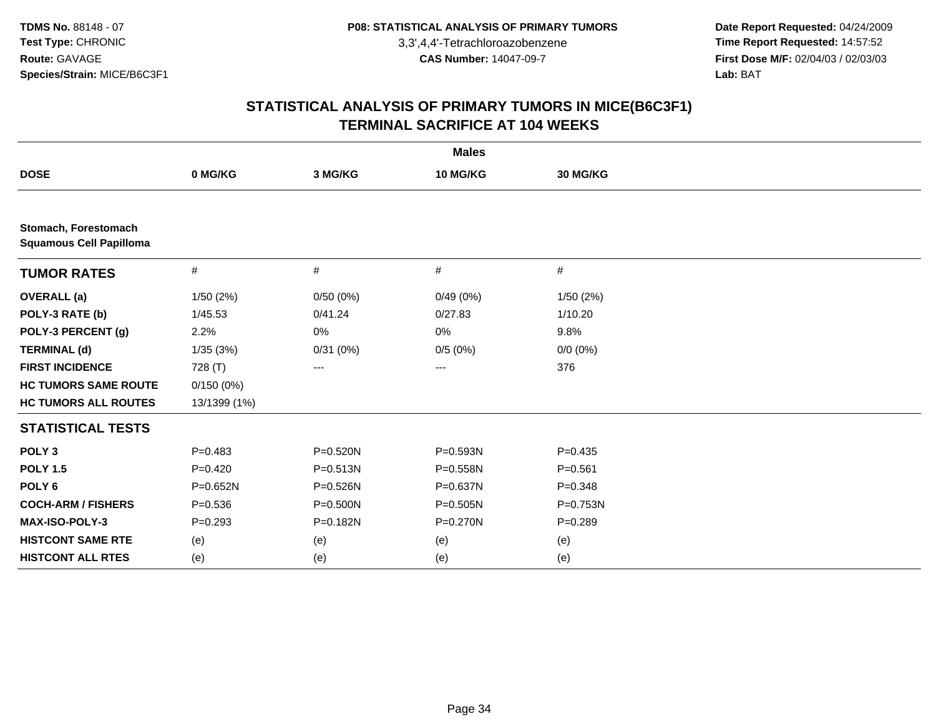**Date Report Requested:** 04/24/2009 **Time Report Requested:** 14:57:52 **First Dose M/F:** 02/04/03 / 02/03/03<br>Lab: BAT **Lab:** BAT

| <b>Males</b>                                           |              |              |                   |             |  |  |
|--------------------------------------------------------|--------------|--------------|-------------------|-------------|--|--|
| <b>DOSE</b>                                            | 0 MG/KG      | 3 MG/KG      | 10 MG/KG          | 30 MG/KG    |  |  |
|                                                        |              |              |                   |             |  |  |
| Stomach, Forestomach<br><b>Squamous Cell Papilloma</b> |              |              |                   |             |  |  |
| <b>TUMOR RATES</b>                                     | $\#$         | #            | #                 | #           |  |  |
| <b>OVERALL</b> (a)                                     | 1/50(2%)     | 0/50(0%)     | 0/49(0%)          | 1/50(2%)    |  |  |
| POLY-3 RATE (b)                                        | 1/45.53      | 0/41.24      | 0/27.83           | 1/10.20     |  |  |
| POLY-3 PERCENT (g)                                     | 2.2%         | 0%           | 0%                | 9.8%        |  |  |
| <b>TERMINAL (d)</b>                                    | 1/35(3%)     | 0/31(0%)     | 0/5(0%)           | $0/0 (0\%)$ |  |  |
| <b>FIRST INCIDENCE</b>                                 | 728 (T)      | ---          | $\qquad \qquad -$ | 376         |  |  |
| <b>HC TUMORS SAME ROUTE</b>                            | 0/150(0%)    |              |                   |             |  |  |
| <b>HC TUMORS ALL ROUTES</b>                            | 13/1399 (1%) |              |                   |             |  |  |
| <b>STATISTICAL TESTS</b>                               |              |              |                   |             |  |  |
| POLY <sub>3</sub>                                      | $P = 0.483$  | P=0.520N     | P=0.593N          | $P=0.435$   |  |  |
| <b>POLY 1.5</b>                                        | $P=0.420$    | $P = 0.513N$ | P=0.558N          | $P = 0.561$ |  |  |
| POLY <sub>6</sub>                                      | P=0.652N     | P=0.526N     | P=0.637N          | $P = 0.348$ |  |  |
| <b>COCH-ARM / FISHERS</b>                              | $P = 0.536$  | $P = 0.500N$ | $P = 0.505N$      | P=0.753N    |  |  |
| MAX-ISO-POLY-3                                         | $P = 0.293$  | P=0.182N     | P=0.270N          | $P = 0.289$ |  |  |
| <b>HISTCONT SAME RTE</b>                               | (e)          | (e)          | (e)               | (e)         |  |  |
| <b>HISTCONT ALL RTES</b>                               | (e)          | (e)          | (e)               | (e)         |  |  |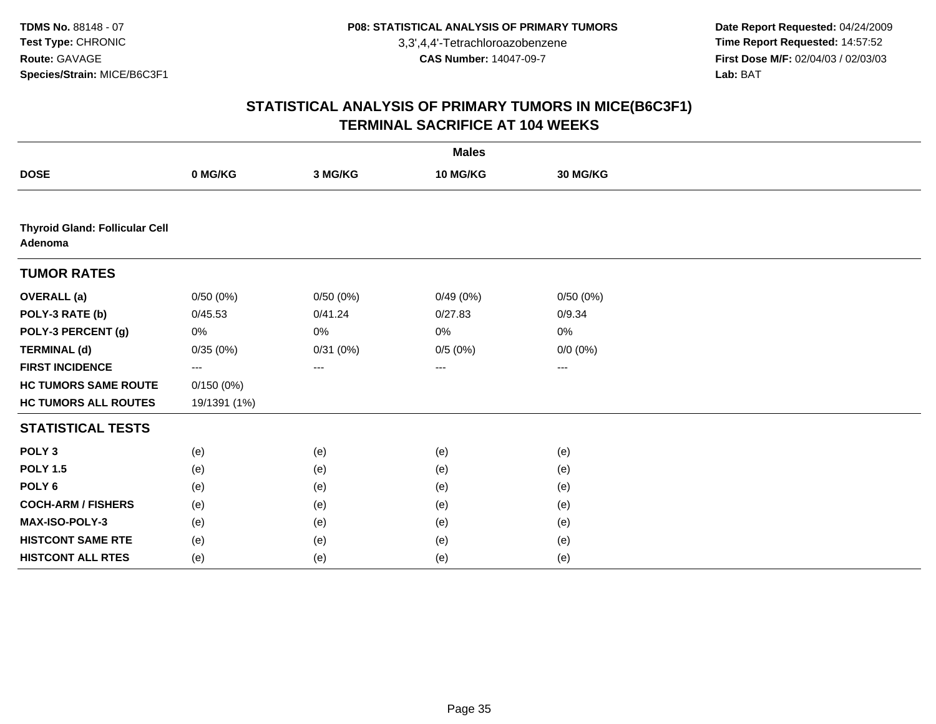**Date Report Requested:** 04/24/2009 **Time Report Requested:** 14:57:52 **First Dose M/F:** 02/04/03 / 02/03/03<br>Lab: BAT **Lab:** BAT

|                                                  |              |          | <b>Males</b> |             |  |
|--------------------------------------------------|--------------|----------|--------------|-------------|--|
| <b>DOSE</b>                                      | 0 MG/KG      | 3 MG/KG  | 10 MG/KG     | 30 MG/KG    |  |
|                                                  |              |          |              |             |  |
| <b>Thyroid Gland: Follicular Cell</b><br>Adenoma |              |          |              |             |  |
| <b>TUMOR RATES</b>                               |              |          |              |             |  |
| <b>OVERALL</b> (a)                               | 0/50(0%)     | 0/50(0%) | 0/49(0%)     | 0/50(0%)    |  |
| POLY-3 RATE (b)                                  | 0/45.53      | 0/41.24  | 0/27.83      | 0/9.34      |  |
| POLY-3 PERCENT (g)                               | 0%           | 0%       | 0%           | 0%          |  |
| <b>TERMINAL (d)</b>                              | 0/35(0%)     | 0/31(0%) | 0/5(0%)      | $0/0 (0\%)$ |  |
| <b>FIRST INCIDENCE</b>                           | ---          | $\cdots$ | ---          | ---         |  |
| <b>HC TUMORS SAME ROUTE</b>                      | 0/150(0%)    |          |              |             |  |
| <b>HC TUMORS ALL ROUTES</b>                      | 19/1391 (1%) |          |              |             |  |
| <b>STATISTICAL TESTS</b>                         |              |          |              |             |  |
| POLY <sub>3</sub>                                | (e)          | (e)      | (e)          | (e)         |  |
| <b>POLY 1.5</b>                                  | (e)          | (e)      | (e)          | (e)         |  |
| POLY <sub>6</sub>                                | (e)          | (e)      | (e)          | (e)         |  |
| <b>COCH-ARM / FISHERS</b>                        | (e)          | (e)      | (e)          | (e)         |  |
| <b>MAX-ISO-POLY-3</b>                            | (e)          | (e)      | (e)          | (e)         |  |
| <b>HISTCONT SAME RTE</b>                         | (e)          | (e)      | (e)          | (e)         |  |
| <b>HISTCONT ALL RTES</b>                         | (e)          | (e)      | (e)          | (e)         |  |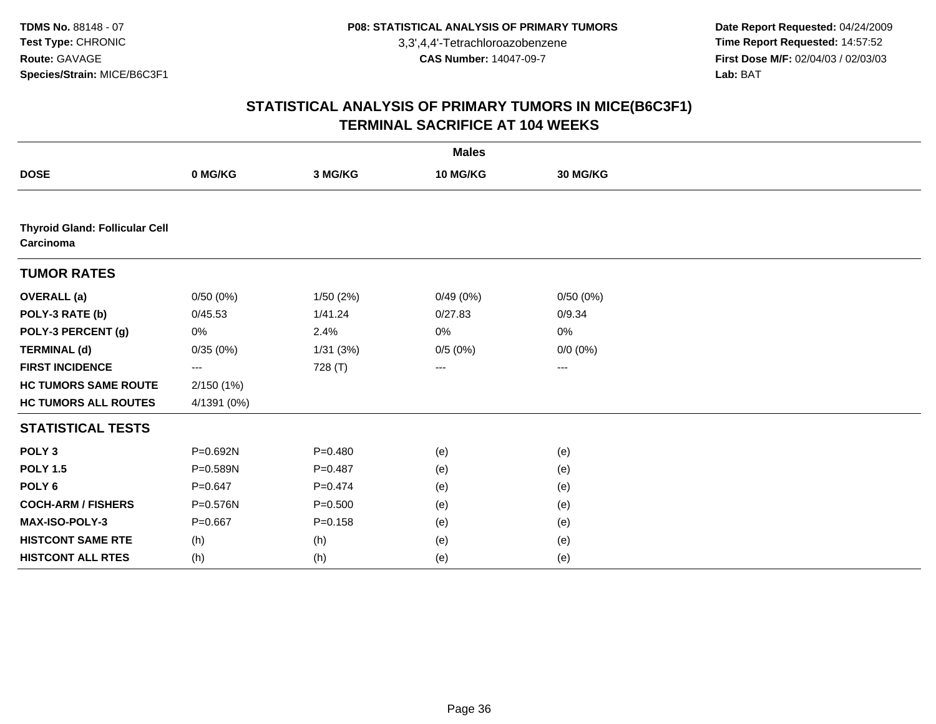**Date Report Requested:** 04/24/2009 **Time Report Requested:** 14:57:52 **First Dose M/F:** 02/04/03 / 02/03/03<br>Lab: BAT **Lab:** BAT

|                                                    |             |             | <b>Males</b> |             |  |
|----------------------------------------------------|-------------|-------------|--------------|-------------|--|
| <b>DOSE</b>                                        | 0 MG/KG     | 3 MG/KG     | 10 MG/KG     | 30 MG/KG    |  |
|                                                    |             |             |              |             |  |
| <b>Thyroid Gland: Follicular Cell</b><br>Carcinoma |             |             |              |             |  |
| <b>TUMOR RATES</b>                                 |             |             |              |             |  |
| <b>OVERALL</b> (a)                                 | 0/50(0%)    | 1/50(2%)    | 0/49(0%)     | 0/50(0%)    |  |
| POLY-3 RATE (b)                                    | 0/45.53     | 1/41.24     | 0/27.83      | 0/9.34      |  |
| POLY-3 PERCENT (g)                                 | 0%          | 2.4%        | 0%           | 0%          |  |
| <b>TERMINAL (d)</b>                                | 0/35(0%)    | 1/31(3%)    | 0/5(0%)      | $0/0 (0\%)$ |  |
| <b>FIRST INCIDENCE</b>                             | ---         | 728 (T)     | ---          | ---         |  |
| <b>HC TUMORS SAME ROUTE</b>                        | 2/150 (1%)  |             |              |             |  |
| <b>HC TUMORS ALL ROUTES</b>                        | 4/1391 (0%) |             |              |             |  |
| <b>STATISTICAL TESTS</b>                           |             |             |              |             |  |
| POLY <sub>3</sub>                                  | P=0.692N    | $P = 0.480$ | (e)          | (e)         |  |
| <b>POLY 1.5</b>                                    | P=0.589N    | $P=0.487$   | (e)          | (e)         |  |
| POLY <sub>6</sub>                                  | $P = 0.647$ | $P=0.474$   | (e)          | (e)         |  |
| <b>COCH-ARM / FISHERS</b>                          | P=0.576N    | $P = 0.500$ | (e)          | (e)         |  |
| MAX-ISO-POLY-3                                     | $P=0.667$   | $P = 0.158$ | (e)          | (e)         |  |
| <b>HISTCONT SAME RTE</b>                           | (h)         | (h)         | (e)          | (e)         |  |
| <b>HISTCONT ALL RTES</b>                           | (h)         | (h)         | (e)          | (e)         |  |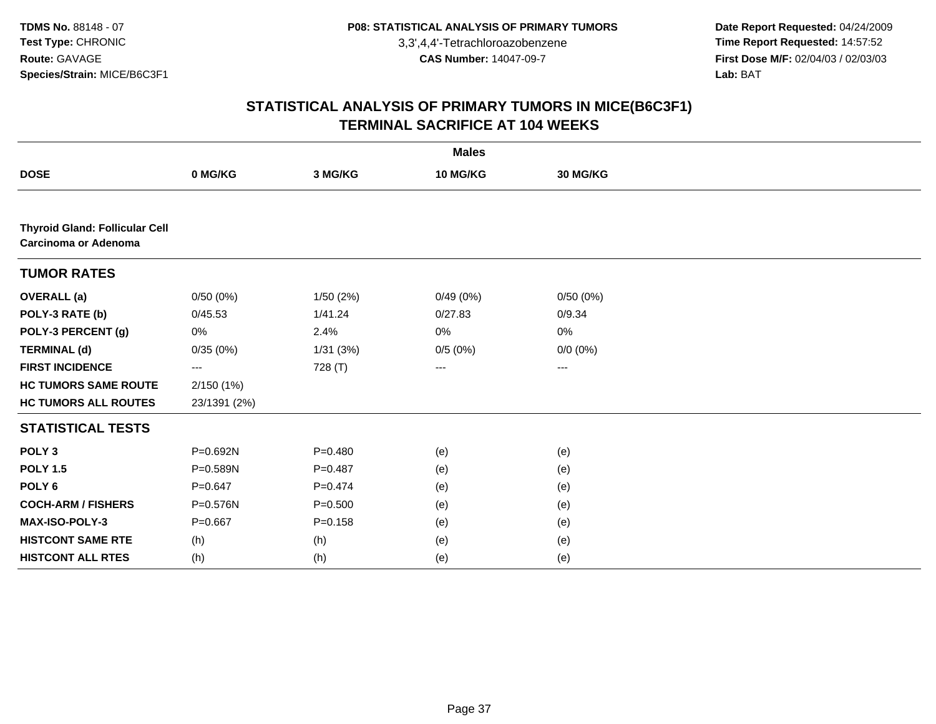**Date Report Requested:** 04/24/2009 **Time Report Requested:** 14:57:52 **First Dose M/F:** 02/04/03 / 02/03/03<br>Lab: BAT **Lab:** BAT

|                                                               |              |             | <b>Males</b>      |                   |  |
|---------------------------------------------------------------|--------------|-------------|-------------------|-------------------|--|
| <b>DOSE</b>                                                   | 0 MG/KG      | 3 MG/KG     | 10 MG/KG          | 30 MG/KG          |  |
|                                                               |              |             |                   |                   |  |
| <b>Thyroid Gland: Follicular Cell</b><br>Carcinoma or Adenoma |              |             |                   |                   |  |
| <b>TUMOR RATES</b>                                            |              |             |                   |                   |  |
| <b>OVERALL</b> (a)                                            | 0/50(0%)     | 1/50(2%)    | 0/49(0%)          | 0/50(0%)          |  |
| POLY-3 RATE (b)                                               | 0/45.53      | 1/41.24     | 0/27.83           | 0/9.34            |  |
| POLY-3 PERCENT (g)                                            | 0%           | 2.4%        | 0%                | 0%                |  |
| <b>TERMINAL (d)</b>                                           | 0/35(0%)     | 1/31(3%)    | 0/5(0%)           | $0/0 (0\%)$       |  |
| <b>FIRST INCIDENCE</b>                                        | ---          | 728 (T)     | $\qquad \qquad -$ | $\qquad \qquad -$ |  |
| <b>HC TUMORS SAME ROUTE</b>                                   | 2/150(1%)    |             |                   |                   |  |
| <b>HC TUMORS ALL ROUTES</b>                                   | 23/1391 (2%) |             |                   |                   |  |
| <b>STATISTICAL TESTS</b>                                      |              |             |                   |                   |  |
| POLY <sub>3</sub>                                             | P=0.692N     | $P=0.480$   | (e)               | (e)               |  |
| <b>POLY 1.5</b>                                               | P=0.589N     | $P=0.487$   | (e)               | (e)               |  |
| POLY <sub>6</sub>                                             | $P = 0.647$  | $P=0.474$   | (e)               | (e)               |  |
| <b>COCH-ARM / FISHERS</b>                                     | P=0.576N     | $P = 0.500$ | (e)               | (e)               |  |
| MAX-ISO-POLY-3                                                | $P = 0.667$  | $P = 0.158$ | (e)               | (e)               |  |
| <b>HISTCONT SAME RTE</b>                                      | (h)          | (h)         | (e)               | (e)               |  |
| <b>HISTCONT ALL RTES</b>                                      | (h)          | (h)         | (e)               | (e)               |  |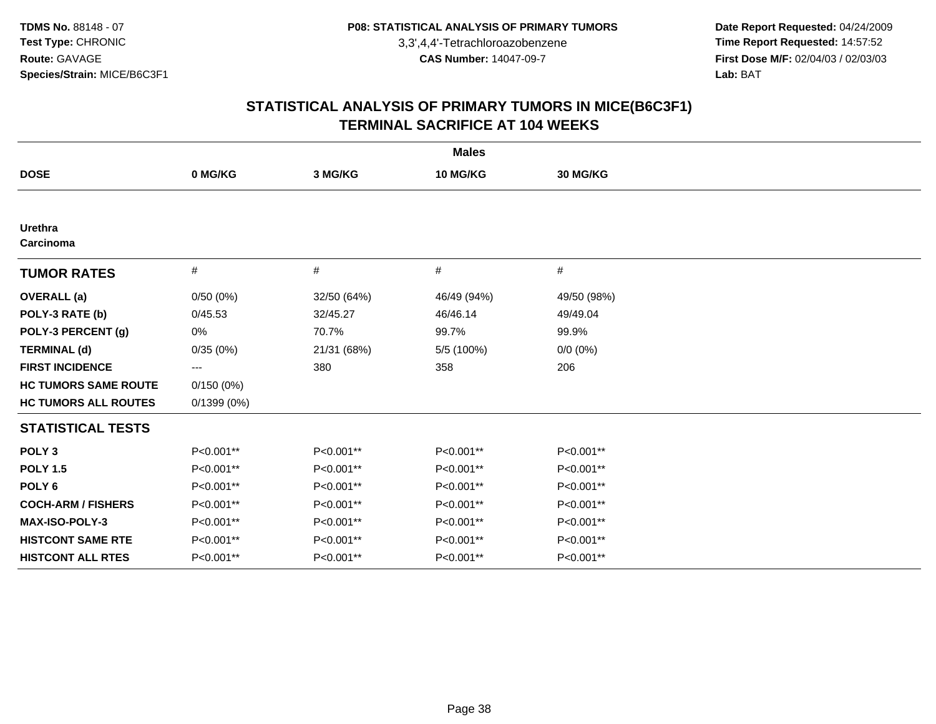**Date Report Requested:** 04/24/2009 **Time Report Requested:** 14:57:52 **First Dose M/F:** 02/04/03 / 02/03/03<br>Lab: BAT **Lab:** BAT

|                             |            |             | <b>Males</b> |             |  |
|-----------------------------|------------|-------------|--------------|-------------|--|
| <b>DOSE</b>                 | 0 MG/KG    | 3 MG/KG     | 10 MG/KG     | 30 MG/KG    |  |
|                             |            |             |              |             |  |
| <b>Urethra</b><br>Carcinoma |            |             |              |             |  |
| <b>TUMOR RATES</b>          | $\#$       | #           | #            | #           |  |
| <b>OVERALL</b> (a)          | 0/50(0%)   | 32/50 (64%) | 46/49 (94%)  | 49/50 (98%) |  |
| POLY-3 RATE (b)             | 0/45.53    | 32/45.27    | 46/46.14     | 49/49.04    |  |
| POLY-3 PERCENT (g)          | 0%         | 70.7%       | 99.7%        | 99.9%       |  |
| <b>TERMINAL (d)</b>         | 0/35(0%)   | 21/31 (68%) | 5/5 (100%)   | $0/0 (0\%)$ |  |
| <b>FIRST INCIDENCE</b>      | ---        | 380         | 358          | 206         |  |
| <b>HC TUMORS SAME ROUTE</b> | 0/150(0%)  |             |              |             |  |
| <b>HC TUMORS ALL ROUTES</b> | 0/1399(0%) |             |              |             |  |
| <b>STATISTICAL TESTS</b>    |            |             |              |             |  |
| POLY <sub>3</sub>           | P<0.001**  | P<0.001**   | P<0.001**    | P<0.001**   |  |
| <b>POLY 1.5</b>             | P<0.001**  | P<0.001**   | P<0.001**    | P<0.001**   |  |
| POLY <sub>6</sub>           | P<0.001**  | P<0.001**   | P<0.001**    | P<0.001**   |  |
| <b>COCH-ARM / FISHERS</b>   | P<0.001**  | P<0.001**   | P<0.001**    | P<0.001**   |  |
| <b>MAX-ISO-POLY-3</b>       | P<0.001**  | P<0.001**   | P<0.001**    | P<0.001**   |  |
| <b>HISTCONT SAME RTE</b>    | P<0.001**  | P<0.001**   | P<0.001**    | P<0.001**   |  |
| <b>HISTCONT ALL RTES</b>    | P<0.001**  | P<0.001**   | P<0.001**    | P<0.001**   |  |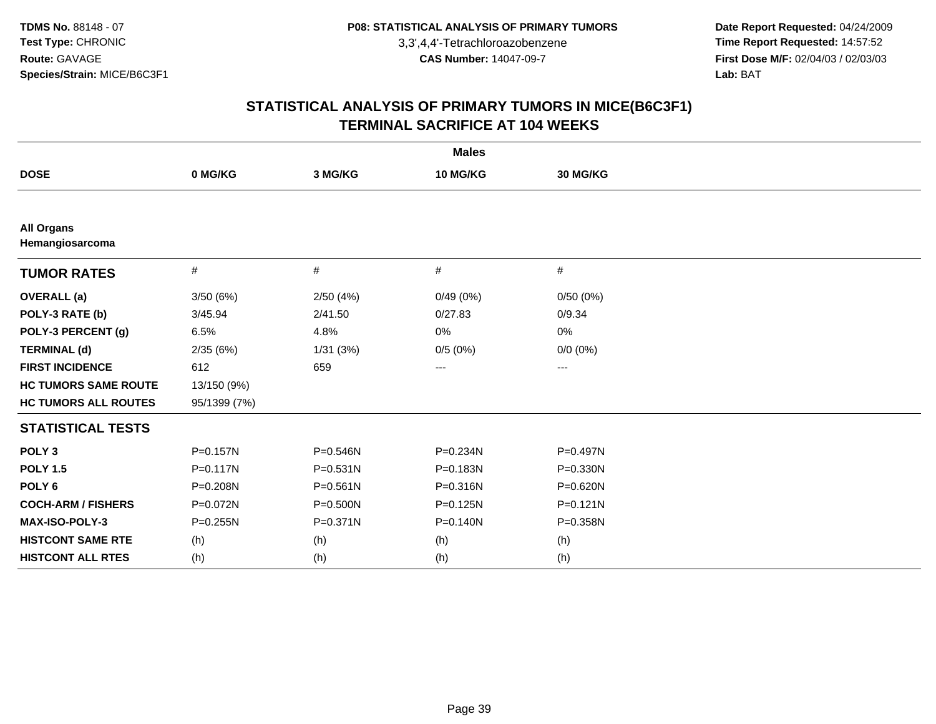**Date Report Requested:** 04/24/2009 **Time Report Requested:** 14:57:52 **First Dose M/F:** 02/04/03 / 02/03/03<br>Lab: BAT **Lab:** BAT

|                                      |              |              | <b>Males</b>           |                        |  |
|--------------------------------------|--------------|--------------|------------------------|------------------------|--|
| <b>DOSE</b>                          | 0 MG/KG      | 3 MG/KG      | 10 MG/KG               | 30 MG/KG               |  |
|                                      |              |              |                        |                        |  |
| <b>All Organs</b><br>Hemangiosarcoma |              |              |                        |                        |  |
| <b>TUMOR RATES</b>                   | #            | #            | #                      | $\#$                   |  |
| <b>OVERALL</b> (a)                   | 3/50(6%)     | 2/50(4%)     | 0/49(0%)               | 0/50(0%)               |  |
| POLY-3 RATE (b)                      | 3/45.94      | 2/41.50      | 0/27.83                | 0/9.34                 |  |
| POLY-3 PERCENT (g)                   | 6.5%         | 4.8%         | 0%                     | 0%                     |  |
| <b>TERMINAL (d)</b>                  | 2/35(6%)     | 1/31(3%)     | 0/5(0%)                | $0/0(0\%)$             |  |
| <b>FIRST INCIDENCE</b>               | 612          | 659          | $\qquad \qquad \cdots$ | $\qquad \qquad \cdots$ |  |
| <b>HC TUMORS SAME ROUTE</b>          | 13/150 (9%)  |              |                        |                        |  |
| <b>HC TUMORS ALL ROUTES</b>          | 95/1399 (7%) |              |                        |                        |  |
| <b>STATISTICAL TESTS</b>             |              |              |                        |                        |  |
| POLY <sub>3</sub>                    | P=0.157N     | P=0.546N     | P=0.234N               | P=0.497N               |  |
| <b>POLY 1.5</b>                      | P=0.117N     | P=0.531N     | P=0.183N               | P=0.330N               |  |
| POLY <sub>6</sub>                    | P=0.208N     | $P = 0.561N$ | P=0.316N               | P=0.620N               |  |
| <b>COCH-ARM / FISHERS</b>            | P=0.072N     | P=0.500N     | $P = 0.125N$           | $P = 0.121N$           |  |
| <b>MAX-ISO-POLY-3</b>                | $P = 0.255N$ | P=0.371N     | $P = 0.140N$           | P=0.358N               |  |
| <b>HISTCONT SAME RTE</b>             | (h)          | (h)          | (h)                    | (h)                    |  |
| <b>HISTCONT ALL RTES</b>             | (h)          | (h)          | (h)                    | (h)                    |  |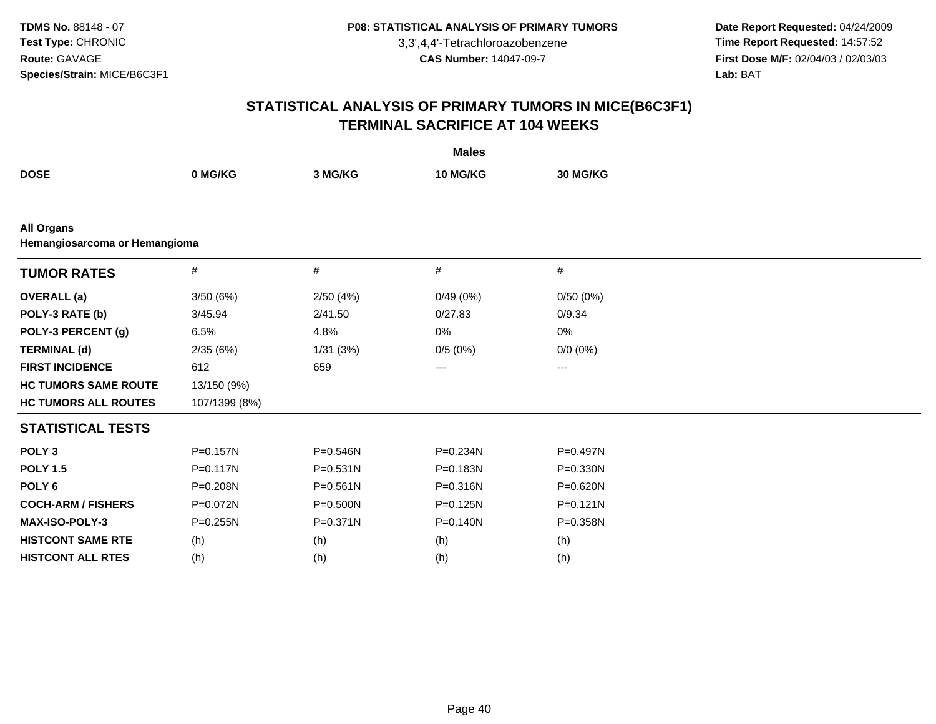**Date Report Requested:** 04/24/2009 **Time Report Requested:** 14:57:52 **First Dose M/F:** 02/04/03 / 02/03/03<br>Lab: BAT **Lab:** BAT

|                                                    |               |              | <b>Males</b> |                   |  |  |  |  |
|----------------------------------------------------|---------------|--------------|--------------|-------------------|--|--|--|--|
| <b>DOSE</b>                                        | 0 MG/KG       | 3 MG/KG      | 10 MG/KG     | 30 MG/KG          |  |  |  |  |
|                                                    |               |              |              |                   |  |  |  |  |
| <b>All Organs</b><br>Hemangiosarcoma or Hemangioma |               |              |              |                   |  |  |  |  |
| <b>TUMOR RATES</b>                                 | $\#$          | #            | #            | #                 |  |  |  |  |
| <b>OVERALL</b> (a)                                 | 3/50(6%)      | 2/50(4%)     | 0/49(0%)     | 0/50(0%)          |  |  |  |  |
| POLY-3 RATE (b)                                    | 3/45.94       | 2/41.50      | 0/27.83      | 0/9.34            |  |  |  |  |
| POLY-3 PERCENT (g)                                 | 6.5%          | 4.8%         | 0%           | 0%                |  |  |  |  |
| <b>TERMINAL (d)</b>                                | 2/35(6%)      | 1/31(3%)     | 0/5(0%)      | $0/0 (0\%)$       |  |  |  |  |
| <b>FIRST INCIDENCE</b>                             | 612           | 659          | ---          | $\qquad \qquad -$ |  |  |  |  |
| <b>HC TUMORS SAME ROUTE</b>                        | 13/150 (9%)   |              |              |                   |  |  |  |  |
| <b>HC TUMORS ALL ROUTES</b>                        | 107/1399 (8%) |              |              |                   |  |  |  |  |
| <b>STATISTICAL TESTS</b>                           |               |              |              |                   |  |  |  |  |
| POLY <sub>3</sub>                                  | $P = 0.157N$  | $P = 0.546N$ | $P = 0.234N$ | P=0.497N          |  |  |  |  |
| <b>POLY 1.5</b>                                    | $P = 0.117N$  | $P = 0.531N$ | P=0.183N     | P=0.330N          |  |  |  |  |
| POLY <sub>6</sub>                                  | P=0.208N      | $P = 0.561N$ | P=0.316N     | P=0.620N          |  |  |  |  |
| <b>COCH-ARM / FISHERS</b>                          | P=0.072N      | P=0.500N     | $P = 0.125N$ | $P = 0.121N$      |  |  |  |  |
| <b>MAX-ISO-POLY-3</b>                              | $P = 0.255N$  | P=0.371N     | $P = 0.140N$ | P=0.358N          |  |  |  |  |
| <b>HISTCONT SAME RTE</b>                           | (h)           | (h)          | (h)          | (h)               |  |  |  |  |
| <b>HISTCONT ALL RTES</b>                           | (h)           | (h)          | (h)          | (h)               |  |  |  |  |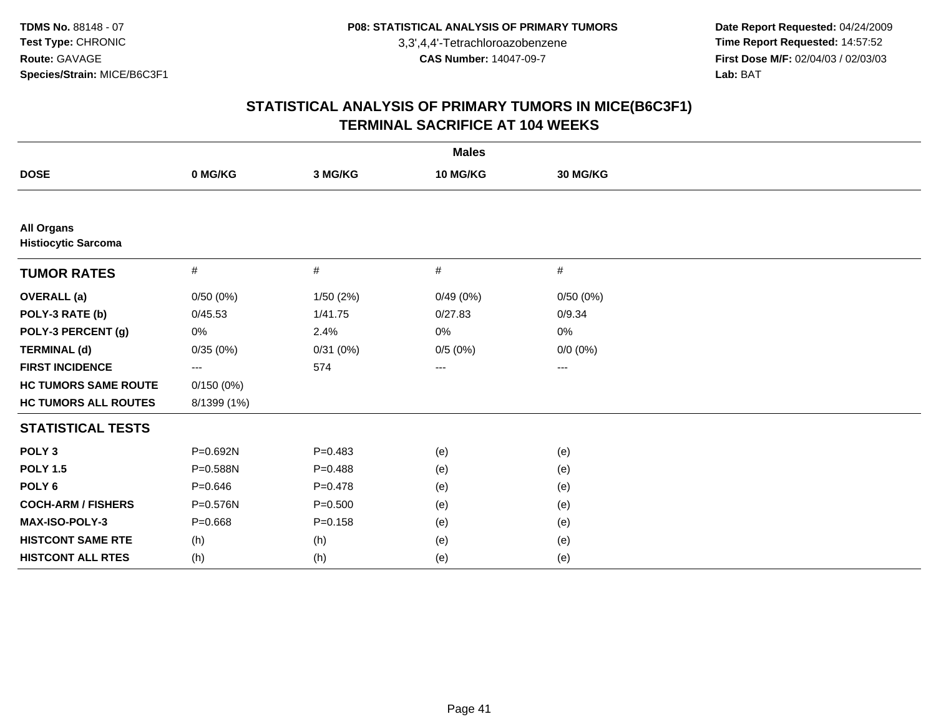**Date Report Requested:** 04/24/2009 **Time Report Requested:** 14:57:52 **First Dose M/F:** 02/04/03 / 02/03/03<br>Lab: BAT **Lab:** BAT

|                                                 |             |             | <b>Males</b> |             |  |
|-------------------------------------------------|-------------|-------------|--------------|-------------|--|
| <b>DOSE</b>                                     | 0 MG/KG     | 3 MG/KG     | 10 MG/KG     | 30 MG/KG    |  |
|                                                 |             |             |              |             |  |
| <b>All Organs</b><br><b>Histiocytic Sarcoma</b> |             |             |              |             |  |
| <b>TUMOR RATES</b>                              | $\#$        | #           | #            | $\#$        |  |
| <b>OVERALL (a)</b>                              | 0/50(0%)    | 1/50(2%)    | 0/49(0%)     | 0/50(0%)    |  |
| POLY-3 RATE (b)                                 | 0/45.53     | 1/41.75     | 0/27.83      | 0/9.34      |  |
| POLY-3 PERCENT (g)                              | 0%          | 2.4%        | 0%           | 0%          |  |
| <b>TERMINAL (d)</b>                             | 0/35(0%)    | 0/31(0%)    | 0/5(0%)      | $0/0 (0\%)$ |  |
| <b>FIRST INCIDENCE</b>                          | ---         | 574         | $\cdots$     | $\cdots$    |  |
| <b>HC TUMORS SAME ROUTE</b>                     | 0/150(0%)   |             |              |             |  |
| <b>HC TUMORS ALL ROUTES</b>                     | 8/1399 (1%) |             |              |             |  |
| <b>STATISTICAL TESTS</b>                        |             |             |              |             |  |
| POLY <sub>3</sub>                               | P=0.692N    | $P=0.483$   | (e)          | (e)         |  |
| <b>POLY 1.5</b>                                 | P=0.588N    | $P = 0.488$ | (e)          | (e)         |  |
| POLY <sub>6</sub>                               | $P = 0.646$ | $P = 0.478$ | (e)          | (e)         |  |
| <b>COCH-ARM / FISHERS</b>                       | P=0.576N    | $P = 0.500$ | (e)          | (e)         |  |
| MAX-ISO-POLY-3                                  | $P = 0.668$ | $P = 0.158$ | (e)          | (e)         |  |
| <b>HISTCONT SAME RTE</b>                        | (h)         | (h)         | (e)          | (e)         |  |
| <b>HISTCONT ALL RTES</b>                        | (h)         | (h)         | (e)          | (e)         |  |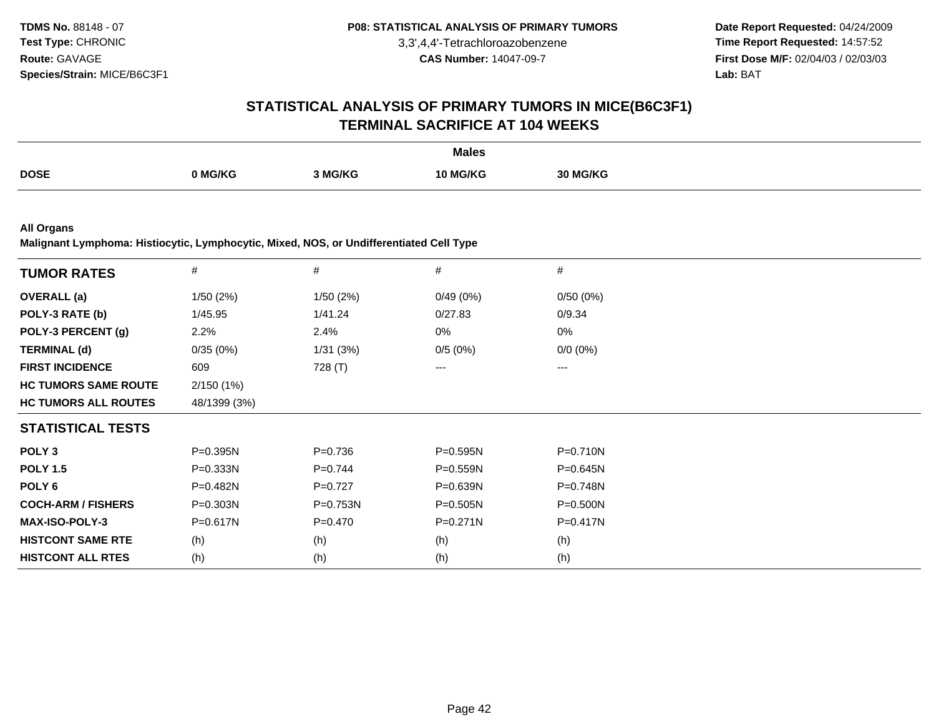**Date Report Requested:** 04/24/2009 **Time Report Requested:** 14:57:52 **First Dose M/F:** 02/04/03 / 02/03/03<br>**Lab:** BAT **Lab:** BAT

# **STATISTICAL ANALYSIS OF PRIMARY TUMORS IN MICE(B6C3F1)TERMINAL SACRIFICE AT 104 WEEKS**

|             |         |         | <b>Males</b>    |              |
|-------------|---------|---------|-----------------|--------------|
| <b>DOSE</b> | NG/KG ∖ | , MG/KG | <b>10 MG/KG</b> | <b>MG/KG</b> |
|             |         |         |                 |              |

**All Organs**

**Malignant Lymphoma: Histiocytic, Lymphocytic, Mixed, NOS, or Undifferentiated Cell Type**

| <b>TUMOR RATES</b>          | #            | #           | #            | $\#$         |  |
|-----------------------------|--------------|-------------|--------------|--------------|--|
| <b>OVERALL</b> (a)          | 1/50(2%)     | 1/50 (2%)   | 0/49(0%)     | 0/50(0%)     |  |
| POLY-3 RATE (b)             | 1/45.95      | 1/41.24     | 0/27.83      | 0/9.34       |  |
| POLY-3 PERCENT (g)          | 2.2%         | 2.4%        | 0%           | 0%           |  |
| <b>TERMINAL (d)</b>         | 0/35(0%)     | 1/31(3%)    | 0/5(0%)      | $0/0 (0\%)$  |  |
| <b>FIRST INCIDENCE</b>      | 609          | 728 (T)     | $--$         | ---          |  |
| <b>HC TUMORS SAME ROUTE</b> | 2/150(1%)    |             |              |              |  |
| <b>HC TUMORS ALL ROUTES</b> | 48/1399 (3%) |             |              |              |  |
| <b>STATISTICAL TESTS</b>    |              |             |              |              |  |
| POLY <sub>3</sub>           | $P = 0.395N$ | $P = 0.736$ | $P = 0.595N$ | P=0.710N     |  |
| <b>POLY 1.5</b>             | $P = 0.333N$ | $P=0.744$   | $P = 0.559N$ | $P = 0.645N$ |  |
| POLY 6                      | P=0.482N     | $P=0.727$   | P=0.639N     | P=0.748N     |  |
| <b>COCH-ARM / FISHERS</b>   | P=0.303N     | P=0.753N    | P=0.505N     | P=0.500N     |  |
| <b>MAX-ISO-POLY-3</b>       | P=0.617N     | $P = 0.470$ | $P = 0.271N$ | $P = 0.417N$ |  |
| <b>HISTCONT SAME RTE</b>    | (h)          | (h)         | (h)          | (h)          |  |
| <b>HISTCONT ALL RTES</b>    | (h)          | (h)         | (h)          | (h)          |  |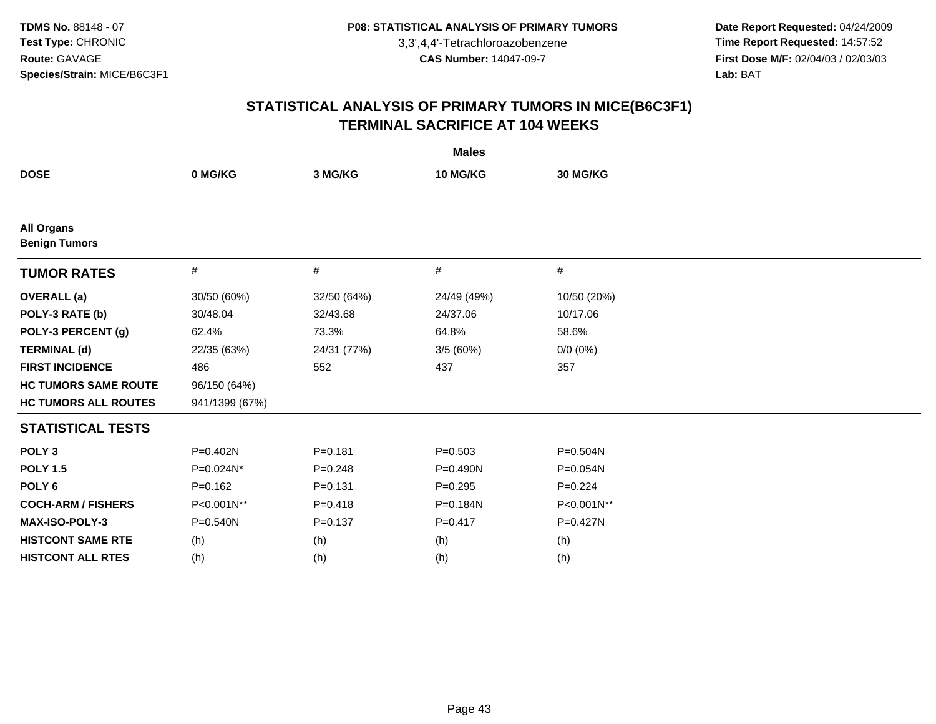**Date Report Requested:** 04/24/2009 **Time Report Requested:** 14:57:52 **First Dose M/F:** 02/04/03 / 02/03/03<br>Lab: BAT **Lab:** BAT

|                                           |                |             | <b>Males</b> |              |
|-------------------------------------------|----------------|-------------|--------------|--------------|
| <b>DOSE</b>                               | 0 MG/KG        | 3 MG/KG     | 10 MG/KG     | 30 MG/KG     |
|                                           |                |             |              |              |
| <b>All Organs</b><br><b>Benign Tumors</b> |                |             |              |              |
| <b>TUMOR RATES</b>                        | $\#$           | #           | #            | $\#$         |
| <b>OVERALL (a)</b>                        | 30/50 (60%)    | 32/50 (64%) | 24/49 (49%)  | 10/50 (20%)  |
| POLY-3 RATE (b)                           | 30/48.04       | 32/43.68    | 24/37.06     | 10/17.06     |
| POLY-3 PERCENT (g)                        | 62.4%          | 73.3%       | 64.8%        | 58.6%        |
| <b>TERMINAL (d)</b>                       | 22/35 (63%)    | 24/31 (77%) | 3/5(60%)     | $0/0 (0\%)$  |
| <b>FIRST INCIDENCE</b>                    | 486            | 552         | 437          | 357          |
| <b>HC TUMORS SAME ROUTE</b>               | 96/150 (64%)   |             |              |              |
| <b>HC TUMORS ALL ROUTES</b>               | 941/1399 (67%) |             |              |              |
| <b>STATISTICAL TESTS</b>                  |                |             |              |              |
| POLY <sub>3</sub>                         | $P = 0.402N$   | $P = 0.181$ | $P = 0.503$  | $P = 0.504N$ |
| <b>POLY 1.5</b>                           | P=0.024N*      | $P = 0.248$ | P=0.490N     | P=0.054N     |
| POLY <sub>6</sub>                         | $P=0.162$      | $P = 0.131$ | $P=0.295$    | $P=0.224$    |
| <b>COCH-ARM / FISHERS</b>                 | P<0.001N**     | $P = 0.418$ | P=0.184N     | P<0.001N**   |
| MAX-ISO-POLY-3                            | $P = 0.540N$   | $P = 0.137$ | $P = 0.417$  | P=0.427N     |
| <b>HISTCONT SAME RTE</b>                  | (h)            | (h)         | (h)          | (h)          |
| <b>HISTCONT ALL RTES</b>                  | (h)            | (h)         | (h)          | (h)          |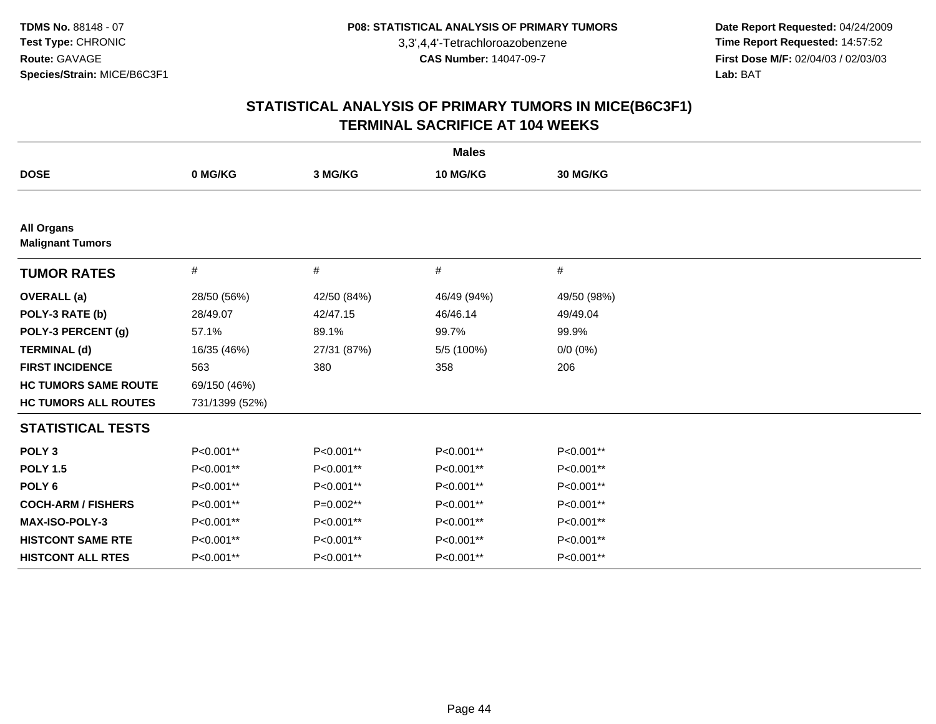**Date Report Requested:** 04/24/2009 **Time Report Requested:** 14:57:52 **First Dose M/F:** 02/04/03 / 02/03/03<br>Lab: BAT **Lab:** BAT

|                                              |                |             | <b>Males</b> |             |
|----------------------------------------------|----------------|-------------|--------------|-------------|
| <b>DOSE</b>                                  | 0 MG/KG        | 3 MG/KG     | 10 MG/KG     | 30 MG/KG    |
|                                              |                |             |              |             |
| <b>All Organs</b><br><b>Malignant Tumors</b> |                |             |              |             |
| <b>TUMOR RATES</b>                           | $\#$           | #           | #            | $\#$        |
| <b>OVERALL</b> (a)                           | 28/50 (56%)    | 42/50 (84%) | 46/49 (94%)  | 49/50 (98%) |
| POLY-3 RATE (b)                              | 28/49.07       | 42/47.15    | 46/46.14     | 49/49.04    |
| POLY-3 PERCENT (g)                           | 57.1%          | 89.1%       | 99.7%        | 99.9%       |
| <b>TERMINAL (d)</b>                          | 16/35 (46%)    | 27/31 (87%) | 5/5 (100%)   | $0/0 (0\%)$ |
| <b>FIRST INCIDENCE</b>                       | 563            | 380         | 358          | 206         |
| <b>HC TUMORS SAME ROUTE</b>                  | 69/150 (46%)   |             |              |             |
| <b>HC TUMORS ALL ROUTES</b>                  | 731/1399 (52%) |             |              |             |
| <b>STATISTICAL TESTS</b>                     |                |             |              |             |
| POLY <sub>3</sub>                            | P<0.001**      | P<0.001**   | P<0.001**    | P<0.001**   |
| <b>POLY 1.5</b>                              | P<0.001**      | P<0.001**   | P<0.001**    | P<0.001**   |
| POLY <sub>6</sub>                            | P<0.001**      | P<0.001**   | P<0.001**    | P<0.001**   |
| <b>COCH-ARM / FISHERS</b>                    | P<0.001**      | P=0.002**   | P<0.001**    | P<0.001**   |
| MAX-ISO-POLY-3                               | P<0.001**      | P<0.001**   | P<0.001**    | P<0.001**   |
| <b>HISTCONT SAME RTE</b>                     | P<0.001**      | P<0.001**   | P<0.001**    | P<0.001**   |
| <b>HISTCONT ALL RTES</b>                     | P<0.001**      | P<0.001**   | P<0.001**    | P<0.001**   |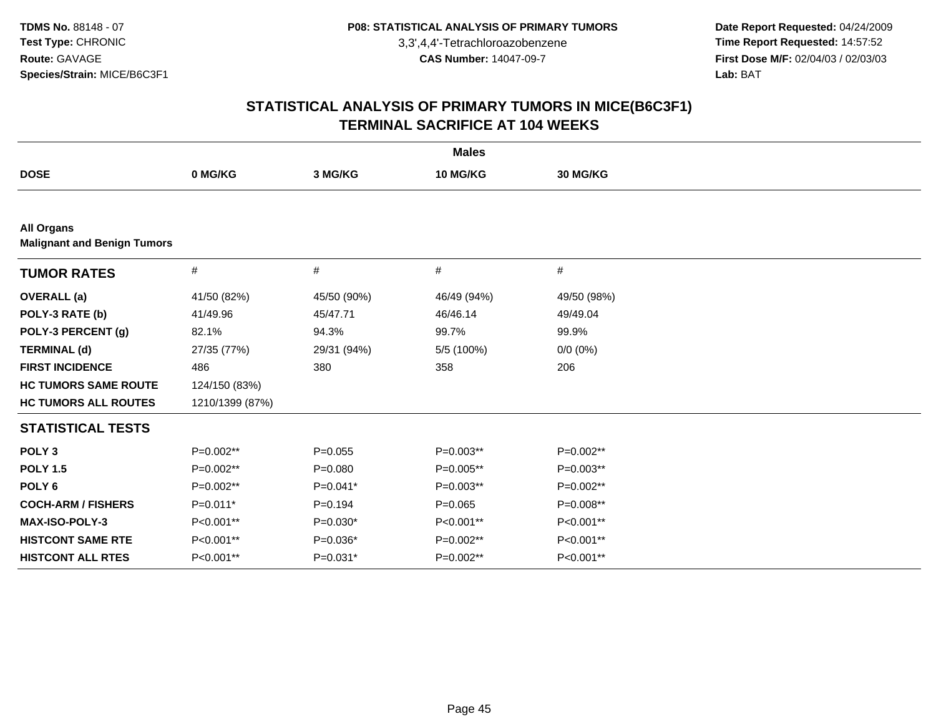**Date Report Requested:** 04/24/2009 **Time Report Requested:** 14:57:52 **First Dose M/F:** 02/04/03 / 02/03/03<br>Lab: BAT **Lab:** BAT

|                                                         |                 |             | <b>Males</b> |             |  |
|---------------------------------------------------------|-----------------|-------------|--------------|-------------|--|
| <b>DOSE</b>                                             | 0 MG/KG         | 3 MG/KG     | 10 MG/KG     | 30 MG/KG    |  |
|                                                         |                 |             |              |             |  |
| <b>All Organs</b><br><b>Malignant and Benign Tumors</b> |                 |             |              |             |  |
| <b>TUMOR RATES</b>                                      | #               | #           | #            | #           |  |
| <b>OVERALL</b> (a)                                      | 41/50 (82%)     | 45/50 (90%) | 46/49 (94%)  | 49/50 (98%) |  |
| POLY-3 RATE (b)                                         | 41/49.96        | 45/47.71    | 46/46.14     | 49/49.04    |  |
| POLY-3 PERCENT (g)                                      | 82.1%           | 94.3%       | 99.7%        | 99.9%       |  |
| <b>TERMINAL (d)</b>                                     | 27/35 (77%)     | 29/31 (94%) | 5/5 (100%)   | $0/0 (0\%)$ |  |
| <b>FIRST INCIDENCE</b>                                  | 486             | 380         | 358          | 206         |  |
| <b>HC TUMORS SAME ROUTE</b>                             | 124/150 (83%)   |             |              |             |  |
| <b>HC TUMORS ALL ROUTES</b>                             | 1210/1399 (87%) |             |              |             |  |
| <b>STATISTICAL TESTS</b>                                |                 |             |              |             |  |
| POLY <sub>3</sub>                                       | $P=0.002**$     | $P=0.055$   | $P=0.003**$  | P=0.002**   |  |
| <b>POLY 1.5</b>                                         | P=0.002**       | $P = 0.080$ | P=0.005**    | $P=0.003**$ |  |
| POLY <sub>6</sub>                                       | P=0.002**       | $P=0.041*$  | $P=0.003**$  | P=0.002**   |  |
| <b>COCH-ARM / FISHERS</b>                               | P=0.011*        | $P=0.194$   | $P=0.065$    | P=0.008**   |  |
| <b>MAX-ISO-POLY-3</b>                                   | P<0.001**       | $P=0.030*$  | P<0.001**    | P<0.001**   |  |
| <b>HISTCONT SAME RTE</b>                                | P<0.001**       | $P=0.036*$  | P=0.002**    | P<0.001**   |  |
| <b>HISTCONT ALL RTES</b>                                | P<0.001**       | $P=0.031*$  | P=0.002**    | P<0.001**   |  |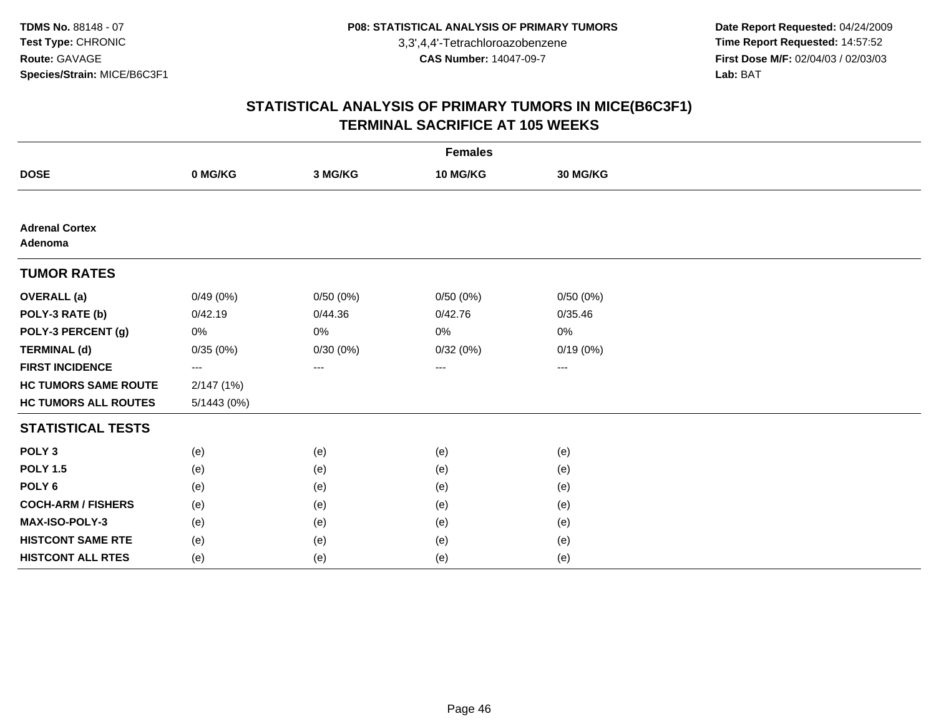**Date Report Requested:** 04/24/2009 **Time Report Requested:** 14:57:52 **First Dose M/F:** 02/04/03 / 02/03/03<br>Lab: BAT **Lab:** BAT

|                                  |            |          | <b>Females</b> |                   |  |
|----------------------------------|------------|----------|----------------|-------------------|--|
| <b>DOSE</b>                      | 0 MG/KG    | 3 MG/KG  | 10 MG/KG       | 30 MG/KG          |  |
|                                  |            |          |                |                   |  |
| <b>Adrenal Cortex</b><br>Adenoma |            |          |                |                   |  |
| <b>TUMOR RATES</b>               |            |          |                |                   |  |
| <b>OVERALL</b> (a)               | 0/49(0%)   | 0/50(0%) | 0/50(0%)       | 0/50(0%)          |  |
| POLY-3 RATE (b)                  | 0/42.19    | 0/44.36  | 0/42.76        | 0/35.46           |  |
| POLY-3 PERCENT (g)               | 0%         | $0\%$    | $0\%$          | 0%                |  |
| <b>TERMINAL (d)</b>              | 0/35(0%)   | 0/30(0%) | 0/32(0%)       | 0/19(0%)          |  |
| <b>FIRST INCIDENCE</b>           | ---        | ---      | $\cdots$       | $\qquad \qquad -$ |  |
| <b>HC TUMORS SAME ROUTE</b>      | 2/147(1%)  |          |                |                   |  |
| <b>HC TUMORS ALL ROUTES</b>      | 5/1443(0%) |          |                |                   |  |
| <b>STATISTICAL TESTS</b>         |            |          |                |                   |  |
| POLY <sub>3</sub>                | (e)        | (e)      | (e)            | (e)               |  |
| <b>POLY 1.5</b>                  | (e)        | (e)      | (e)            | (e)               |  |
| POLY <sub>6</sub>                | (e)        | (e)      | (e)            | (e)               |  |
| <b>COCH-ARM / FISHERS</b>        | (e)        | (e)      | (e)            | (e)               |  |
| MAX-ISO-POLY-3                   | (e)        | (e)      | (e)            | (e)               |  |
| <b>HISTCONT SAME RTE</b>         | (e)        | (e)      | (e)            | (e)               |  |
| <b>HISTCONT ALL RTES</b>         | (e)        | (e)      | (e)            | (e)               |  |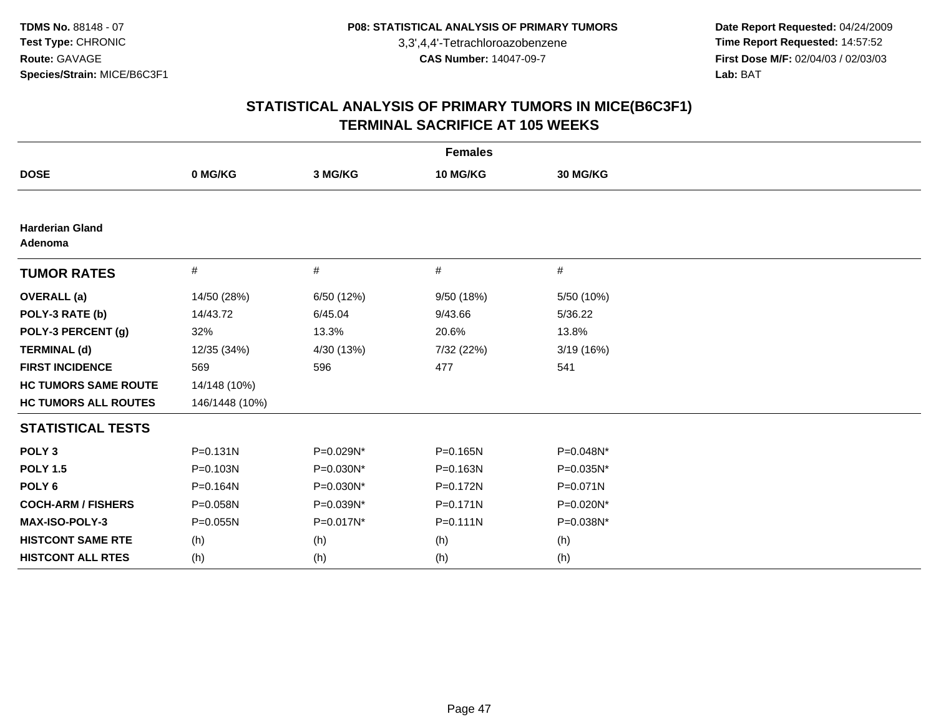**Date Report Requested:** 04/24/2009 **Time Report Requested:** 14:57:52 **First Dose M/F:** 02/04/03 / 02/03/03<br>Lab: BAT **Lab:** BAT

|                                   |                |            | <b>Females</b> |              |
|-----------------------------------|----------------|------------|----------------|--------------|
| <b>DOSE</b>                       | 0 MG/KG        | 3 MG/KG    | 10 MG/KG       | 30 MG/KG     |
|                                   |                |            |                |              |
| <b>Harderian Gland</b><br>Adenoma |                |            |                |              |
| <b>TUMOR RATES</b>                | $\#$           | $\#$       | #              | #            |
| <b>OVERALL</b> (a)                | 14/50 (28%)    | 6/50 (12%) | 9/50 (18%)     | 5/50 (10%)   |
| POLY-3 RATE (b)                   | 14/43.72       | 6/45.04    | 9/43.66        | 5/36.22      |
| POLY-3 PERCENT (g)                | 32%            | 13.3%      | 20.6%          | 13.8%        |
| <b>TERMINAL (d)</b>               | 12/35 (34%)    | 4/30 (13%) | 7/32 (22%)     | 3/19 (16%)   |
| <b>FIRST INCIDENCE</b>            | 569            | 596        | 477            | 541          |
| <b>HC TUMORS SAME ROUTE</b>       | 14/148 (10%)   |            |                |              |
| <b>HC TUMORS ALL ROUTES</b>       | 146/1448 (10%) |            |                |              |
| <b>STATISTICAL TESTS</b>          |                |            |                |              |
| POLY <sub>3</sub>                 | $P = 0.131N$   | P=0.029N*  | P=0.165N       | P=0.048N*    |
| <b>POLY 1.5</b>                   | P=0.103N       | P=0.030N*  | P=0.163N       | P=0.035N*    |
| POLY <sub>6</sub>                 | P=0.164N       | P=0.030N*  | P=0.172N       | $P = 0.071N$ |
| <b>COCH-ARM / FISHERS</b>         | P=0.058N       | P=0.039N*  | $P = 0.171N$   | P=0.020N*    |
| <b>MAX-ISO-POLY-3</b>             | P=0.055N       | P=0.017N*  | $P = 0.111N$   | P=0.038N*    |
| <b>HISTCONT SAME RTE</b>          | (h)            | (h)        | (h)            | (h)          |
| <b>HISTCONT ALL RTES</b>          | (h)            | (h)        | (h)            | (h)          |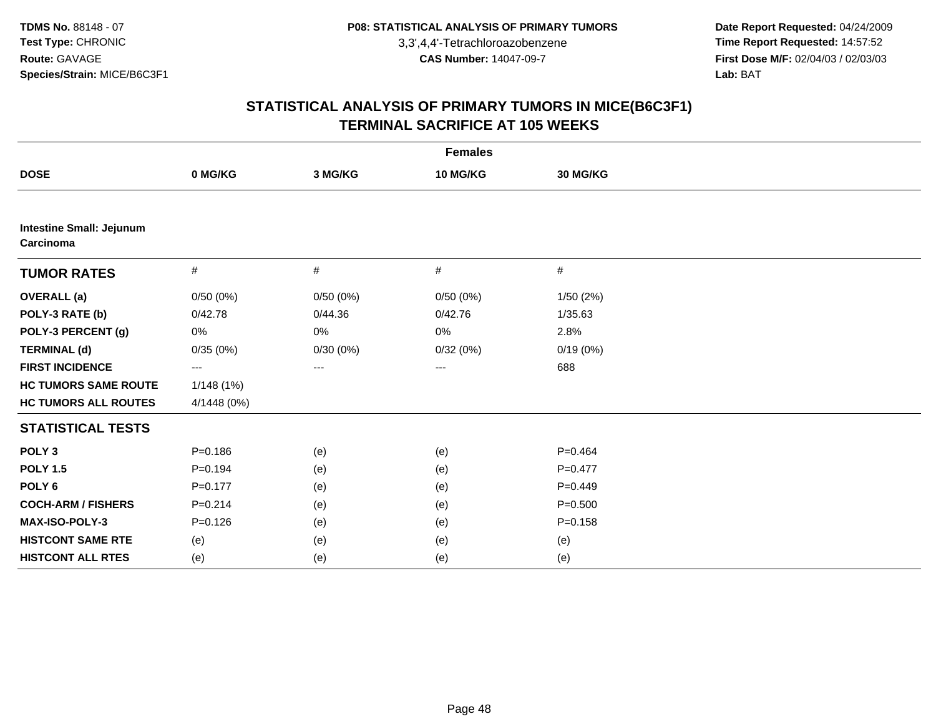**Date Report Requested:** 04/24/2009 **Time Report Requested:** 14:57:52 **First Dose M/F:** 02/04/03 / 02/03/03<br>Lab: BAT **Lab:** BAT

| <b>Females</b>                               |             |          |          |             |  |  |
|----------------------------------------------|-------------|----------|----------|-------------|--|--|
| <b>DOSE</b>                                  | 0 MG/KG     | 3 MG/KG  | 10 MG/KG | 30 MG/KG    |  |  |
|                                              |             |          |          |             |  |  |
| <b>Intestine Small: Jejunum</b><br>Carcinoma |             |          |          |             |  |  |
| <b>TUMOR RATES</b>                           | #           | #        | #        | #           |  |  |
| <b>OVERALL</b> (a)                           | 0/50(0%)    | 0/50(0%) | 0/50(0%) | 1/50(2%)    |  |  |
| POLY-3 RATE (b)                              | 0/42.78     | 0/44.36  | 0/42.76  | 1/35.63     |  |  |
| POLY-3 PERCENT (g)                           | 0%          | 0%       | 0%       | 2.8%        |  |  |
| <b>TERMINAL (d)</b>                          | 0/35(0%)    | 0/30(0%) | 0/32(0%) | 0/19(0%)    |  |  |
| <b>FIRST INCIDENCE</b>                       | ---         | $---$    | ---      | 688         |  |  |
| <b>HC TUMORS SAME ROUTE</b>                  | 1/148(1%)   |          |          |             |  |  |
| <b>HC TUMORS ALL ROUTES</b>                  | 4/1448 (0%) |          |          |             |  |  |
| <b>STATISTICAL TESTS</b>                     |             |          |          |             |  |  |
| POLY <sub>3</sub>                            | $P = 0.186$ | (e)      | (e)      | $P = 0.464$ |  |  |
| <b>POLY 1.5</b>                              | $P = 0.194$ | (e)      | (e)      | $P = 0.477$ |  |  |
| POLY <sub>6</sub>                            | $P = 0.177$ | (e)      | (e)      | $P=0.449$   |  |  |
| <b>COCH-ARM / FISHERS</b>                    | $P = 0.214$ | (e)      | (e)      | $P = 0.500$ |  |  |
| <b>MAX-ISO-POLY-3</b>                        | $P = 0.126$ | (e)      | (e)      | $P = 0.158$ |  |  |
| <b>HISTCONT SAME RTE</b>                     | (e)         | (e)      | (e)      | (e)         |  |  |
| <b>HISTCONT ALL RTES</b>                     | (e)         | (e)      | (e)      | (e)         |  |  |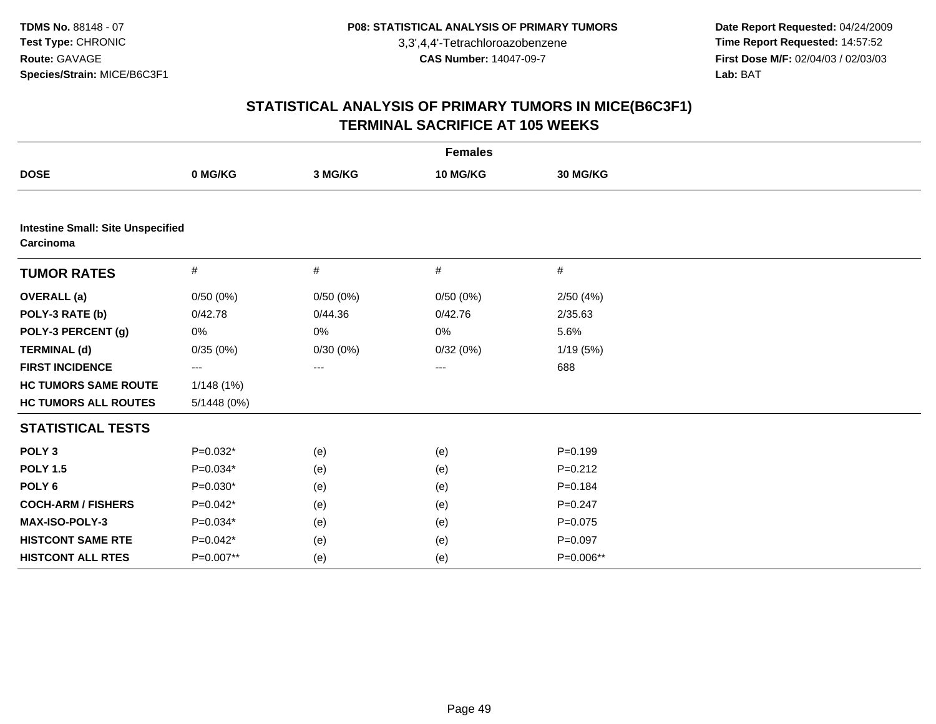**Date Report Requested:** 04/24/2009 **Time Report Requested:** 14:57:52 **First Dose M/F:** 02/04/03 / 02/03/03<br>Lab: BAT **Lab:** BAT

|                                                       | <b>Females</b> |          |          |             |  |  |  |
|-------------------------------------------------------|----------------|----------|----------|-------------|--|--|--|
| <b>DOSE</b>                                           | 0 MG/KG        | 3 MG/KG  | 10 MG/KG | 30 MG/KG    |  |  |  |
|                                                       |                |          |          |             |  |  |  |
| <b>Intestine Small: Site Unspecified</b><br>Carcinoma |                |          |          |             |  |  |  |
| <b>TUMOR RATES</b>                                    | #              | $\#$     | #        | $\#$        |  |  |  |
| <b>OVERALL</b> (a)                                    | 0/50(0%)       | 0/50(0%) | 0/50(0%) | 2/50(4%)    |  |  |  |
| POLY-3 RATE (b)                                       | 0/42.78        | 0/44.36  | 0/42.76  | 2/35.63     |  |  |  |
| POLY-3 PERCENT (g)                                    | 0%             | 0%       | 0%       | 5.6%        |  |  |  |
| <b>TERMINAL (d)</b>                                   | 0/35(0%)       | 0/30(0%) | 0/32(0%) | 1/19(5%)    |  |  |  |
| <b>FIRST INCIDENCE</b>                                | ---            | ---      | ---      | 688         |  |  |  |
| <b>HC TUMORS SAME ROUTE</b>                           | 1/148(1%)      |          |          |             |  |  |  |
| <b>HC TUMORS ALL ROUTES</b>                           | 5/1448(0%)     |          |          |             |  |  |  |
| <b>STATISTICAL TESTS</b>                              |                |          |          |             |  |  |  |
| POLY <sub>3</sub>                                     | $P=0.032*$     | (e)      | (e)      | $P = 0.199$ |  |  |  |
| <b>POLY 1.5</b>                                       | $P=0.034*$     | (e)      | (e)      | $P=0.212$   |  |  |  |
| POLY <sub>6</sub>                                     | $P=0.030*$     | (e)      | (e)      | $P=0.184$   |  |  |  |
| <b>COCH-ARM / FISHERS</b>                             | $P=0.042*$     | (e)      | (e)      | $P=0.247$   |  |  |  |
| <b>MAX-ISO-POLY-3</b>                                 | $P=0.034*$     | (e)      | (e)      | $P=0.075$   |  |  |  |
| <b>HISTCONT SAME RTE</b>                              | $P=0.042*$     | (e)      | (e)      | $P=0.097$   |  |  |  |
| <b>HISTCONT ALL RTES</b>                              | P=0.007**      | (e)      | (e)      | P=0.006**   |  |  |  |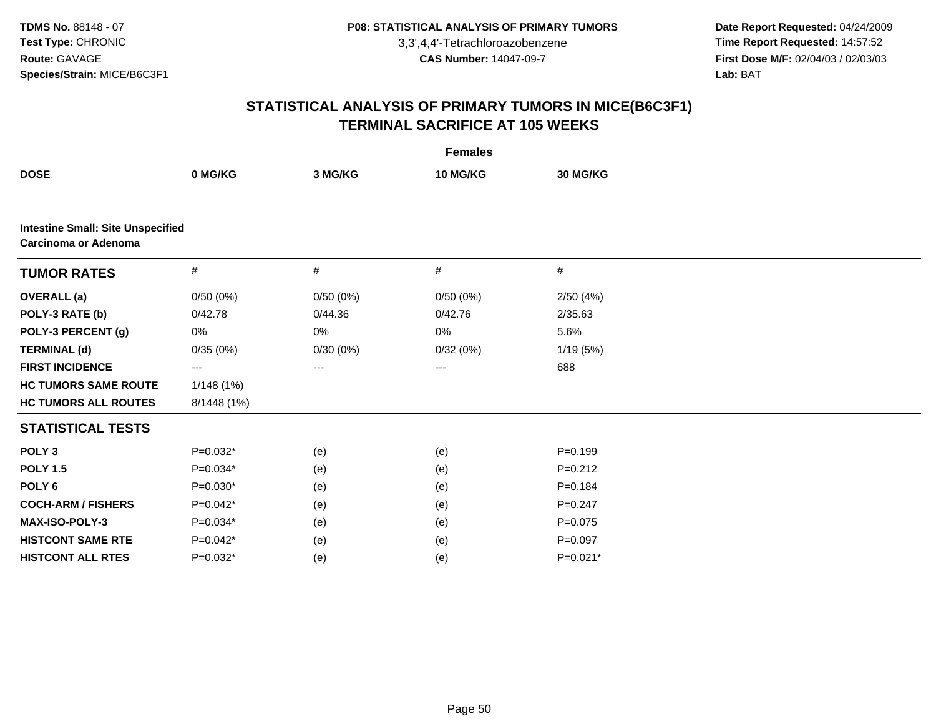**Date Report Requested:** 04/24/2009 **Time Report Requested:** 14:57:52 **First Dose M/F:** 02/04/03 / 02/03/03<br>Lab: BAT **Lab:** BAT

|                                                                         | <b>Females</b> |          |          |             |  |  |  |
|-------------------------------------------------------------------------|----------------|----------|----------|-------------|--|--|--|
| <b>DOSE</b>                                                             | 0 MG/KG        | 3 MG/KG  | 10 MG/KG | 30 MG/KG    |  |  |  |
|                                                                         |                |          |          |             |  |  |  |
| <b>Intestine Small: Site Unspecified</b><br><b>Carcinoma or Adenoma</b> |                |          |          |             |  |  |  |
| <b>TUMOR RATES</b>                                                      | #              | $\#$     | $\#$     | $\#$        |  |  |  |
| <b>OVERALL</b> (a)                                                      | 0/50(0%)       | 0/50(0%) | 0/50(0%) | 2/50(4%)    |  |  |  |
| POLY-3 RATE (b)                                                         | 0/42.78        | 0/44.36  | 0/42.76  | 2/35.63     |  |  |  |
| POLY-3 PERCENT (g)                                                      | 0%             | 0%       | 0%       | 5.6%        |  |  |  |
| <b>TERMINAL (d)</b>                                                     | 0/35(0%)       | 0/30(0%) | 0/32(0%) | 1/19(5%)    |  |  |  |
| <b>FIRST INCIDENCE</b>                                                  | ---            | ---      | ---      | 688         |  |  |  |
| <b>HC TUMORS SAME ROUTE</b>                                             | 1/148(1%)      |          |          |             |  |  |  |
| <b>HC TUMORS ALL ROUTES</b>                                             | 8/1448 (1%)    |          |          |             |  |  |  |
| <b>STATISTICAL TESTS</b>                                                |                |          |          |             |  |  |  |
| POLY <sub>3</sub>                                                       | $P=0.032*$     | (e)      | (e)      | $P = 0.199$ |  |  |  |
| <b>POLY 1.5</b>                                                         | $P=0.034*$     | (e)      | (e)      | $P = 0.212$ |  |  |  |
| POLY <sub>6</sub>                                                       | $P=0.030*$     | (e)      | (e)      | $P = 0.184$ |  |  |  |
| <b>COCH-ARM / FISHERS</b>                                               | $P=0.042*$     | (e)      | (e)      | $P = 0.247$ |  |  |  |
| <b>MAX-ISO-POLY-3</b>                                                   | $P=0.034*$     | (e)      | (e)      | $P = 0.075$ |  |  |  |
| <b>HISTCONT SAME RTE</b>                                                | $P=0.042*$     | (e)      | (e)      | $P=0.097$   |  |  |  |
| <b>HISTCONT ALL RTES</b>                                                | $P=0.032*$     | (e)      | (e)      | P=0.021*    |  |  |  |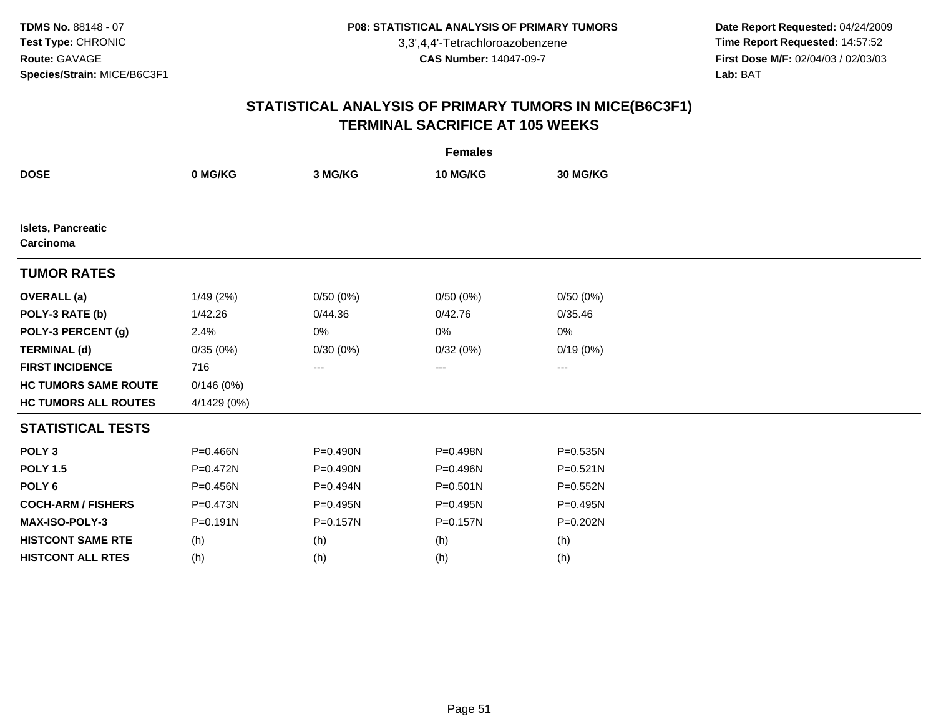**Date Report Requested:** 04/24/2009 **Time Report Requested:** 14:57:52 **First Dose M/F:** 02/04/03 / 02/03/03<br>Lab: BAT **Lab:** BAT

| <b>Females</b>                  |              |              |              |              |  |  |
|---------------------------------|--------------|--------------|--------------|--------------|--|--|
| <b>DOSE</b>                     | 0 MG/KG      | 3 MG/KG      | 10 MG/KG     | 30 MG/KG     |  |  |
|                                 |              |              |              |              |  |  |
| Islets, Pancreatic<br>Carcinoma |              |              |              |              |  |  |
| <b>TUMOR RATES</b>              |              |              |              |              |  |  |
| <b>OVERALL (a)</b>              | 1/49(2%)     | 0/50(0%)     | 0/50(0%)     | 0/50(0%)     |  |  |
| POLY-3 RATE (b)                 | 1/42.26      | 0/44.36      | 0/42.76      | 0/35.46      |  |  |
| POLY-3 PERCENT (g)              | 2.4%         | 0%           | 0%           | 0%           |  |  |
| <b>TERMINAL (d)</b>             | 0/35(0%)     | 0/30(0%)     | 0/32(0%)     | 0/19(0%)     |  |  |
| <b>FIRST INCIDENCE</b>          | 716          | $\cdots$     | ---          | ---          |  |  |
| <b>HC TUMORS SAME ROUTE</b>     | 0/146(0%)    |              |              |              |  |  |
| <b>HC TUMORS ALL ROUTES</b>     | 4/1429 (0%)  |              |              |              |  |  |
| <b>STATISTICAL TESTS</b>        |              |              |              |              |  |  |
| POLY <sub>3</sub>               | P=0.466N     | $P = 0.490N$ | P=0.498N     | P=0.535N     |  |  |
| <b>POLY 1.5</b>                 | P=0.472N     | $P = 0.490N$ | P=0.496N     | $P = 0.521N$ |  |  |
| POLY <sub>6</sub>               | P=0.456N     | P=0.494N     | $P = 0.501N$ | P=0.552N     |  |  |
| <b>COCH-ARM / FISHERS</b>       | $P = 0.473N$ | P=0.495N     | P=0.495N     | P=0.495N     |  |  |
| MAX-ISO-POLY-3                  | $P = 0.191N$ | P=0.157N     | P=0.157N     | P=0.202N     |  |  |
| <b>HISTCONT SAME RTE</b>        | (h)          | (h)          | (h)          | (h)          |  |  |
| <b>HISTCONT ALL RTES</b>        | (h)          | (h)          | (h)          | (h)          |  |  |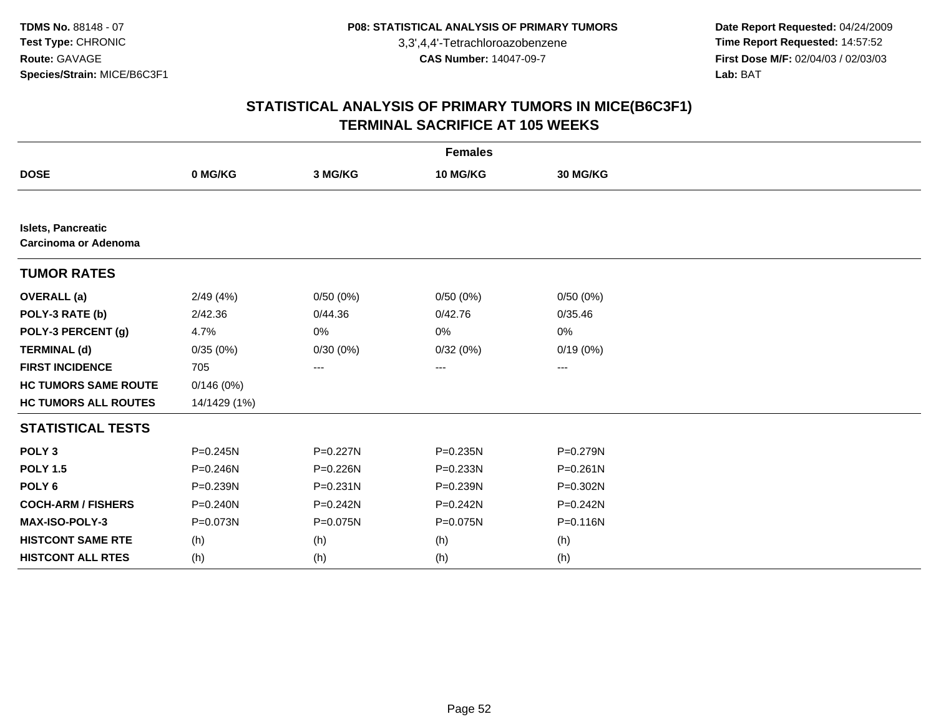**Date Report Requested:** 04/24/2009 **Time Report Requested:** 14:57:52 **First Dose M/F:** 02/04/03 / 02/03/03<br>Lab: BAT **Lab:** BAT

| <b>Females</b>                                    |              |              |                 |                 |  |  |
|---------------------------------------------------|--------------|--------------|-----------------|-----------------|--|--|
| <b>DOSE</b>                                       | 0 MG/KG      | 3 MG/KG      | <b>10 MG/KG</b> | <b>30 MG/KG</b> |  |  |
|                                                   |              |              |                 |                 |  |  |
| <b>Islets, Pancreatic</b><br>Carcinoma or Adenoma |              |              |                 |                 |  |  |
| <b>TUMOR RATES</b>                                |              |              |                 |                 |  |  |
| <b>OVERALL</b> (a)                                | 2/49(4%)     | 0/50(0%)     | 0/50(0%)        | 0/50(0%)        |  |  |
| POLY-3 RATE (b)                                   | 2/42.36      | 0/44.36      | 0/42.76         | 0/35.46         |  |  |
| POLY-3 PERCENT (g)                                | 4.7%         | 0%           | 0%              | 0%              |  |  |
| <b>TERMINAL (d)</b>                               | 0/35(0%)     | 0/30(0%)     | 0/32(0%)        | 0/19(0%)        |  |  |
| <b>FIRST INCIDENCE</b>                            | 705          | ---          | ---             | ---             |  |  |
| <b>HC TUMORS SAME ROUTE</b>                       | 0/146(0%)    |              |                 |                 |  |  |
| <b>HC TUMORS ALL ROUTES</b>                       | 14/1429 (1%) |              |                 |                 |  |  |
| <b>STATISTICAL TESTS</b>                          |              |              |                 |                 |  |  |
| POLY <sub>3</sub>                                 | $P = 0.245N$ | P=0.227N     | P=0.235N        | P=0.279N        |  |  |
| <b>POLY 1.5</b>                                   | $P = 0.246N$ | P=0.226N     | $P = 0.233N$    | $P = 0.261N$    |  |  |
| POLY <sub>6</sub>                                 | P=0.239N     | $P = 0.231N$ | P=0.239N        | P=0.302N        |  |  |
| <b>COCH-ARM / FISHERS</b>                         | $P = 0.240N$ | P=0.242N     | P=0.242N        | P=0.242N        |  |  |
| <b>MAX-ISO-POLY-3</b>                             | P=0.073N     | P=0.075N     | P=0.075N        | P=0.116N        |  |  |
| <b>HISTCONT SAME RTE</b>                          | (h)          | (h)          | (h)             | (h)             |  |  |
| <b>HISTCONT ALL RTES</b>                          | (h)          | (h)          | (h)             | (h)             |  |  |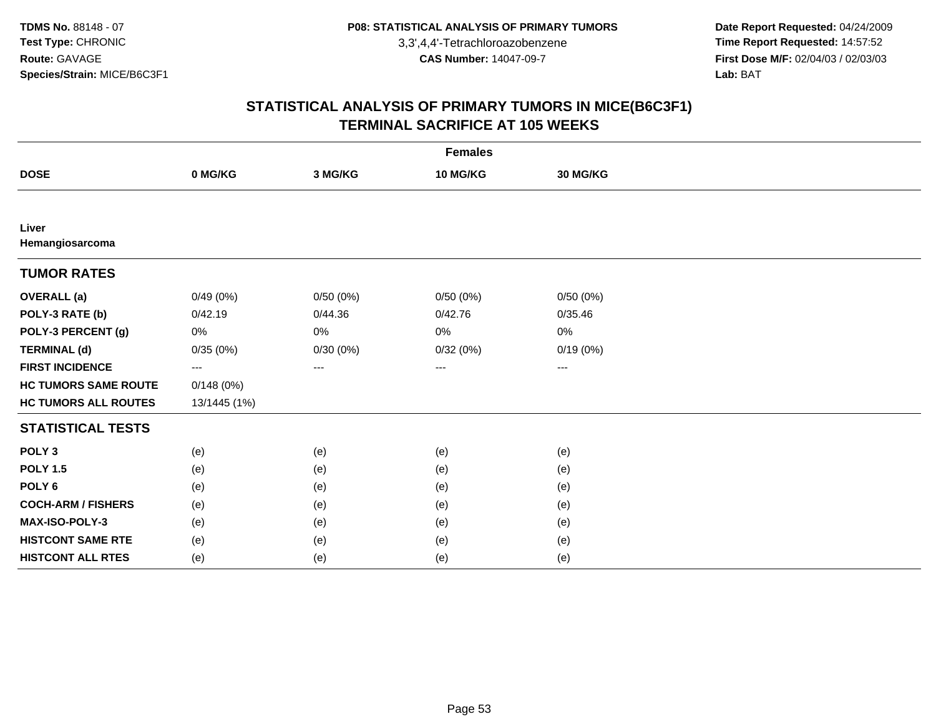**Date Report Requested:** 04/24/2009 **Time Report Requested:** 14:57:52 **First Dose M/F:** 02/04/03 / 02/03/03<br>Lab: BAT **Lab:** BAT

| <b>Females</b>              |              |          |          |          |  |  |
|-----------------------------|--------------|----------|----------|----------|--|--|
| <b>DOSE</b>                 | 0 MG/KG      | 3 MG/KG  | 10 MG/KG | 30 MG/KG |  |  |
|                             |              |          |          |          |  |  |
| Liver<br>Hemangiosarcoma    |              |          |          |          |  |  |
| <b>TUMOR RATES</b>          |              |          |          |          |  |  |
| <b>OVERALL</b> (a)          | 0/49(0%)     | 0/50(0%) | 0/50(0%) | 0/50(0%) |  |  |
| POLY-3 RATE (b)             | 0/42.19      | 0/44.36  | 0/42.76  | 0/35.46  |  |  |
| POLY-3 PERCENT (g)          | 0%           | 0%       | 0%       | 0%       |  |  |
| <b>TERMINAL (d)</b>         | 0/35(0%)     | 0/30(0%) | 0/32(0%) | 0/19(0%) |  |  |
| <b>FIRST INCIDENCE</b>      | ---          | $---$    | $---$    | ---      |  |  |
| <b>HC TUMORS SAME ROUTE</b> | 0/148(0%)    |          |          |          |  |  |
| <b>HC TUMORS ALL ROUTES</b> | 13/1445 (1%) |          |          |          |  |  |
| <b>STATISTICAL TESTS</b>    |              |          |          |          |  |  |
| POLY <sub>3</sub>           | (e)          | (e)      | (e)      | (e)      |  |  |
| <b>POLY 1.5</b>             | (e)          | (e)      | (e)      | (e)      |  |  |
| POLY <sub>6</sub>           | (e)          | (e)      | (e)      | (e)      |  |  |
| <b>COCH-ARM / FISHERS</b>   | (e)          | (e)      | (e)      | (e)      |  |  |
| MAX-ISO-POLY-3              | (e)          | (e)      | (e)      | (e)      |  |  |
| <b>HISTCONT SAME RTE</b>    | (e)          | (e)      | (e)      | (e)      |  |  |
| <b>HISTCONT ALL RTES</b>    | (e)          | (e)      | (e)      | (e)      |  |  |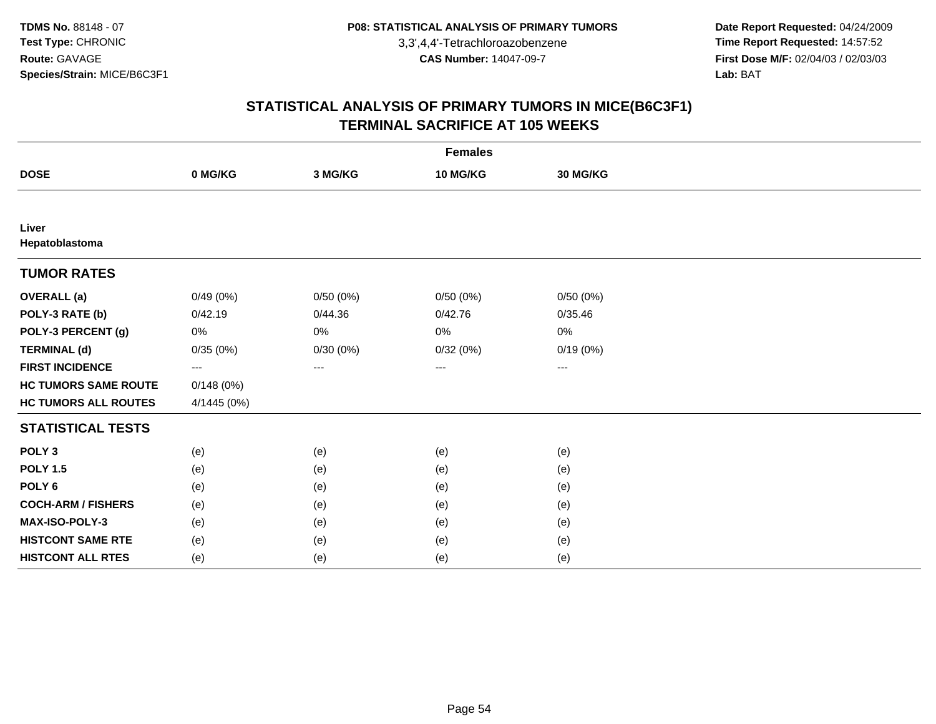**Date Report Requested:** 04/24/2009 **Time Report Requested:** 14:57:52 **First Dose M/F:** 02/04/03 / 02/03/03<br>Lab: BAT **Lab:** BAT

|                             | <b>Females</b> |          |                   |          |  |  |  |
|-----------------------------|----------------|----------|-------------------|----------|--|--|--|
| <b>DOSE</b>                 | 0 MG/KG        | 3 MG/KG  | 10 MG/KG          | 30 MG/KG |  |  |  |
|                             |                |          |                   |          |  |  |  |
| Liver<br>Hepatoblastoma     |                |          |                   |          |  |  |  |
| <b>TUMOR RATES</b>          |                |          |                   |          |  |  |  |
| <b>OVERALL</b> (a)          | 0/49(0%)       | 0/50(0%) | 0/50(0%)          | 0/50(0%) |  |  |  |
| POLY-3 RATE (b)             | 0/42.19        | 0/44.36  | 0/42.76           | 0/35.46  |  |  |  |
| POLY-3 PERCENT (g)          | 0%             | $0\%$    | 0%                | 0%       |  |  |  |
| <b>TERMINAL (d)</b>         | 0/35(0%)       | 0/30(0%) | 0/32(0%)          | 0/19(0%) |  |  |  |
| <b>FIRST INCIDENCE</b>      | ---            | $\cdots$ | $\qquad \qquad -$ | ---      |  |  |  |
| <b>HC TUMORS SAME ROUTE</b> | 0/148(0%)      |          |                   |          |  |  |  |
| <b>HC TUMORS ALL ROUTES</b> | 4/1445 (0%)    |          |                   |          |  |  |  |
| <b>STATISTICAL TESTS</b>    |                |          |                   |          |  |  |  |
| POLY <sub>3</sub>           | (e)            | (e)      | (e)               | (e)      |  |  |  |
| <b>POLY 1.5</b>             | (e)            | (e)      | (e)               | (e)      |  |  |  |
| POLY <sub>6</sub>           | (e)            | (e)      | (e)               | (e)      |  |  |  |
| <b>COCH-ARM / FISHERS</b>   | (e)            | (e)      | (e)               | (e)      |  |  |  |
| MAX-ISO-POLY-3              | (e)            | (e)      | (e)               | (e)      |  |  |  |
| <b>HISTCONT SAME RTE</b>    | (e)            | (e)      | (e)               | (e)      |  |  |  |
| <b>HISTCONT ALL RTES</b>    | (e)            | (e)      | (e)               | (e)      |  |  |  |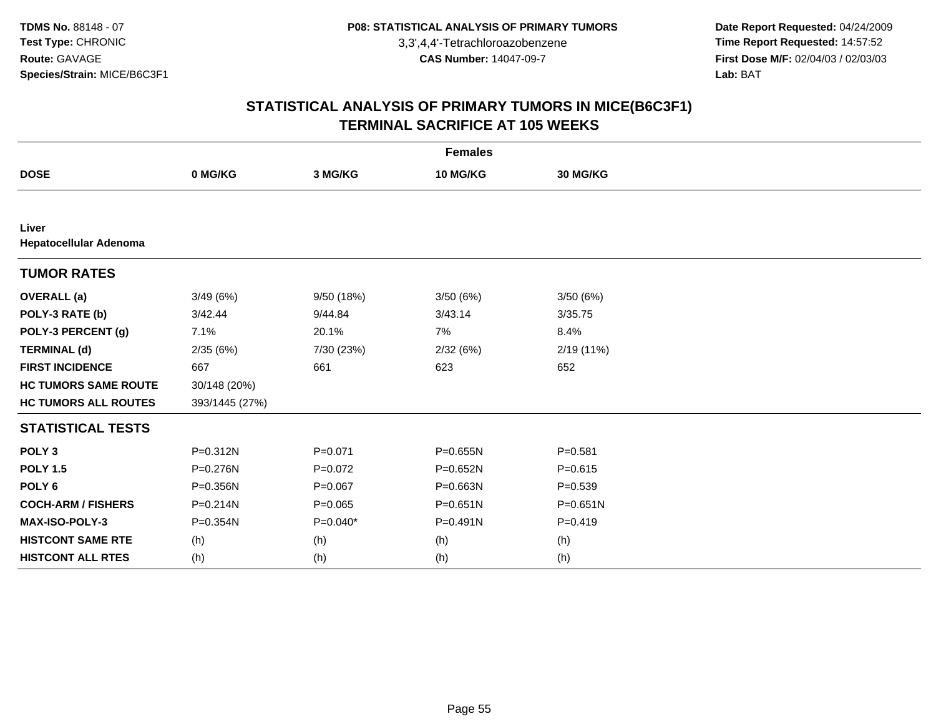**Date Report Requested:** 04/24/2009 **Time Report Requested:** 14:57:52 **First Dose M/F:** 02/04/03 / 02/03/03<br>Lab: BAT **Lab:** BAT

|                                 | <b>Females</b> |             |              |              |  |  |  |
|---------------------------------|----------------|-------------|--------------|--------------|--|--|--|
| <b>DOSE</b>                     | 0 MG/KG        | 3 MG/KG     | 10 MG/KG     | 30 MG/KG     |  |  |  |
|                                 |                |             |              |              |  |  |  |
| Liver<br>Hepatocellular Adenoma |                |             |              |              |  |  |  |
| <b>TUMOR RATES</b>              |                |             |              |              |  |  |  |
| <b>OVERALL (a)</b>              | 3/49(6%)       | 9/50 (18%)  | 3/50(6%)     | 3/50(6%)     |  |  |  |
| POLY-3 RATE (b)                 | 3/42.44        | 9/44.84     | 3/43.14      | 3/35.75      |  |  |  |
| POLY-3 PERCENT (g)              | 7.1%           | 20.1%       | 7%           | 8.4%         |  |  |  |
| <b>TERMINAL (d)</b>             | 2/35(6%)       | 7/30 (23%)  | 2/32(6%)     | 2/19(11%)    |  |  |  |
| <b>FIRST INCIDENCE</b>          | 667            | 661         | 623          | 652          |  |  |  |
| <b>HC TUMORS SAME ROUTE</b>     | 30/148 (20%)   |             |              |              |  |  |  |
| <b>HC TUMORS ALL ROUTES</b>     | 393/1445 (27%) |             |              |              |  |  |  |
| <b>STATISTICAL TESTS</b>        |                |             |              |              |  |  |  |
| POLY <sub>3</sub>               | $P = 0.312N$   | $P = 0.071$ | P=0.655N     | $P = 0.581$  |  |  |  |
| <b>POLY 1.5</b>                 | P=0.276N       | $P=0.072$   | $P = 0.652N$ | $P = 0.615$  |  |  |  |
| POLY <sub>6</sub>               | P=0.356N       | $P = 0.067$ | P=0.663N     | $P = 0.539$  |  |  |  |
| <b>COCH-ARM / FISHERS</b>       | $P = 0.214N$   | $P = 0.065$ | $P = 0.651N$ | $P = 0.651N$ |  |  |  |
| MAX-ISO-POLY-3                  | P=0.354N       | $P=0.040*$  | $P = 0.491N$ | $P = 0.419$  |  |  |  |
| <b>HISTCONT SAME RTE</b>        | (h)            | (h)         | (h)          | (h)          |  |  |  |
| <b>HISTCONT ALL RTES</b>        | (h)            | (h)         | (h)          | (h)          |  |  |  |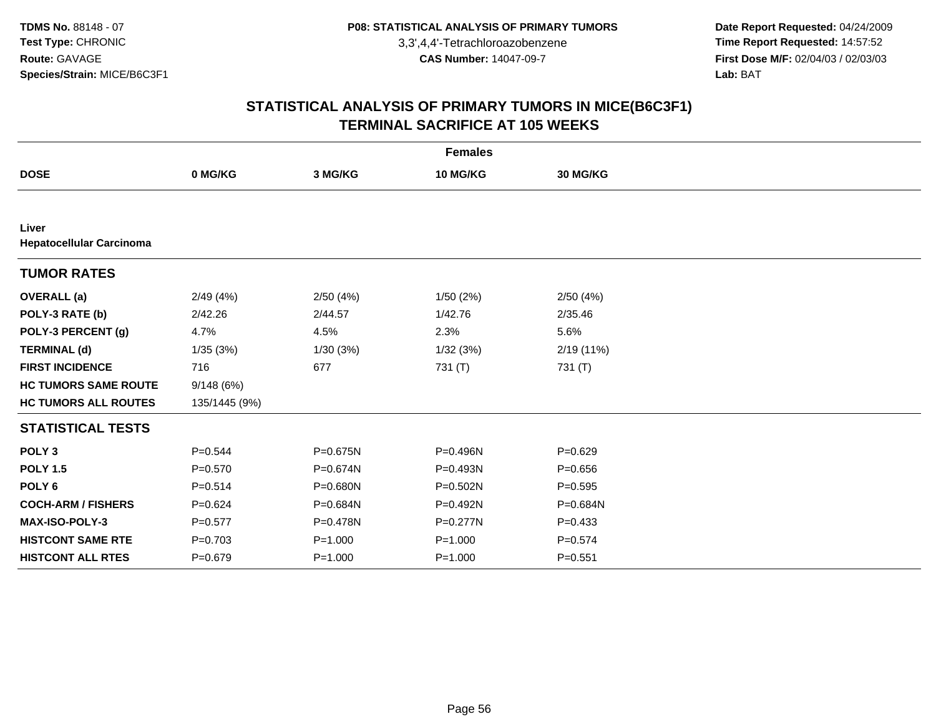**Date Report Requested:** 04/24/2009 **Time Report Requested:** 14:57:52 **First Dose M/F:** 02/04/03 / 02/03/03<br>Lab: BAT **Lab:** BAT

| <b>Females</b>                           |               |             |              |             |  |  |
|------------------------------------------|---------------|-------------|--------------|-------------|--|--|
| <b>DOSE</b>                              | 0 MG/KG       | 3 MG/KG     | 10 MG/KG     | 30 MG/KG    |  |  |
|                                          |               |             |              |             |  |  |
| Liver<br><b>Hepatocellular Carcinoma</b> |               |             |              |             |  |  |
| <b>TUMOR RATES</b>                       |               |             |              |             |  |  |
| <b>OVERALL</b> (a)                       | 2/49(4%)      | 2/50(4%)    | 1/50(2%)     | 2/50(4%)    |  |  |
| POLY-3 RATE (b)                          | 2/42.26       | 2/44.57     | 1/42.76      | 2/35.46     |  |  |
| POLY-3 PERCENT (g)                       | 4.7%          | 4.5%        | 2.3%         | 5.6%        |  |  |
| <b>TERMINAL (d)</b>                      | 1/35(3%)      | 1/30(3%)    | 1/32(3%)     | 2/19 (11%)  |  |  |
| <b>FIRST INCIDENCE</b>                   | 716           | 677         | 731 (T)      | 731 (T)     |  |  |
| <b>HC TUMORS SAME ROUTE</b>              | 9/148(6%)     |             |              |             |  |  |
| <b>HC TUMORS ALL ROUTES</b>              | 135/1445 (9%) |             |              |             |  |  |
| <b>STATISTICAL TESTS</b>                 |               |             |              |             |  |  |
| POLY <sub>3</sub>                        | $P = 0.544$   | P=0.675N    | P=0.496N     | $P=0.629$   |  |  |
| <b>POLY 1.5</b>                          | $P = 0.570$   | P=0.674N    | P=0.493N     | $P = 0.656$ |  |  |
| POLY <sub>6</sub>                        | $P = 0.514$   | P=0.680N    | $P = 0.502N$ | $P = 0.595$ |  |  |
| <b>COCH-ARM / FISHERS</b>                | $P=0.624$     | P=0.684N    | P=0.492N     | P=0.684N    |  |  |
| MAX-ISO-POLY-3                           | $P = 0.577$   | P=0.478N    | $P = 0.277N$ | $P = 0.433$ |  |  |
| <b>HISTCONT SAME RTE</b>                 | $P = 0.703$   | $P = 1.000$ | $P = 1.000$  | $P = 0.574$ |  |  |
| <b>HISTCONT ALL RTES</b>                 | $P = 0.679$   | $P = 1.000$ | $P = 1.000$  | $P = 0.551$ |  |  |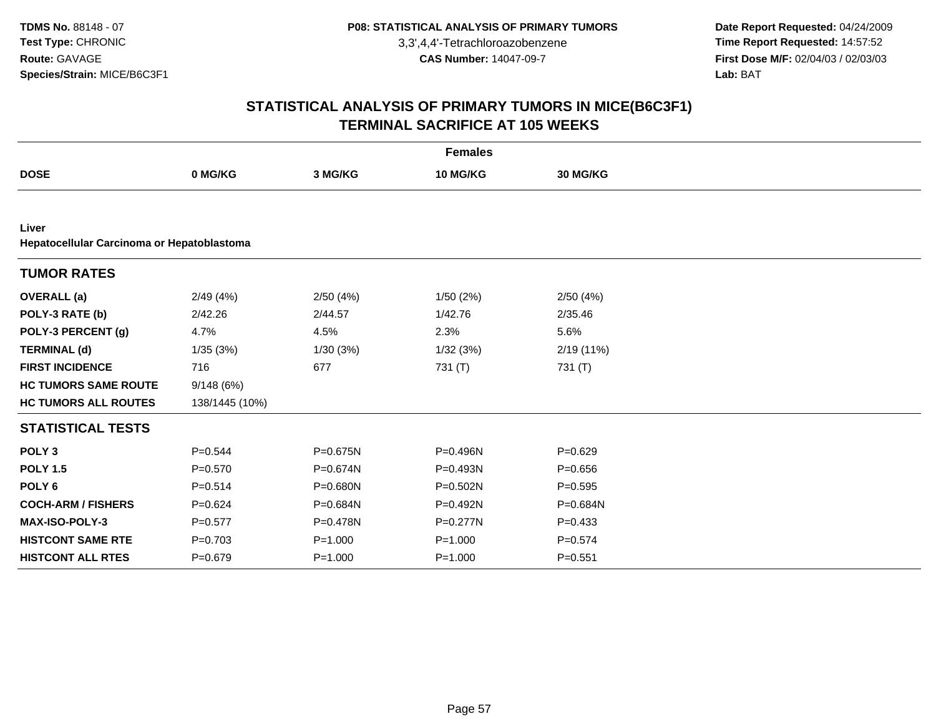**Date Report Requested:** 04/24/2009 **Time Report Requested:** 14:57:52 **First Dose M/F:** 02/04/03 / 02/03/03<br>Lab: BAT **Lab:** BAT

| <b>Females</b>                                      |                |             |              |                 |  |  |  |  |
|-----------------------------------------------------|----------------|-------------|--------------|-----------------|--|--|--|--|
| <b>DOSE</b>                                         | 0 MG/KG        | 3 MG/KG     | 10 MG/KG     | <b>30 MG/KG</b> |  |  |  |  |
|                                                     |                |             |              |                 |  |  |  |  |
| Liver<br>Hepatocellular Carcinoma or Hepatoblastoma |                |             |              |                 |  |  |  |  |
| <b>TUMOR RATES</b>                                  |                |             |              |                 |  |  |  |  |
| <b>OVERALL (a)</b>                                  | 2/49(4%)       | 2/50(4%)    | 1/50(2%)     | 2/50(4%)        |  |  |  |  |
| POLY-3 RATE (b)                                     | 2/42.26        | 2/44.57     | 1/42.76      | 2/35.46         |  |  |  |  |
| POLY-3 PERCENT (g)                                  | 4.7%           | 4.5%        | 2.3%         | 5.6%            |  |  |  |  |
| <b>TERMINAL (d)</b>                                 | 1/35(3%)       | 1/30(3%)    | 1/32(3%)     | 2/19 (11%)      |  |  |  |  |
| <b>FIRST INCIDENCE</b>                              | 716            | 677         | 731 (T)      | 731 (T)         |  |  |  |  |
| <b>HC TUMORS SAME ROUTE</b>                         | 9/148 (6%)     |             |              |                 |  |  |  |  |
| <b>HC TUMORS ALL ROUTES</b>                         | 138/1445 (10%) |             |              |                 |  |  |  |  |
| <b>STATISTICAL TESTS</b>                            |                |             |              |                 |  |  |  |  |
| POLY <sub>3</sub>                                   | $P = 0.544$    | P=0.675N    | P=0.496N     | $P = 0.629$     |  |  |  |  |
| <b>POLY 1.5</b>                                     | $P = 0.570$    | P=0.674N    | $P = 0.493N$ | $P = 0.656$     |  |  |  |  |
| POLY <sub>6</sub>                                   | $P = 0.514$    | P=0.680N    | $P = 0.502N$ | $P = 0.595$     |  |  |  |  |
| <b>COCH-ARM / FISHERS</b>                           | $P = 0.624$    | P=0.684N    | P=0.492N     | P=0.684N        |  |  |  |  |
| MAX-ISO-POLY-3                                      | $P=0.577$      | P=0.478N    | P=0.277N     | $P = 0.433$     |  |  |  |  |
| <b>HISTCONT SAME RTE</b>                            | $P=0.703$      | $P = 1.000$ | $P = 1.000$  | $P = 0.574$     |  |  |  |  |
| <b>HISTCONT ALL RTES</b>                            | $P = 0.679$    | $P = 1.000$ | $P = 1.000$  | $P = 0.551$     |  |  |  |  |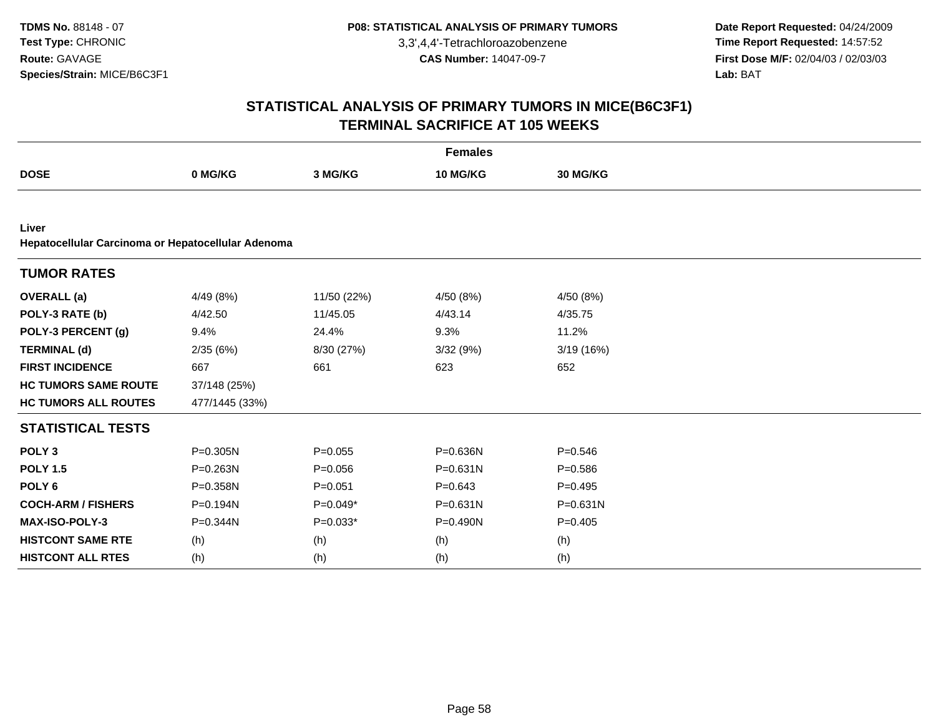**Date Report Requested:** 04/24/2009 **Time Report Requested:** 14:57:52 **First Dose M/F:** 02/04/03 / 02/03/03<br>Lab: BAT **Lab:** BAT

| <b>Females</b>                                              |                |             |                 |                 |  |  |  |  |
|-------------------------------------------------------------|----------------|-------------|-----------------|-----------------|--|--|--|--|
| <b>DOSE</b>                                                 | 0 MG/KG        | 3 MG/KG     | <b>10 MG/KG</b> | <b>30 MG/KG</b> |  |  |  |  |
|                                                             |                |             |                 |                 |  |  |  |  |
| Liver<br>Hepatocellular Carcinoma or Hepatocellular Adenoma |                |             |                 |                 |  |  |  |  |
| <b>TUMOR RATES</b>                                          |                |             |                 |                 |  |  |  |  |
| <b>OVERALL</b> (a)                                          | 4/49 (8%)      | 11/50 (22%) | 4/50 (8%)       | 4/50 (8%)       |  |  |  |  |
| POLY-3 RATE (b)                                             | 4/42.50        | 11/45.05    | 4/43.14         | 4/35.75         |  |  |  |  |
| POLY-3 PERCENT (g)                                          | 9.4%           | 24.4%       | 9.3%            | 11.2%           |  |  |  |  |
| <b>TERMINAL (d)</b>                                         | 2/35(6%)       | 8/30 (27%)  | 3/32(9%)        | 3/19 (16%)      |  |  |  |  |
| <b>FIRST INCIDENCE</b>                                      | 667            | 661         | 623             | 652             |  |  |  |  |
| <b>HC TUMORS SAME ROUTE</b>                                 | 37/148 (25%)   |             |                 |                 |  |  |  |  |
| <b>HC TUMORS ALL ROUTES</b>                                 | 477/1445 (33%) |             |                 |                 |  |  |  |  |
| <b>STATISTICAL TESTS</b>                                    |                |             |                 |                 |  |  |  |  |
| POLY <sub>3</sub>                                           | P=0.305N       | $P = 0.055$ | P=0.636N        | $P = 0.546$     |  |  |  |  |
| <b>POLY 1.5</b>                                             | P=0.263N       | $P = 0.056$ | $P = 0.631N$    | $P = 0.586$     |  |  |  |  |
| POLY <sub>6</sub>                                           | P=0.358N       | $P = 0.051$ | $P = 0.643$     | $P=0.495$       |  |  |  |  |
| <b>COCH-ARM / FISHERS</b>                                   | P=0.194N       | $P=0.049*$  | $P = 0.631N$    | $P = 0.631N$    |  |  |  |  |
| <b>MAX-ISO-POLY-3</b>                                       | P=0.344N       | $P=0.033*$  | P=0.490N        | $P=0.405$       |  |  |  |  |
| <b>HISTCONT SAME RTE</b>                                    | (h)            | (h)         | (h)             | (h)             |  |  |  |  |
| <b>HISTCONT ALL RTES</b>                                    | (h)            | (h)         | (h)             | (h)             |  |  |  |  |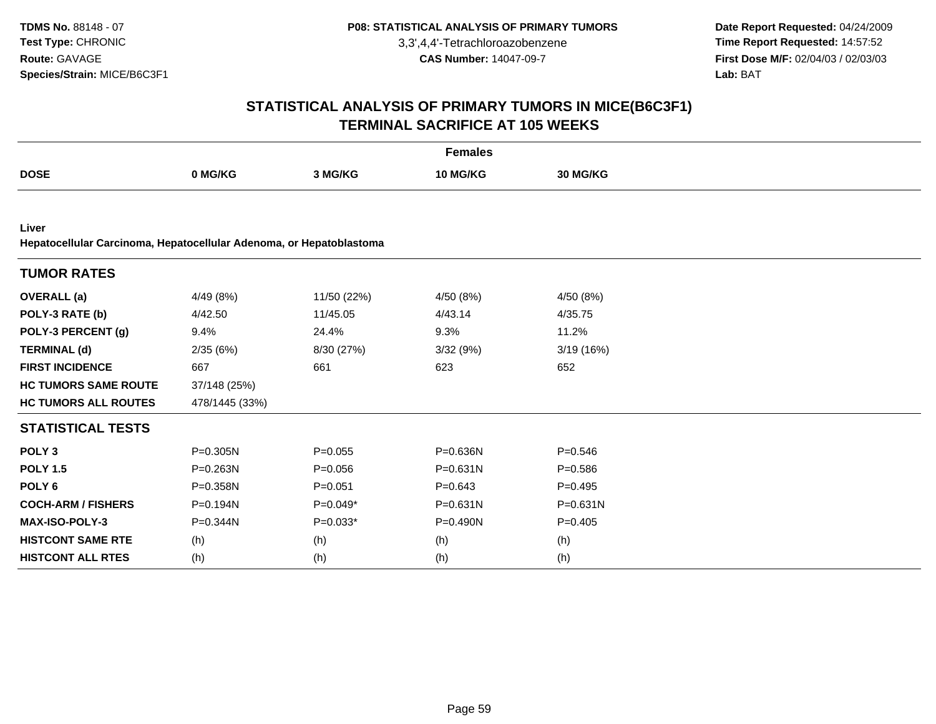**Date Report Requested:** 04/24/2009 **Time Report Requested:** 14:57:52 **First Dose M/F:** 02/04/03 / 02/03/03<br>Lab: BAT **Lab:** BAT

|                                                                              | <b>Females</b> |             |              |              |  |  |  |  |
|------------------------------------------------------------------------------|----------------|-------------|--------------|--------------|--|--|--|--|
| <b>DOSE</b>                                                                  | 0 MG/KG        | 3 MG/KG     | 10 MG/KG     | 30 MG/KG     |  |  |  |  |
|                                                                              |                |             |              |              |  |  |  |  |
| Liver<br>Hepatocellular Carcinoma, Hepatocellular Adenoma, or Hepatoblastoma |                |             |              |              |  |  |  |  |
| <b>TUMOR RATES</b>                                                           |                |             |              |              |  |  |  |  |
| <b>OVERALL</b> (a)                                                           | 4/49(8%)       | 11/50 (22%) | 4/50 (8%)    | 4/50 (8%)    |  |  |  |  |
| POLY-3 RATE (b)                                                              | 4/42.50        | 11/45.05    | 4/43.14      | 4/35.75      |  |  |  |  |
| POLY-3 PERCENT (g)                                                           | 9.4%           | 24.4%       | 9.3%         | 11.2%        |  |  |  |  |
| <b>TERMINAL (d)</b>                                                          | 2/35(6%)       | 8/30 (27%)  | 3/32(9%)     | 3/19(16%)    |  |  |  |  |
| <b>FIRST INCIDENCE</b>                                                       | 667            | 661         | 623          | 652          |  |  |  |  |
| <b>HC TUMORS SAME ROUTE</b>                                                  | 37/148 (25%)   |             |              |              |  |  |  |  |
| <b>HC TUMORS ALL ROUTES</b>                                                  | 478/1445 (33%) |             |              |              |  |  |  |  |
| <b>STATISTICAL TESTS</b>                                                     |                |             |              |              |  |  |  |  |
| POLY <sub>3</sub>                                                            | P=0.305N       | $P = 0.055$ | P=0.636N     | $P = 0.546$  |  |  |  |  |
| <b>POLY 1.5</b>                                                              | $P = 0.263N$   | $P = 0.056$ | $P = 0.631N$ | $P = 0.586$  |  |  |  |  |
| POLY <sub>6</sub>                                                            | P=0.358N       | $P = 0.051$ | $P = 0.643$  | $P=0.495$    |  |  |  |  |
| <b>COCH-ARM / FISHERS</b>                                                    | P=0.194N       | $P=0.049*$  | $P = 0.631N$ | $P = 0.631N$ |  |  |  |  |
| MAX-ISO-POLY-3                                                               | P=0.344N       | $P=0.033*$  | P=0.490N     | $P=0.405$    |  |  |  |  |
| <b>HISTCONT SAME RTE</b>                                                     | (h)            | (h)         | (h)          | (h)          |  |  |  |  |
| <b>HISTCONT ALL RTES</b>                                                     | (h)            | (h)         | (h)          | (h)          |  |  |  |  |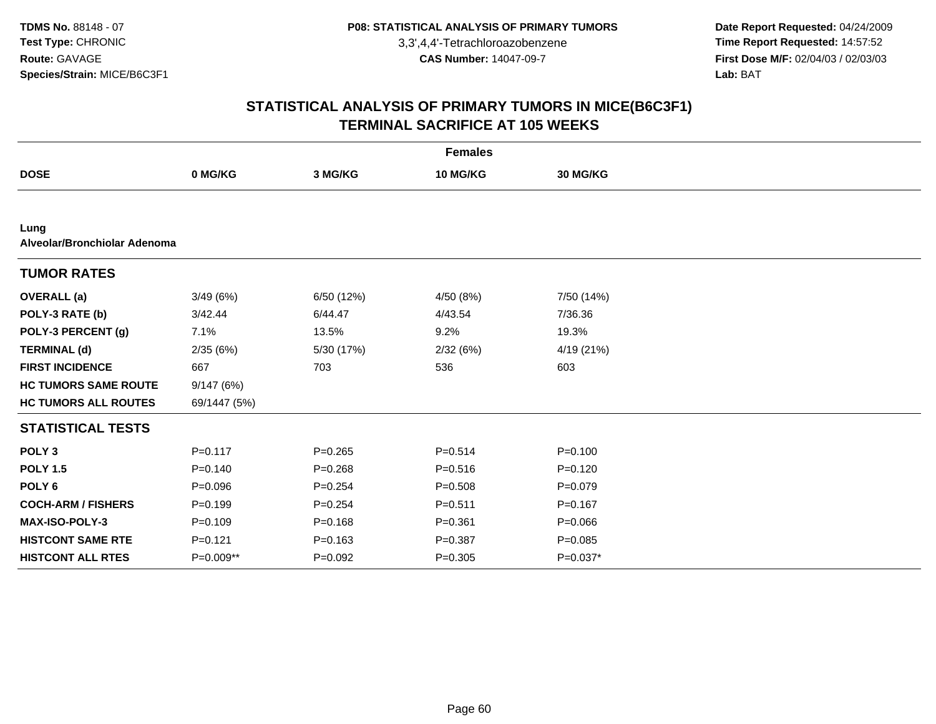**Date Report Requested:** 04/24/2009 **Time Report Requested:** 14:57:52 **First Dose M/F:** 02/04/03 / 02/03/03<br>Lab: BAT **Lab:** BAT

|                                      |              |             | <b>Females</b> |             |  |
|--------------------------------------|--------------|-------------|----------------|-------------|--|
| <b>DOSE</b>                          | 0 MG/KG      | 3 MG/KG     | 10 MG/KG       | 30 MG/KG    |  |
|                                      |              |             |                |             |  |
| Lung<br>Alveolar/Bronchiolar Adenoma |              |             |                |             |  |
| <b>TUMOR RATES</b>                   |              |             |                |             |  |
| <b>OVERALL</b> (a)                   | 3/49(6%)     | 6/50 (12%)  | 4/50 (8%)      | 7/50 (14%)  |  |
| POLY-3 RATE (b)                      | 3/42.44      | 6/44.47     | 4/43.54        | 7/36.36     |  |
| POLY-3 PERCENT (g)                   | 7.1%         | 13.5%       | 9.2%           | 19.3%       |  |
| <b>TERMINAL (d)</b>                  | 2/35(6%)     | 5/30 (17%)  | 2/32(6%)       | 4/19 (21%)  |  |
| <b>FIRST INCIDENCE</b>               | 667          | 703         | 536            | 603         |  |
| <b>HC TUMORS SAME ROUTE</b>          | 9/147(6%)    |             |                |             |  |
| <b>HC TUMORS ALL ROUTES</b>          | 69/1447 (5%) |             |                |             |  |
| <b>STATISTICAL TESTS</b>             |              |             |                |             |  |
| POLY <sub>3</sub>                    | $P = 0.117$  | $P=0.265$   | $P = 0.514$    | $P = 0.100$ |  |
| <b>POLY 1.5</b>                      | $P = 0.140$  | $P = 0.268$ | $P = 0.516$    | $P=0.120$   |  |
| POLY <sub>6</sub>                    | $P = 0.096$  | $P=0.254$   | $P = 0.508$    | $P=0.079$   |  |
| <b>COCH-ARM / FISHERS</b>            | $P = 0.199$  | $P = 0.254$ | $P = 0.511$    | $P=0.167$   |  |
| MAX-ISO-POLY-3                       | $P = 0.109$  | $P = 0.168$ | $P = 0.361$    | $P = 0.066$ |  |
| <b>HISTCONT SAME RTE</b>             | $P = 0.121$  | $P = 0.163$ | $P = 0.387$    | $P = 0.085$ |  |
| <b>HISTCONT ALL RTES</b>             | P=0.009**    | $P=0.092$   | $P = 0.305$    | P=0.037*    |  |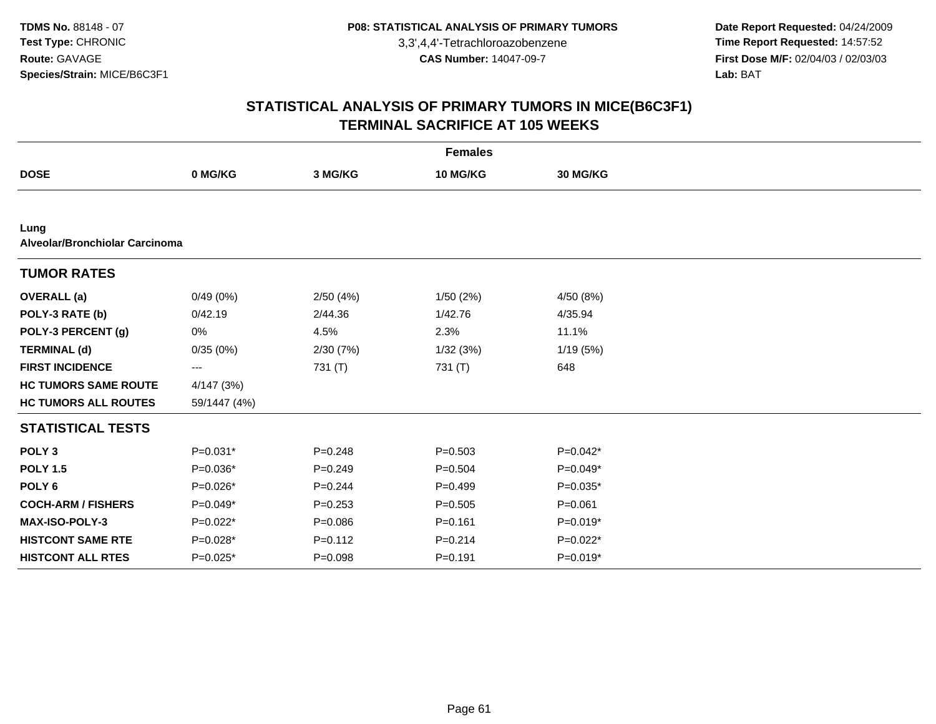**Date Report Requested:** 04/24/2009 **Time Report Requested:** 14:57:52 **First Dose M/F:** 02/04/03 / 02/03/03<br>Lab: BAT **Lab:** BAT

|                                        |              |             | <b>Females</b> |             |  |
|----------------------------------------|--------------|-------------|----------------|-------------|--|
| <b>DOSE</b>                            | 0 MG/KG      | 3 MG/KG     | 10 MG/KG       | 30 MG/KG    |  |
|                                        |              |             |                |             |  |
| Lung<br>Alveolar/Bronchiolar Carcinoma |              |             |                |             |  |
| <b>TUMOR RATES</b>                     |              |             |                |             |  |
| <b>OVERALL</b> (a)                     | 0/49(0%)     | 2/50(4%)    | 1/50(2%)       | 4/50 (8%)   |  |
| POLY-3 RATE (b)                        | 0/42.19      | 2/44.36     | 1/42.76        | 4/35.94     |  |
| POLY-3 PERCENT (g)                     | 0%           | 4.5%        | 2.3%           | 11.1%       |  |
| <b>TERMINAL (d)</b>                    | 0/35(0%)     | 2/30(7%)    | 1/32(3%)       | 1/19 (5%)   |  |
| <b>FIRST INCIDENCE</b>                 | ---          | 731 (T)     | 731 (T)        | 648         |  |
| <b>HC TUMORS SAME ROUTE</b>            | 4/147 (3%)   |             |                |             |  |
| <b>HC TUMORS ALL ROUTES</b>            | 59/1447 (4%) |             |                |             |  |
| <b>STATISTICAL TESTS</b>               |              |             |                |             |  |
| POLY <sub>3</sub>                      | $P=0.031*$   | $P = 0.248$ | $P = 0.503$    | $P=0.042*$  |  |
| <b>POLY 1.5</b>                        | $P=0.036*$   | $P=0.249$   | $P=0.504$      | $P=0.049*$  |  |
| POLY <sub>6</sub>                      | $P=0.026*$   | $P=0.244$   | $P=0.499$      | $P=0.035*$  |  |
| <b>COCH-ARM / FISHERS</b>              | P=0.049*     | $P = 0.253$ | $P=0.505$      | $P = 0.061$ |  |
| MAX-ISO-POLY-3                         | $P=0.022*$   | $P = 0.086$ | $P = 0.161$    | $P=0.019*$  |  |
| <b>HISTCONT SAME RTE</b>               | $P=0.028*$   | $P = 0.112$ | $P = 0.214$    | $P=0.022*$  |  |
| <b>HISTCONT ALL RTES</b>               | P=0.025*     | $P = 0.098$ | $P = 0.191$    | $P=0.019*$  |  |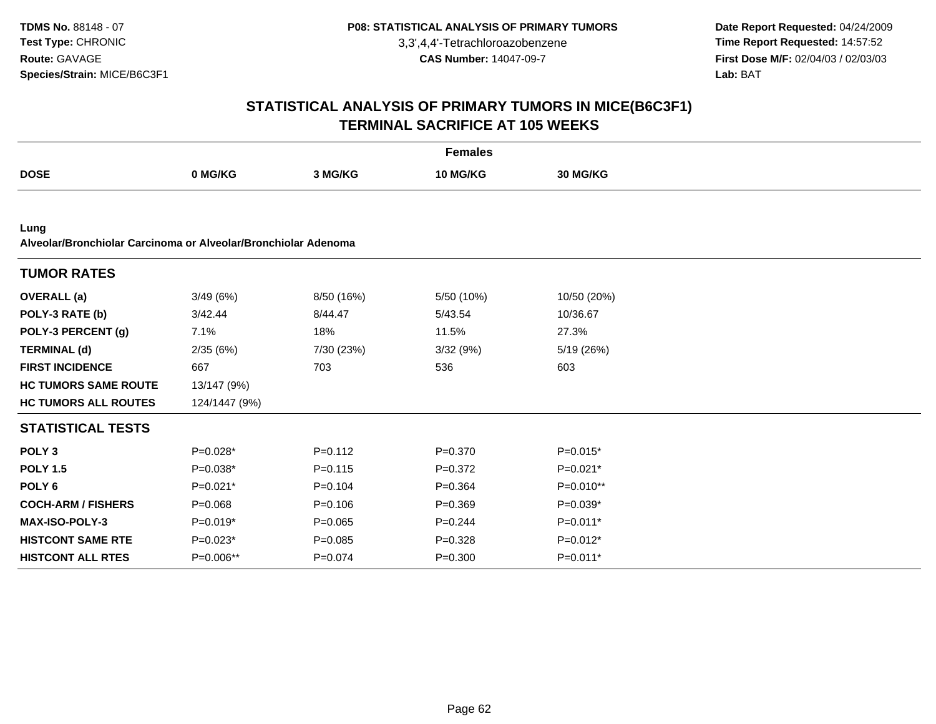**Date Report Requested:** 04/24/2009 **Time Report Requested:** 14:57:52 **First Dose M/F:** 02/04/03 / 02/03/03<br>Lab: BAT **Lab:** BAT

|                                                                        |               |             | <b>Females</b> |                 |  |
|------------------------------------------------------------------------|---------------|-------------|----------------|-----------------|--|
| <b>DOSE</b>                                                            | 0 MG/KG       | 3 MG/KG     | 10 MG/KG       | <b>30 MG/KG</b> |  |
|                                                                        |               |             |                |                 |  |
| Lung<br>Alveolar/Bronchiolar Carcinoma or Alveolar/Bronchiolar Adenoma |               |             |                |                 |  |
| <b>TUMOR RATES</b>                                                     |               |             |                |                 |  |
| <b>OVERALL</b> (a)                                                     | 3/49(6%)      | 8/50 (16%)  | 5/50 (10%)     | 10/50 (20%)     |  |
| POLY-3 RATE (b)                                                        | 3/42.44       | 8/44.47     | 5/43.54        | 10/36.67        |  |
| POLY-3 PERCENT (g)                                                     | 7.1%          | 18%         | 11.5%          | 27.3%           |  |
| <b>TERMINAL (d)</b>                                                    | 2/35(6%)      | 7/30 (23%)  | 3/32 (9%)      | 5/19 (26%)      |  |
| <b>FIRST INCIDENCE</b>                                                 | 667           | 703         | 536            | 603             |  |
| <b>HC TUMORS SAME ROUTE</b>                                            | 13/147 (9%)   |             |                |                 |  |
| <b>HC TUMORS ALL ROUTES</b>                                            | 124/1447 (9%) |             |                |                 |  |
| <b>STATISTICAL TESTS</b>                                               |               |             |                |                 |  |
| POLY <sub>3</sub>                                                      | $P=0.028*$    | $P = 0.112$ | $P = 0.370$    | $P=0.015*$      |  |
| <b>POLY 1.5</b>                                                        | $P=0.038*$    | $P = 0.115$ | $P=0.372$      | $P=0.021*$      |  |
| POLY <sub>6</sub>                                                      | $P=0.021*$    | $P = 0.104$ | $P=0.364$      | P=0.010**       |  |
| <b>COCH-ARM / FISHERS</b>                                              | $P = 0.068$   | $P = 0.106$ | $P = 0.369$    | $P=0.039*$      |  |
| <b>MAX-ISO-POLY-3</b>                                                  | $P=0.019*$    | $P = 0.065$ | $P=0.244$      | $P=0.011*$      |  |
| <b>HISTCONT SAME RTE</b>                                               | $P=0.023*$    | $P = 0.085$ | $P=0.328$      | $P=0.012*$      |  |
| <b>HISTCONT ALL RTES</b>                                               | P=0.006**     | $P = 0.074$ | $P = 0.300$    | $P=0.011*$      |  |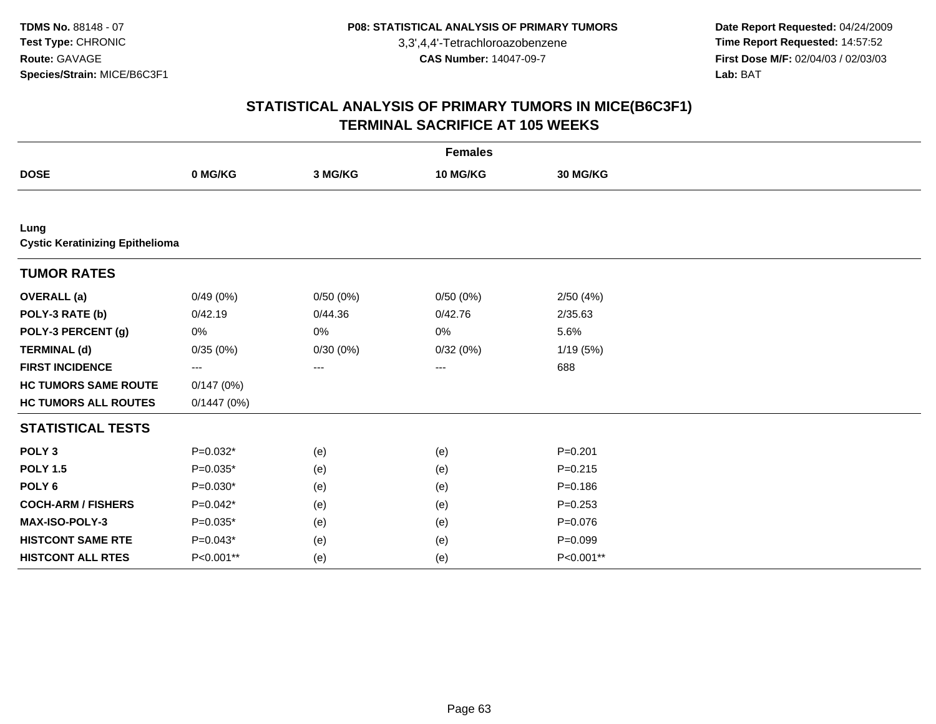**Date Report Requested:** 04/24/2009 **Time Report Requested:** 14:57:52 **First Dose M/F:** 02/04/03 / 02/03/03<br>Lab: BAT **Lab:** BAT

|                                                |            |          | <b>Females</b> |             |  |
|------------------------------------------------|------------|----------|----------------|-------------|--|
| <b>DOSE</b>                                    | 0 MG/KG    | 3 MG/KG  | 10 MG/KG       | 30 MG/KG    |  |
|                                                |            |          |                |             |  |
| Lung<br><b>Cystic Keratinizing Epithelioma</b> |            |          |                |             |  |
| <b>TUMOR RATES</b>                             |            |          |                |             |  |
| <b>OVERALL</b> (a)                             | 0/49(0%)   | 0/50(0%) | 0/50(0%)       | 2/50(4%)    |  |
| POLY-3 RATE (b)                                | 0/42.19    | 0/44.36  | 0/42.76        | 2/35.63     |  |
| POLY-3 PERCENT (g)                             | 0%         | $0\%$    | 0%             | 5.6%        |  |
| <b>TERMINAL (d)</b>                            | 0/35(0%)   | 0/30(0%) | 0/32(0%)       | 1/19(5%)    |  |
| <b>FIRST INCIDENCE</b>                         | ---        | ---      | $\cdots$       | 688         |  |
| <b>HC TUMORS SAME ROUTE</b>                    | 0/147(0%)  |          |                |             |  |
| <b>HC TUMORS ALL ROUTES</b>                    | 0/1447(0%) |          |                |             |  |
| <b>STATISTICAL TESTS</b>                       |            |          |                |             |  |
| POLY <sub>3</sub>                              | $P=0.032*$ | (e)      | (e)            | $P=0.201$   |  |
| <b>POLY 1.5</b>                                | $P=0.035*$ | (e)      | (e)            | $P = 0.215$ |  |
| POLY <sub>6</sub>                              | $P=0.030*$ | (e)      | (e)            | $P = 0.186$ |  |
| <b>COCH-ARM / FISHERS</b>                      | $P=0.042*$ | (e)      | (e)            | $P = 0.253$ |  |
| MAX-ISO-POLY-3                                 | $P=0.035*$ | (e)      | (e)            | $P = 0.076$ |  |
| <b>HISTCONT SAME RTE</b>                       | $P=0.043*$ | (e)      | (e)            | $P = 0.099$ |  |
| <b>HISTCONT ALL RTES</b>                       | P<0.001**  | (e)      | (e)            | P<0.001**   |  |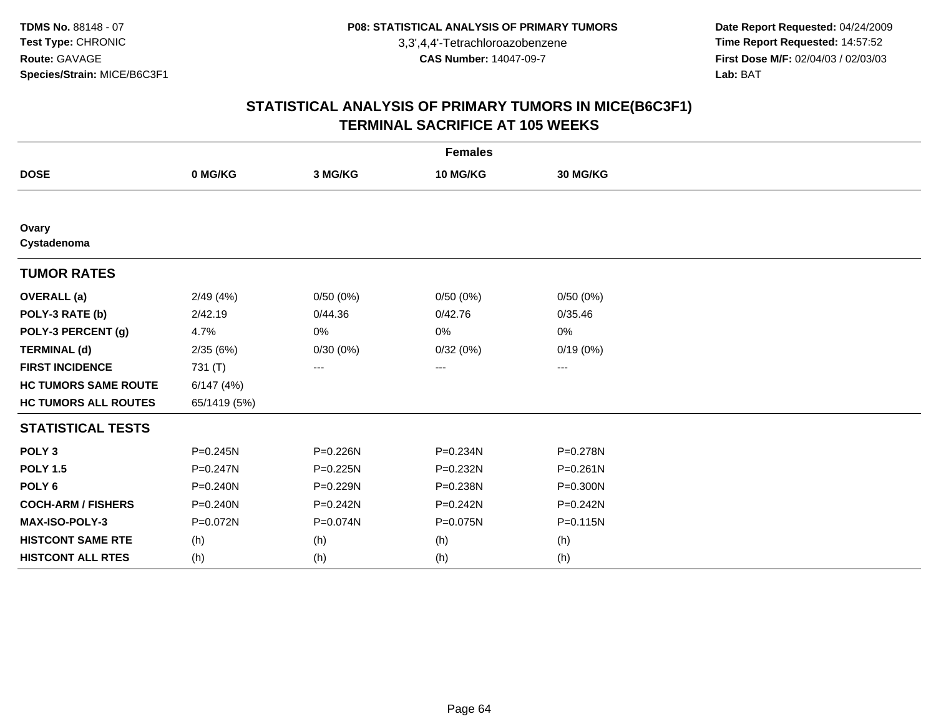**Date Report Requested:** 04/24/2009 **Time Report Requested:** 14:57:52 **First Dose M/F:** 02/04/03 / 02/03/03<br>Lab: BAT **Lab:** BAT

| <b>Females</b>              |              |              |              |              |  |  |
|-----------------------------|--------------|--------------|--------------|--------------|--|--|
| <b>DOSE</b>                 | 0 MG/KG      | 3 MG/KG      | 10 MG/KG     | 30 MG/KG     |  |  |
|                             |              |              |              |              |  |  |
| Ovary<br>Cystadenoma        |              |              |              |              |  |  |
| <b>TUMOR RATES</b>          |              |              |              |              |  |  |
| <b>OVERALL (a)</b>          | 2/49(4%)     | 0/50(0%)     | 0/50(0%)     | 0/50(0%)     |  |  |
| POLY-3 RATE (b)             | 2/42.19      | 0/44.36      | 0/42.76      | 0/35.46      |  |  |
| POLY-3 PERCENT (g)          | 4.7%         | 0%           | 0%           | 0%           |  |  |
| <b>TERMINAL (d)</b>         | 2/35(6%)     | 0/30(0%)     | 0/32(0%)     | 0/19(0%)     |  |  |
| <b>FIRST INCIDENCE</b>      | 731 (T)      | $\cdots$     | $---$        | ---          |  |  |
| <b>HC TUMORS SAME ROUTE</b> | 6/147(4%)    |              |              |              |  |  |
| <b>HC TUMORS ALL ROUTES</b> | 65/1419 (5%) |              |              |              |  |  |
| <b>STATISTICAL TESTS</b>    |              |              |              |              |  |  |
| POLY <sub>3</sub>           | $P = 0.245N$ | P=0.226N     | P=0.234N     | P=0.278N     |  |  |
| <b>POLY 1.5</b>             | $P = 0.247N$ | $P = 0.225N$ | P=0.232N     | $P = 0.261N$ |  |  |
| POLY <sub>6</sub>           | $P = 0.240N$ | P=0.229N     | P=0.238N     | $P = 0.300N$ |  |  |
| <b>COCH-ARM / FISHERS</b>   | P=0.240N     | $P = 0.242N$ | $P = 0.242N$ | $P = 0.242N$ |  |  |
| <b>MAX-ISO-POLY-3</b>       | P=0.072N     | P=0.074N     | P=0.075N     | $P = 0.115N$ |  |  |
| <b>HISTCONT SAME RTE</b>    | (h)          | (h)          | (h)          | (h)          |  |  |
| <b>HISTCONT ALL RTES</b>    | (h)          | (h)          | (h)          | (h)          |  |  |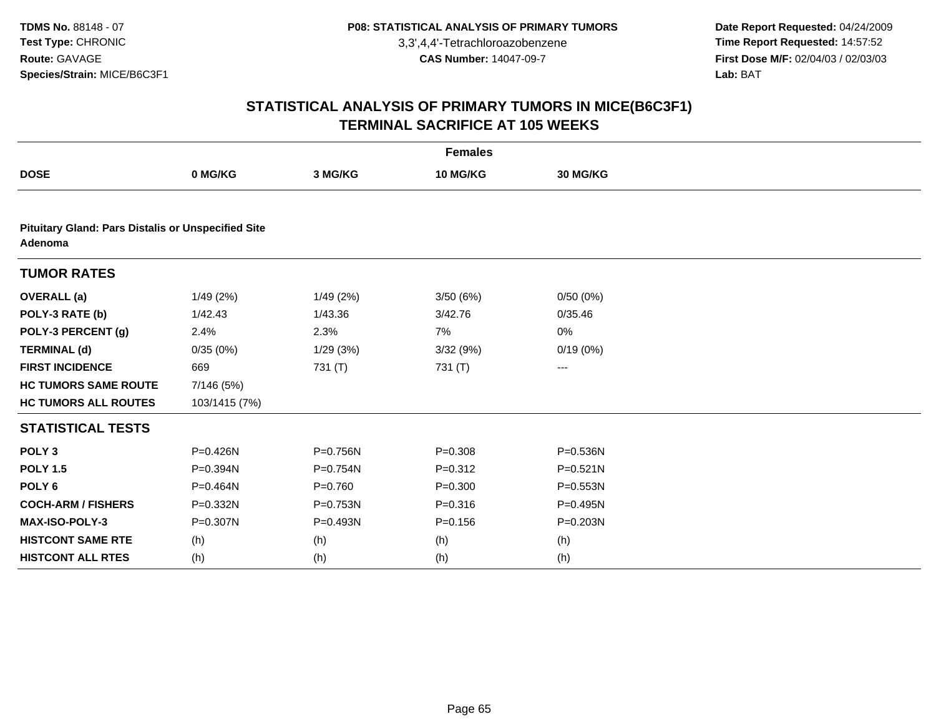**Date Report Requested:** 04/24/2009 **Time Report Requested:** 14:57:52 **First Dose M/F:** 02/04/03 / 02/03/03<br>Lab: BAT **Lab:** BAT

|                                                                      |               |             | <b>Females</b> |              |  |  |  |  |  |
|----------------------------------------------------------------------|---------------|-------------|----------------|--------------|--|--|--|--|--|
| <b>DOSE</b>                                                          | 0 MG/KG       | 3 MG/KG     | 10 MG/KG       | 30 MG/KG     |  |  |  |  |  |
|                                                                      |               |             |                |              |  |  |  |  |  |
| <b>Pituitary Gland: Pars Distalis or Unspecified Site</b><br>Adenoma |               |             |                |              |  |  |  |  |  |
| <b>TUMOR RATES</b>                                                   |               |             |                |              |  |  |  |  |  |
| <b>OVERALL</b> (a)                                                   | 1/49(2%)      | 1/49(2%)    | 3/50(6%)       | 0/50(0%)     |  |  |  |  |  |
| POLY-3 RATE (b)                                                      | 1/42.43       | 1/43.36     | 3/42.76        | 0/35.46      |  |  |  |  |  |
| POLY-3 PERCENT (g)                                                   | 2.4%          | 2.3%        | 7%             | 0%           |  |  |  |  |  |
| <b>TERMINAL (d)</b>                                                  | 0/35(0%)      | 1/29(3%)    | 3/32(9%)       | 0/19(0%)     |  |  |  |  |  |
| <b>FIRST INCIDENCE</b>                                               | 669           | 731 (T)     | 731 (T)        | ---          |  |  |  |  |  |
| <b>HC TUMORS SAME ROUTE</b>                                          | 7/146 (5%)    |             |                |              |  |  |  |  |  |
| <b>HC TUMORS ALL ROUTES</b>                                          | 103/1415 (7%) |             |                |              |  |  |  |  |  |
| <b>STATISTICAL TESTS</b>                                             |               |             |                |              |  |  |  |  |  |
| POLY <sub>3</sub>                                                    | P=0.426N      | P=0.756N    | $P = 0.308$    | P=0.536N     |  |  |  |  |  |
| <b>POLY 1.5</b>                                                      | P=0.394N      | P=0.754N    | $P = 0.312$    | $P = 0.521N$ |  |  |  |  |  |
| POLY <sub>6</sub>                                                    | P=0.464N      | $P = 0.760$ | $P = 0.300$    | P=0.553N     |  |  |  |  |  |
| <b>COCH-ARM / FISHERS</b>                                            | P=0.332N      | P=0.753N    | $P = 0.316$    | P=0.495N     |  |  |  |  |  |
| MAX-ISO-POLY-3                                                       | P=0.307N      | P=0.493N    | $P = 0.156$    | P=0.203N     |  |  |  |  |  |
| <b>HISTCONT SAME RTE</b>                                             | (h)           | (h)         | (h)            | (h)          |  |  |  |  |  |
| <b>HISTCONT ALL RTES</b>                                             | (h)           | (h)         | (h)            | (h)          |  |  |  |  |  |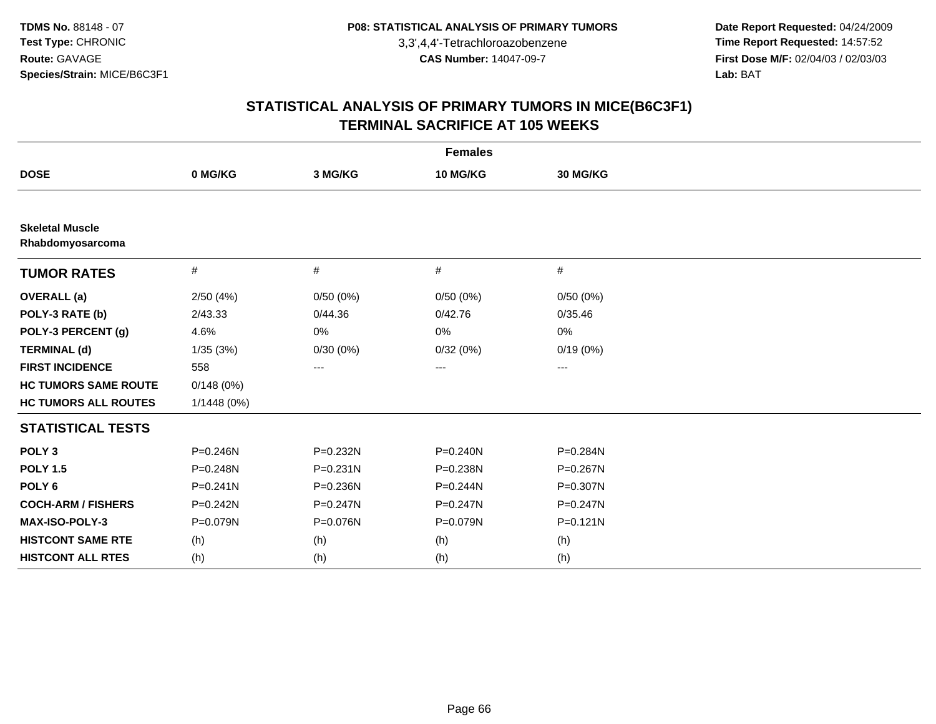**Date Report Requested:** 04/24/2009 **Time Report Requested:** 14:57:52 **First Dose M/F:** 02/04/03 / 02/03/03<br>Lab: BAT **Lab:** BAT

| <b>Females</b>                             |              |              |              |              |  |  |
|--------------------------------------------|--------------|--------------|--------------|--------------|--|--|
| <b>DOSE</b>                                | 0 MG/KG      | 3 MG/KG      | 10 MG/KG     | 30 MG/KG     |  |  |
|                                            |              |              |              |              |  |  |
| <b>Skeletal Muscle</b><br>Rhabdomyosarcoma |              |              |              |              |  |  |
| <b>TUMOR RATES</b>                         | #            | #            | #            | $\#$         |  |  |
| <b>OVERALL (a)</b>                         | 2/50(4%)     | 0/50(0%)     | 0/50(0%)     | 0/50(0%)     |  |  |
| POLY-3 RATE (b)                            | 2/43.33      | 0/44.36      | 0/42.76      | 0/35.46      |  |  |
| POLY-3 PERCENT (g)                         | 4.6%         | 0%           | 0%           | 0%           |  |  |
| <b>TERMINAL (d)</b>                        | 1/35(3%)     | 0/30(0%)     | 0/32(0%)     | 0/19(0%)     |  |  |
| <b>FIRST INCIDENCE</b>                     | 558          | $---$        | ---          | $\cdots$     |  |  |
| <b>HC TUMORS SAME ROUTE</b>                | 0/148(0%)    |              |              |              |  |  |
| <b>HC TUMORS ALL ROUTES</b>                | 1/1448(0%)   |              |              |              |  |  |
| <b>STATISTICAL TESTS</b>                   |              |              |              |              |  |  |
| POLY <sub>3</sub>                          | P=0.246N     | P=0.232N     | $P = 0.240N$ | P=0.284N     |  |  |
| <b>POLY 1.5</b>                            | P=0.248N     | $P = 0.231N$ | P=0.238N     | $P = 0.267N$ |  |  |
| POLY <sub>6</sub>                          | $P = 0.241N$ | P=0.236N     | $P = 0.244N$ | P=0.307N     |  |  |
| <b>COCH-ARM / FISHERS</b>                  | $P = 0.242N$ | P=0.247N     | P=0.247N     | $P = 0.247N$ |  |  |
| MAX-ISO-POLY-3                             | P=0.079N     | P=0.076N     | P=0.079N     | $P = 0.121N$ |  |  |
| <b>HISTCONT SAME RTE</b>                   | (h)          | (h)          | (h)          | (h)          |  |  |
| <b>HISTCONT ALL RTES</b>                   | (h)          | (h)          | (h)          | (h)          |  |  |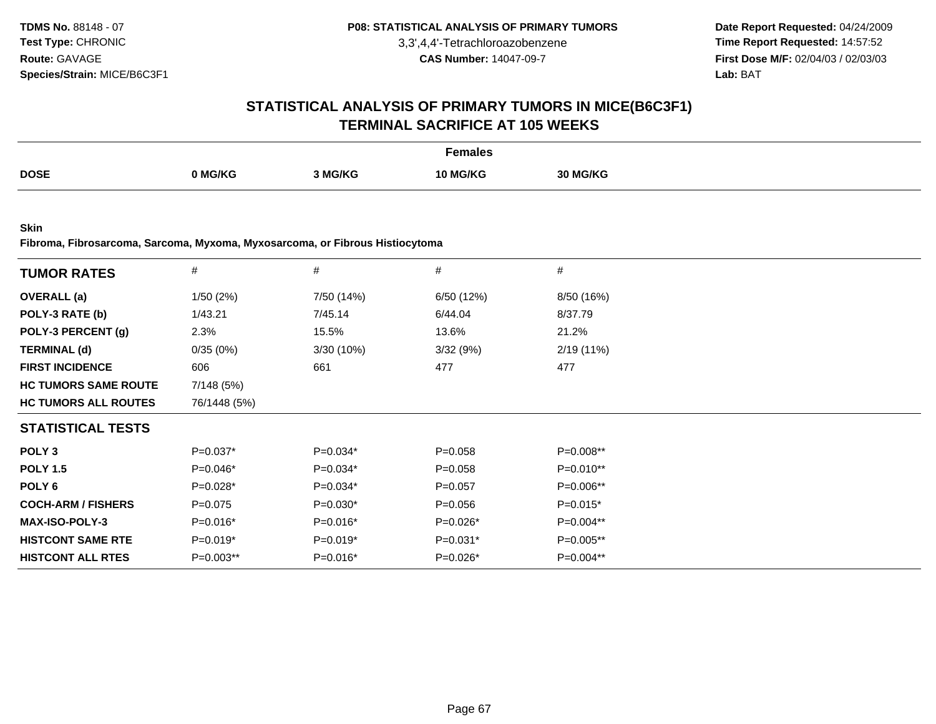**Date Report Requested:** 04/24/2009 **Time Report Requested:** 14:57:52 **First Dose M/F:** 02/04/03 / 02/03/03<br>**Lab:** BAT **Lab:** BAT

# **STATISTICAL ANALYSIS OF PRIMARY TUMORS IN MICE(B6C3F1)TERMINAL SACRIFICE AT 105 WEEKS**

|             |         |         | Females<br>. |              |
|-------------|---------|---------|--------------|--------------|
| <b>DOSE</b> |         |         |              |              |
|             | 0 MG/KG | 3 MG/KG | 10 MG/KG     | <b>MG/KG</b> |

**Skin**

**Fibroma, Fibrosarcoma, Sarcoma, Myxoma, Myxosarcoma, or Fibrous Histiocytoma**

| <b>TUMOR RATES</b>          | $\#$         | $\#$       | $\#$        | #           |
|-----------------------------|--------------|------------|-------------|-------------|
| <b>OVERALL</b> (a)          | 1/50(2%)     | 7/50 (14%) | 6/50 (12%)  | 8/50 (16%)  |
| POLY-3 RATE (b)             | 1/43.21      | 7/45.14    | 6/44.04     | 8/37.79     |
| POLY-3 PERCENT (g)          | 2.3%         | 15.5%      | 13.6%       | 21.2%       |
| <b>TERMINAL (d)</b>         | 0/35(0%)     | 3/30 (10%) | 3/32(9%)    | 2/19(11%)   |
| <b>FIRST INCIDENCE</b>      | 606          | 661        | 477         | 477         |
| <b>HC TUMORS SAME ROUTE</b> | 7/148 (5%)   |            |             |             |
| <b>HC TUMORS ALL ROUTES</b> | 76/1448 (5%) |            |             |             |
| <b>STATISTICAL TESTS</b>    |              |            |             |             |
| POLY <sub>3</sub>           | $P=0.037*$   | $P=0.034*$ | $P = 0.058$ | $P=0.008**$ |
| <b>POLY 1.5</b>             | $P=0.046*$   | $P=0.034*$ | $P = 0.058$ | $P=0.010**$ |
| POLY 6                      | $P=0.028*$   | $P=0.034*$ | $P=0.057$   | P=0.006**   |
| <b>COCH-ARM / FISHERS</b>   | $P=0.075$    | $P=0.030*$ | $P = 0.056$ | $P=0.015*$  |
| <b>MAX-ISO-POLY-3</b>       | P=0.016*     | P=0.016*   | P=0.026*    | P=0.004**   |
| <b>HISTCONT SAME RTE</b>    | $P=0.019*$   | $P=0.019*$ | $P=0.031*$  | $P=0.005**$ |
| <b>HISTCONT ALL RTES</b>    | $P=0.003**$  | $P=0.016*$ | $P=0.026*$  | P=0.004**   |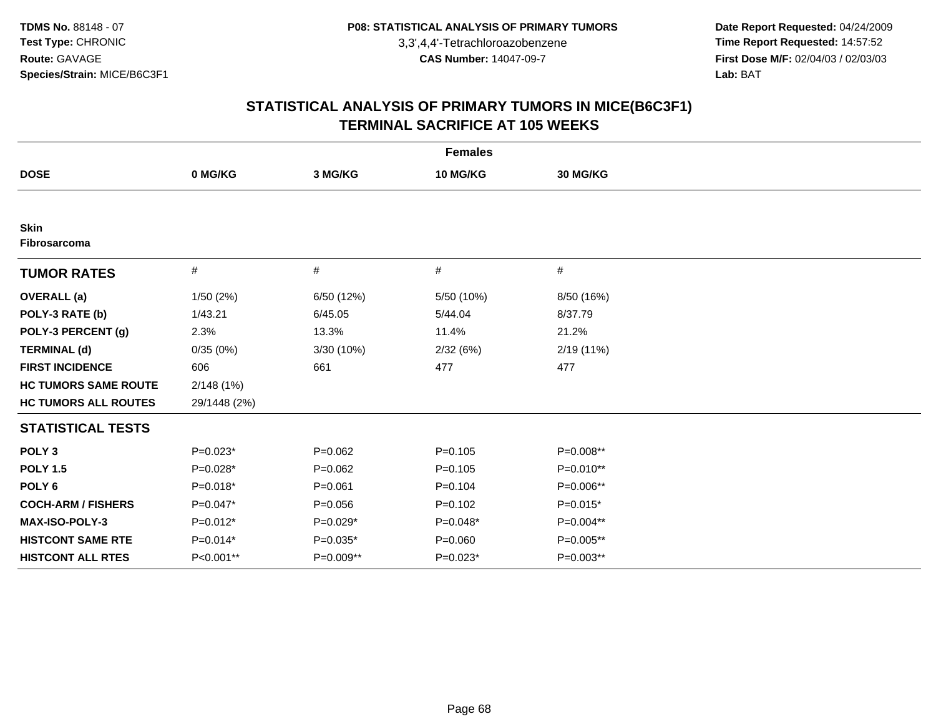**Date Report Requested:** 04/24/2009 **Time Report Requested:** 14:57:52 **First Dose M/F:** 02/04/03 / 02/03/03<br>Lab: BAT **Lab:** BAT

|                             | <b>Females</b> |             |             |             |  |  |  |
|-----------------------------|----------------|-------------|-------------|-------------|--|--|--|
| <b>DOSE</b>                 | 0 MG/KG        | 3 MG/KG     | 10 MG/KG    | 30 MG/KG    |  |  |  |
|                             |                |             |             |             |  |  |  |
| <b>Skin</b><br>Fibrosarcoma |                |             |             |             |  |  |  |
| <b>TUMOR RATES</b>          | #              | #           | #           | #           |  |  |  |
| <b>OVERALL</b> (a)          | 1/50(2%)       | 6/50 (12%)  | 5/50 (10%)  | 8/50 (16%)  |  |  |  |
| POLY-3 RATE (b)             | 1/43.21        | 6/45.05     | 5/44.04     | 8/37.79     |  |  |  |
| POLY-3 PERCENT (g)          | 2.3%           | 13.3%       | 11.4%       | 21.2%       |  |  |  |
| <b>TERMINAL (d)</b>         | 0/35(0%)       | 3/30 (10%)  | 2/32(6%)    | 2/19(11%)   |  |  |  |
| <b>FIRST INCIDENCE</b>      | 606            | 661         | 477         | 477         |  |  |  |
| <b>HC TUMORS SAME ROUTE</b> | 2/148(1%)      |             |             |             |  |  |  |
| <b>HC TUMORS ALL ROUTES</b> | 29/1448 (2%)   |             |             |             |  |  |  |
| <b>STATISTICAL TESTS</b>    |                |             |             |             |  |  |  |
| POLY <sub>3</sub>           | $P=0.023*$     | $P=0.062$   | $P=0.105$   | P=0.008**   |  |  |  |
| <b>POLY 1.5</b>             | $P=0.028*$     | $P=0.062$   | $P=0.105$   | $P=0.010**$ |  |  |  |
| POLY <sub>6</sub>           | $P=0.018*$     | $P = 0.061$ | $P=0.104$   | P=0.006**   |  |  |  |
| <b>COCH-ARM / FISHERS</b>   | $P=0.047*$     | $P = 0.056$ | $P=0.102$   | $P=0.015*$  |  |  |  |
| MAX-ISO-POLY-3              | $P=0.012*$     | $P=0.029*$  | $P=0.048*$  | P=0.004**   |  |  |  |
| <b>HISTCONT SAME RTE</b>    | $P=0.014*$     | $P=0.035*$  | $P = 0.060$ | P=0.005**   |  |  |  |
| <b>HISTCONT ALL RTES</b>    | P<0.001**      | P=0.009**   | $P=0.023*$  | $P=0.003**$ |  |  |  |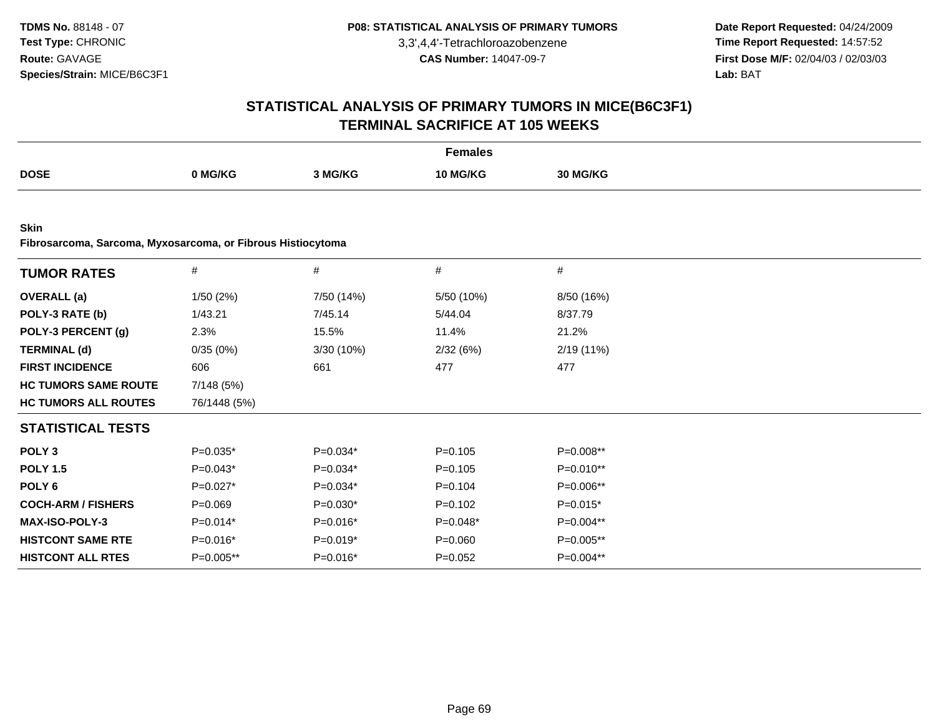**Date Report Requested:** 04/24/2009 **Time Report Requested:** 14:57:52 **First Dose M/F:** 02/04/03 / 02/03/03<br>Lab: BAT **Lab:** BAT

|                                                                            |              |            | <b>Females</b> |            |  |
|----------------------------------------------------------------------------|--------------|------------|----------------|------------|--|
| <b>DOSE</b>                                                                | 0 MG/KG      | 3 MG/KG    | 10 MG/KG       | 30 MG/KG   |  |
|                                                                            |              |            |                |            |  |
| <b>Skin</b><br>Fibrosarcoma, Sarcoma, Myxosarcoma, or Fibrous Histiocytoma |              |            |                |            |  |
| <b>TUMOR RATES</b>                                                         | $\#$         | $\#$       | $\#$           | $\#$       |  |
| <b>OVERALL</b> (a)                                                         | 1/50(2%)     | 7/50 (14%) | 5/50 (10%)     | 8/50 (16%) |  |
| POLY-3 RATE (b)                                                            | 1/43.21      | 7/45.14    | 5/44.04        | 8/37.79    |  |
| POLY-3 PERCENT (g)                                                         | 2.3%         | 15.5%      | 11.4%          | 21.2%      |  |
| <b>TERMINAL (d)</b>                                                        | 0/35(0%)     | 3/30 (10%) | 2/32(6%)       | 2/19 (11%) |  |
| <b>FIRST INCIDENCE</b>                                                     | 606          | 661        | 477            | 477        |  |
| <b>HC TUMORS SAME ROUTE</b>                                                | 7/148 (5%)   |            |                |            |  |
| <b>HC TUMORS ALL ROUTES</b>                                                | 76/1448 (5%) |            |                |            |  |
| <b>STATISTICAL TESTS</b>                                                   |              |            |                |            |  |
| POLY <sub>3</sub>                                                          | $P=0.035*$   | $P=0.034*$ | $P = 0.105$    | P=0.008**  |  |
| <b>POLY 1.5</b>                                                            | $P=0.043*$   | $P=0.034*$ | $P=0.105$      | P=0.010**  |  |
| POLY <sub>6</sub>                                                          | $P=0.027*$   | $P=0.034*$ | $P=0.104$      | P=0.006**  |  |
| <b>COCH-ARM / FISHERS</b>                                                  | $P = 0.069$  | $P=0.030*$ | $P = 0.102$    | $P=0.015*$ |  |
| MAX-ISO-POLY-3                                                             | $P=0.014*$   | $P=0.016*$ | $P=0.048*$     | P=0.004**  |  |
| <b>HISTCONT SAME RTE</b>                                                   | $P=0.016*$   | $P=0.019*$ | $P = 0.060$    | P=0.005**  |  |
| <b>HISTCONT ALL RTES</b>                                                   | P=0.005**    | $P=0.016*$ | $P=0.052$      | P=0.004**  |  |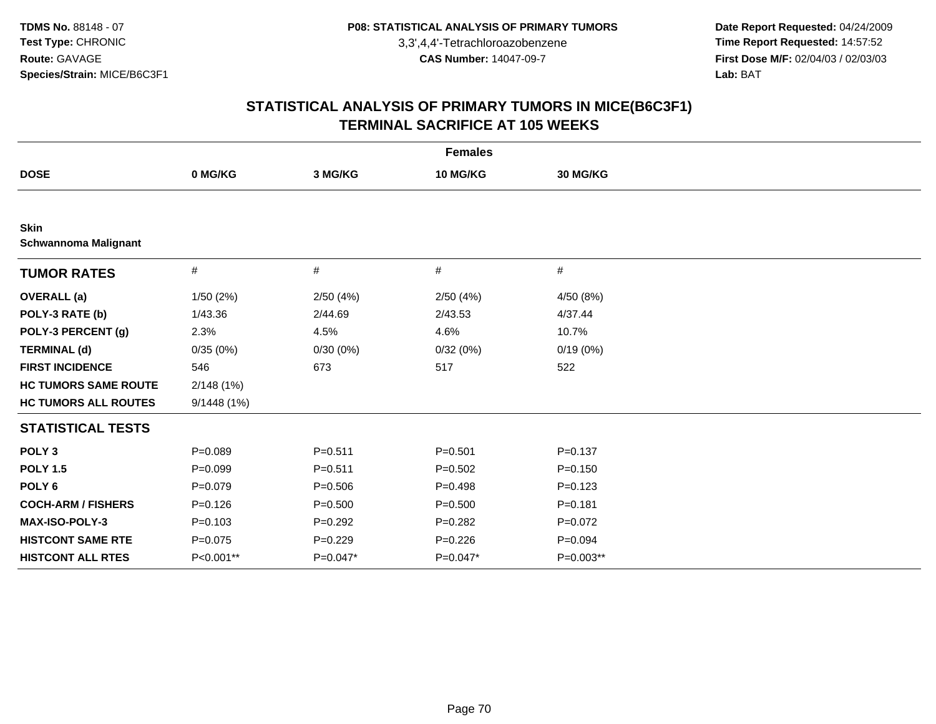**Date Report Requested:** 04/24/2009 **Time Report Requested:** 14:57:52 **First Dose M/F:** 02/04/03 / 02/03/03<br>Lab: BAT **Lab:** BAT

|                                            |             |             | <b>Females</b> |             |
|--------------------------------------------|-------------|-------------|----------------|-------------|
| <b>DOSE</b>                                | 0 MG/KG     | 3 MG/KG     | 10 MG/KG       | 30 MG/KG    |
|                                            |             |             |                |             |
| <b>Skin</b><br><b>Schwannoma Malignant</b> |             |             |                |             |
| <b>TUMOR RATES</b>                         | $\#$        | #           | #              | #           |
| <b>OVERALL</b> (a)                         | 1/50(2%)    | 2/50(4%)    | 2/50(4%)       | 4/50 (8%)   |
| POLY-3 RATE (b)                            | 1/43.36     | 2/44.69     | 2/43.53        | 4/37.44     |
| POLY-3 PERCENT (g)                         | 2.3%        | 4.5%        | 4.6%           | 10.7%       |
| <b>TERMINAL (d)</b>                        | 0/35(0%)    | 0/30(0%)    | 0/32(0%)       | 0/19(0%)    |
| <b>FIRST INCIDENCE</b>                     | 546         | 673         | 517            | 522         |
| <b>HC TUMORS SAME ROUTE</b>                | 2/148(1%)   |             |                |             |
| <b>HC TUMORS ALL ROUTES</b>                | 9/1448(1%)  |             |                |             |
| <b>STATISTICAL TESTS</b>                   |             |             |                |             |
| POLY <sub>3</sub>                          | $P=0.089$   | $P = 0.511$ | $P = 0.501$    | $P = 0.137$ |
| <b>POLY 1.5</b>                            | $P = 0.099$ | $P = 0.511$ | $P=0.502$      | $P = 0.150$ |
| POLY <sub>6</sub>                          | $P = 0.079$ | $P = 0.506$ | $P=0.498$      | $P = 0.123$ |
| <b>COCH-ARM / FISHERS</b>                  | $P = 0.126$ | $P = 0.500$ | $P = 0.500$    | $P = 0.181$ |
| MAX-ISO-POLY-3                             | $P = 0.103$ | $P=0.292$   | $P = 0.282$    | $P=0.072$   |
| <b>HISTCONT SAME RTE</b>                   | $P = 0.075$ | $P=0.229$   | $P = 0.226$    | $P = 0.094$ |
| <b>HISTCONT ALL RTES</b>                   | P<0.001**   | $P=0.047*$  | $P=0.047*$     | P=0.003**   |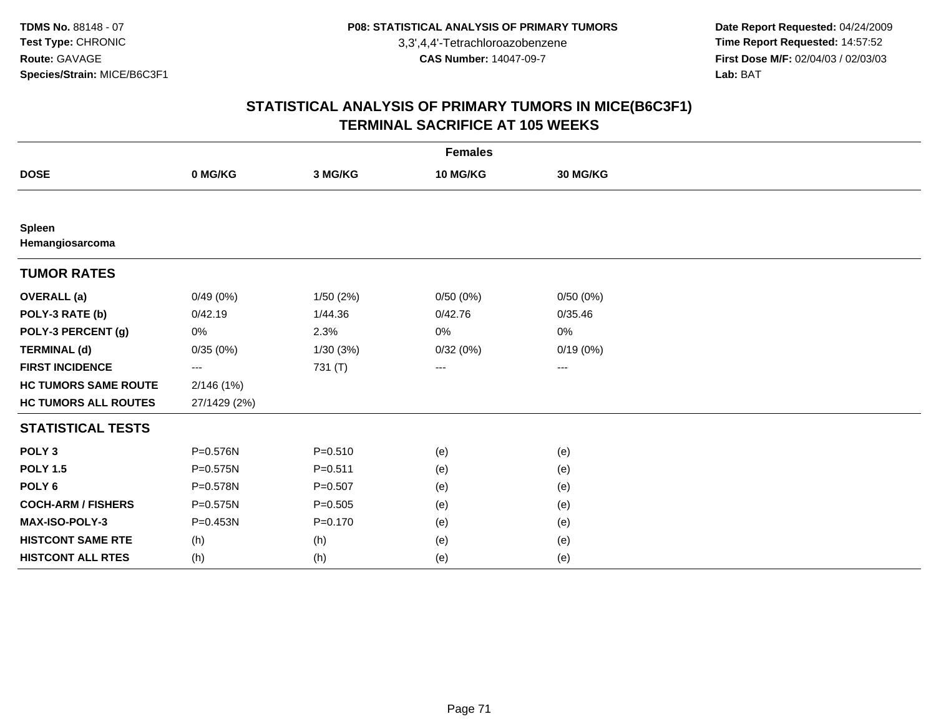**Date Report Requested:** 04/24/2009 **Time Report Requested:** 14:57:52 **First Dose M/F:** 02/04/03 / 02/03/03<br>Lab: BAT **Lab:** BAT

| <b>Females</b>                   |              |             |          |          |  |  |  |  |
|----------------------------------|--------------|-------------|----------|----------|--|--|--|--|
| <b>DOSE</b>                      | 0 MG/KG      | 3 MG/KG     | 10 MG/KG | 30 MG/KG |  |  |  |  |
|                                  |              |             |          |          |  |  |  |  |
| <b>Spleen</b><br>Hemangiosarcoma |              |             |          |          |  |  |  |  |
| <b>TUMOR RATES</b>               |              |             |          |          |  |  |  |  |
| <b>OVERALL</b> (a)               | 0/49(0%)     | 1/50(2%)    | 0/50(0%) | 0/50(0%) |  |  |  |  |
| POLY-3 RATE (b)                  | 0/42.19      | 1/44.36     | 0/42.76  | 0/35.46  |  |  |  |  |
| POLY-3 PERCENT (g)               | 0%           | 2.3%        | 0%       | 0%       |  |  |  |  |
| <b>TERMINAL (d)</b>              | 0/35(0%)     | 1/30(3%)    | 0/32(0%) | 0/19(0%) |  |  |  |  |
| <b>FIRST INCIDENCE</b>           | ---          | 731 (T)     | ---      | ---      |  |  |  |  |
| <b>HC TUMORS SAME ROUTE</b>      | 2/146(1%)    |             |          |          |  |  |  |  |
| <b>HC TUMORS ALL ROUTES</b>      | 27/1429 (2%) |             |          |          |  |  |  |  |
| <b>STATISTICAL TESTS</b>         |              |             |          |          |  |  |  |  |
| POLY <sub>3</sub>                | P=0.576N     | $P = 0.510$ | (e)      | (e)      |  |  |  |  |
| <b>POLY 1.5</b>                  | $P = 0.575N$ | $P = 0.511$ | (e)      | (e)      |  |  |  |  |
| POLY <sub>6</sub>                | P=0.578N     | $P = 0.507$ | (e)      | (e)      |  |  |  |  |
| <b>COCH-ARM / FISHERS</b>        | $P = 0.575N$ | $P = 0.505$ | (e)      | (e)      |  |  |  |  |
| MAX-ISO-POLY-3                   | P=0.453N     | $P = 0.170$ | (e)      | (e)      |  |  |  |  |
| <b>HISTCONT SAME RTE</b>         | (h)          | (h)         | (e)      | (e)      |  |  |  |  |
| <b>HISTCONT ALL RTES</b>         | (h)          | (h)         | (e)      | (e)      |  |  |  |  |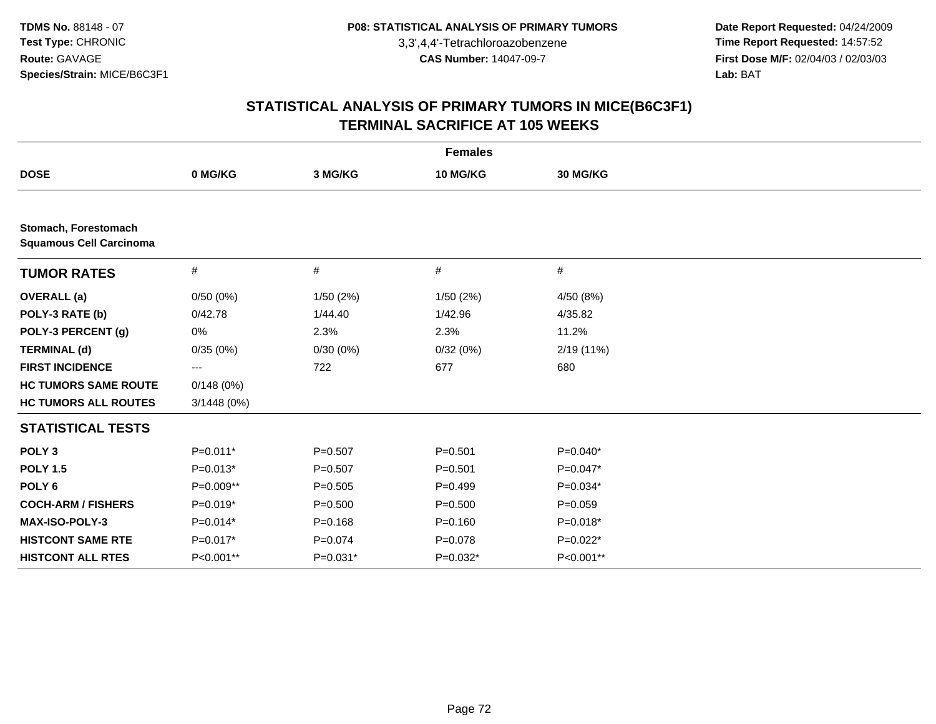**Date Report Requested:** 04/24/2009 **Time Report Requested:** 14:57:52 **First Dose M/F:** 02/04/03 / 02/03/03<br>Lab: BAT **Lab:** BAT

| <b>Females</b>                                         |             |             |             |             |  |  |  |  |
|--------------------------------------------------------|-------------|-------------|-------------|-------------|--|--|--|--|
| <b>DOSE</b>                                            | 0 MG/KG     | 3 MG/KG     | 10 MG/KG    | 30 MG/KG    |  |  |  |  |
|                                                        |             |             |             |             |  |  |  |  |
| Stomach, Forestomach<br><b>Squamous Cell Carcinoma</b> |             |             |             |             |  |  |  |  |
| <b>TUMOR RATES</b>                                     | #           | #           | #           | $\#$        |  |  |  |  |
| <b>OVERALL</b> (a)                                     | 0/50(0%)    | 1/50(2%)    | 1/50(2%)    | 4/50 (8%)   |  |  |  |  |
| POLY-3 RATE (b)                                        | 0/42.78     | 1/44.40     | 1/42.96     | 4/35.82     |  |  |  |  |
| POLY-3 PERCENT (g)                                     | 0%          | 2.3%        | 2.3%        | 11.2%       |  |  |  |  |
| <b>TERMINAL (d)</b>                                    | 0/35(0%)    | 0/30(0%)    | 0/32(0%)    | 2/19(11%)   |  |  |  |  |
| <b>FIRST INCIDENCE</b>                                 | ---         | 722         | 677         | 680         |  |  |  |  |
| <b>HC TUMORS SAME ROUTE</b>                            | 0/148(0%)   |             |             |             |  |  |  |  |
| <b>HC TUMORS ALL ROUTES</b>                            | 3/1448 (0%) |             |             |             |  |  |  |  |
| <b>STATISTICAL TESTS</b>                               |             |             |             |             |  |  |  |  |
| POLY <sub>3</sub>                                      | $P=0.011*$  | $P = 0.507$ | $P = 0.501$ | $P=0.040*$  |  |  |  |  |
| <b>POLY 1.5</b>                                        | $P=0.013*$  | $P=0.507$   | $P = 0.501$ | $P=0.047*$  |  |  |  |  |
| POLY <sub>6</sub>                                      | P=0.009**   | $P = 0.505$ | $P=0.499$   | P=0.034*    |  |  |  |  |
| <b>COCH-ARM / FISHERS</b>                              | $P=0.019*$  | $P = 0.500$ | $P = 0.500$ | $P = 0.059$ |  |  |  |  |
| <b>MAX-ISO-POLY-3</b>                                  | $P=0.014*$  | $P = 0.168$ | $P = 0.160$ | $P=0.018*$  |  |  |  |  |
| <b>HISTCONT SAME RTE</b>                               | $P=0.017*$  | $P=0.074$   | $P = 0.078$ | $P=0.022*$  |  |  |  |  |
| <b>HISTCONT ALL RTES</b>                               | P<0.001**   | $P=0.031*$  | $P=0.032*$  | P<0.001**   |  |  |  |  |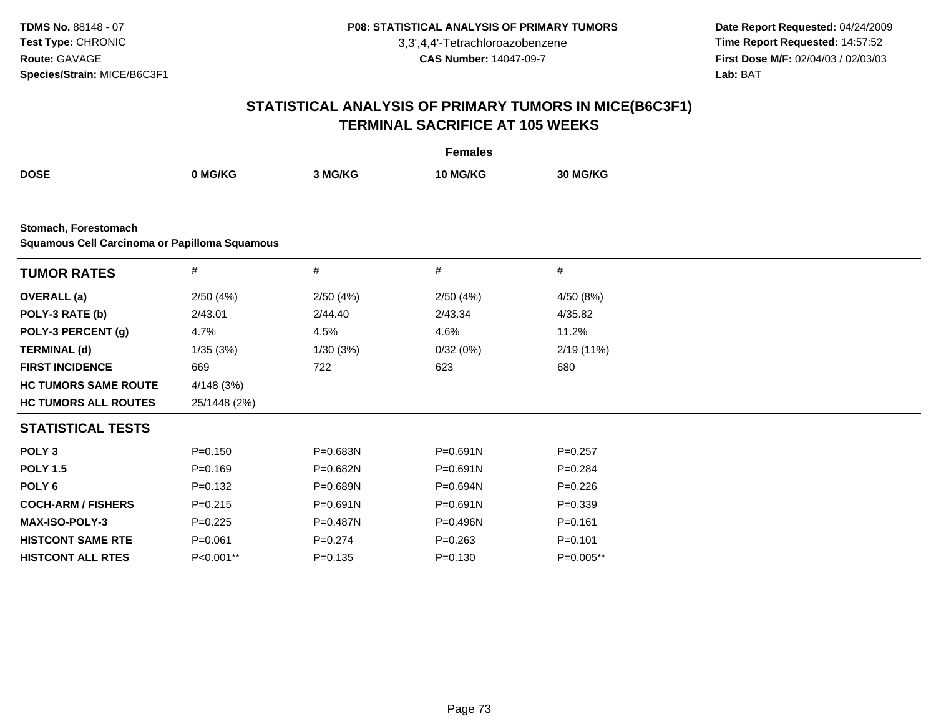**Date Report Requested:** 04/24/2009 **Time Report Requested:** 14:57:52 **First Dose M/F:** 02/04/03 / 02/03/03<br>Lab: BAT **Lab:** BAT

|                                                                              |              |              | <b>Females</b> |                 |  |  |  |  |  |
|------------------------------------------------------------------------------|--------------|--------------|----------------|-----------------|--|--|--|--|--|
| <b>DOSE</b>                                                                  | 0 MG/KG      | 3 MG/KG      | 10 MG/KG       | <b>30 MG/KG</b> |  |  |  |  |  |
|                                                                              |              |              |                |                 |  |  |  |  |  |
| Stomach, Forestomach<br><b>Squamous Cell Carcinoma or Papilloma Squamous</b> |              |              |                |                 |  |  |  |  |  |
| <b>TUMOR RATES</b>                                                           | $\#$         | $\#$         | #              | $\#$            |  |  |  |  |  |
| <b>OVERALL</b> (a)                                                           | 2/50(4%)     | 2/50(4%)     | 2/50(4%)       | 4/50 (8%)       |  |  |  |  |  |
| POLY-3 RATE (b)                                                              | 2/43.01      | 2/44.40      | 2/43.34        | 4/35.82         |  |  |  |  |  |
| POLY-3 PERCENT (g)                                                           | 4.7%         | 4.5%         | 4.6%           | 11.2%           |  |  |  |  |  |
| <b>TERMINAL (d)</b>                                                          | 1/35(3%)     | 1/30(3%)     | 0/32(0%)       | 2/19 (11%)      |  |  |  |  |  |
| <b>FIRST INCIDENCE</b>                                                       | 669          | 722          | 623            | 680             |  |  |  |  |  |
| <b>HC TUMORS SAME ROUTE</b>                                                  | 4/148 (3%)   |              |                |                 |  |  |  |  |  |
| <b>HC TUMORS ALL ROUTES</b>                                                  | 25/1448 (2%) |              |                |                 |  |  |  |  |  |
| <b>STATISTICAL TESTS</b>                                                     |              |              |                |                 |  |  |  |  |  |
| POLY <sub>3</sub>                                                            | $P = 0.150$  | P=0.683N     | P=0.691N       | $P = 0.257$     |  |  |  |  |  |
| <b>POLY 1.5</b>                                                              | $P=0.169$    | P=0.682N     | $P = 0.691N$   | $P = 0.284$     |  |  |  |  |  |
| POLY <sub>6</sub>                                                            | $P = 0.132$  | P=0.689N     | P=0.694N       | $P=0.226$       |  |  |  |  |  |
| <b>COCH-ARM / FISHERS</b>                                                    | $P=0.215$    | $P = 0.691N$ | $P = 0.691N$   | $P = 0.339$     |  |  |  |  |  |
| <b>MAX-ISO-POLY-3</b>                                                        | $P=0.225$    | P=0.487N     | P=0.496N       | $P = 0.161$     |  |  |  |  |  |
| <b>HISTCONT SAME RTE</b>                                                     | $P = 0.061$  | $P = 0.274$  | $P = 0.263$    | $P = 0.101$     |  |  |  |  |  |
| <b>HISTCONT ALL RTES</b>                                                     | P<0.001**    | $P = 0.135$  | $P = 0.130$    | P=0.005**       |  |  |  |  |  |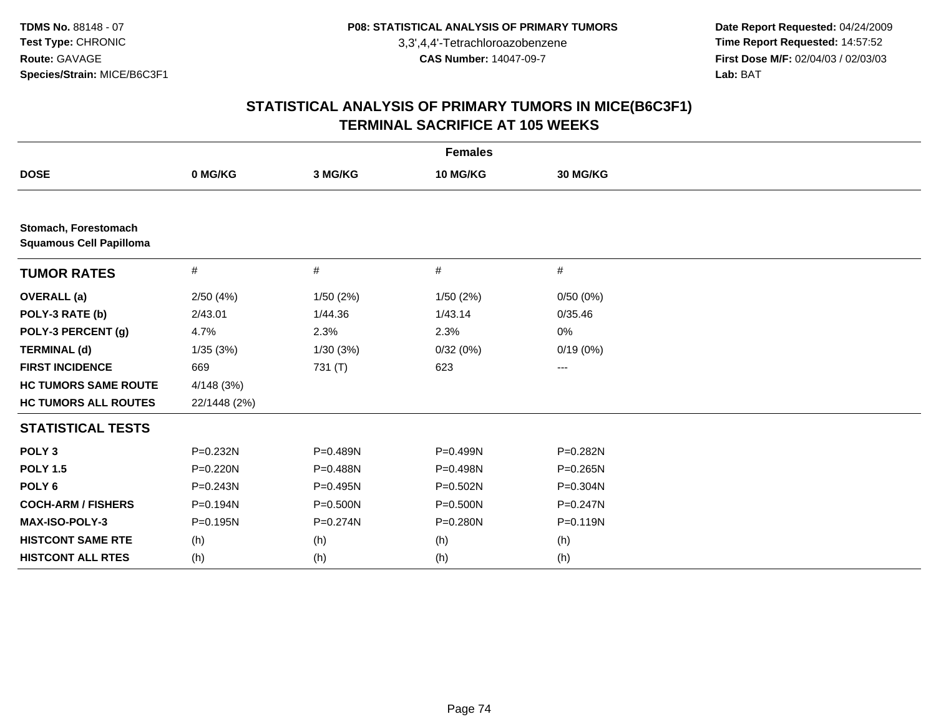**Date Report Requested:** 04/24/2009 **Time Report Requested:** 14:57:52 **First Dose M/F:** 02/04/03 / 02/03/03<br>Lab: BAT **Lab:** BAT

| <b>Females</b>                                         |              |              |              |              |  |  |
|--------------------------------------------------------|--------------|--------------|--------------|--------------|--|--|
| <b>DOSE</b>                                            | 0 MG/KG      | 3 MG/KG      | 10 MG/KG     | 30 MG/KG     |  |  |
|                                                        |              |              |              |              |  |  |
| Stomach, Forestomach<br><b>Squamous Cell Papilloma</b> |              |              |              |              |  |  |
| <b>TUMOR RATES</b>                                     | $\#$         | #            | #            | $\#$         |  |  |
| <b>OVERALL</b> (a)                                     | 2/50(4%)     | 1/50(2%)     | 1/50(2%)     | 0/50(0%)     |  |  |
| POLY-3 RATE (b)                                        | 2/43.01      | 1/44.36      | 1/43.14      | 0/35.46      |  |  |
| POLY-3 PERCENT (g)                                     | 4.7%         | 2.3%         | 2.3%         | 0%           |  |  |
| <b>TERMINAL (d)</b>                                    | 1/35(3%)     | 1/30(3%)     | 0/32(0%)     | 0/19(0%)     |  |  |
| <b>FIRST INCIDENCE</b>                                 | 669          | 731 (T)      | 623          | ---          |  |  |
| <b>HC TUMORS SAME ROUTE</b>                            | 4/148(3%)    |              |              |              |  |  |
| <b>HC TUMORS ALL ROUTES</b>                            | 22/1448 (2%) |              |              |              |  |  |
| <b>STATISTICAL TESTS</b>                               |              |              |              |              |  |  |
| POLY <sub>3</sub>                                      | P=0.232N     | P=0.489N     | P=0.499N     | P=0.282N     |  |  |
| <b>POLY 1.5</b>                                        | $P = 0.220N$ | $P = 0.488N$ | $P=0.498N$   | $P = 0.265N$ |  |  |
| POLY <sub>6</sub>                                      | $P = 0.243N$ | $P = 0.495N$ | $P = 0.502N$ | P=0.304N     |  |  |
| <b>COCH-ARM / FISHERS</b>                              | P=0.194N     | P=0.500N     | P=0.500N     | $P = 0.247N$ |  |  |
| <b>MAX-ISO-POLY-3</b>                                  | $P = 0.195N$ | $P = 0.274N$ | $P = 0.280N$ | $P = 0.119N$ |  |  |
| <b>HISTCONT SAME RTE</b>                               | (h)          | (h)          | (h)          | (h)          |  |  |
| <b>HISTCONT ALL RTES</b>                               | (h)          | (h)          | (h)          | (h)          |  |  |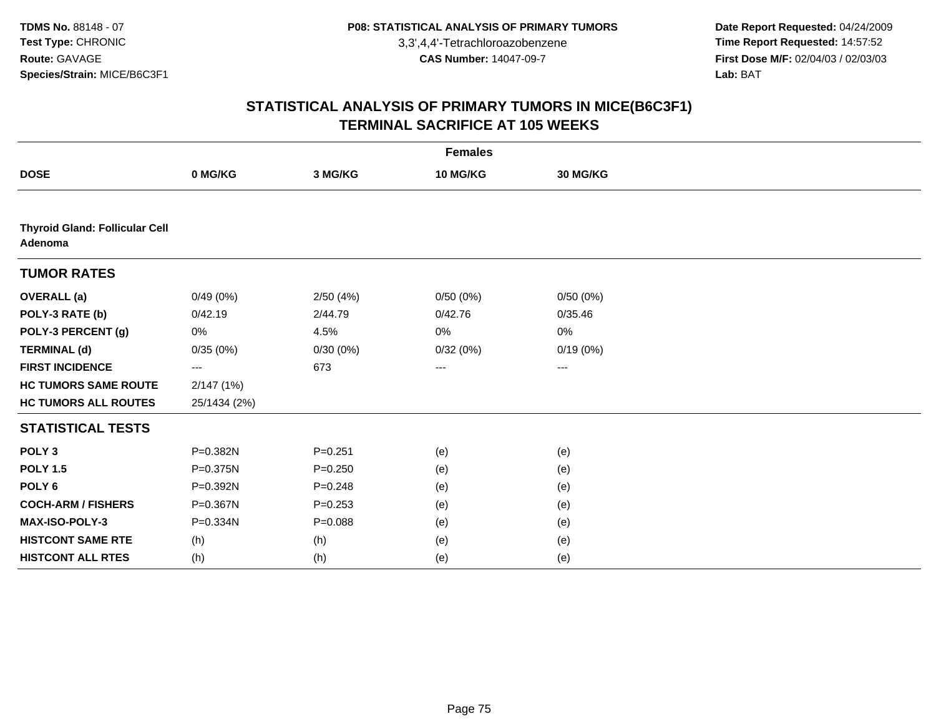**Date Report Requested:** 04/24/2009 **Time Report Requested:** 14:57:52 **First Dose M/F:** 02/04/03 / 02/03/03<br>Lab: BAT **Lab:** BAT

|                                                  |              |             | <b>Females</b>    |          |  |
|--------------------------------------------------|--------------|-------------|-------------------|----------|--|
| <b>DOSE</b>                                      | 0 MG/KG      | 3 MG/KG     | 10 MG/KG          | 30 MG/KG |  |
|                                                  |              |             |                   |          |  |
| <b>Thyroid Gland: Follicular Cell</b><br>Adenoma |              |             |                   |          |  |
| <b>TUMOR RATES</b>                               |              |             |                   |          |  |
| <b>OVERALL</b> (a)                               | 0/49(0%)     | 2/50(4%)    | 0/50(0%)          | 0/50(0%) |  |
| POLY-3 RATE (b)                                  | 0/42.19      | 2/44.79     | 0/42.76           | 0/35.46  |  |
| POLY-3 PERCENT (g)                               | 0%           | 4.5%        | 0%                | 0%       |  |
| <b>TERMINAL (d)</b>                              | 0/35(0%)     | 0/30(0%)    | 0/32(0%)          | 0/19(0%) |  |
| <b>FIRST INCIDENCE</b>                           | ---          | 673         | $\qquad \qquad -$ | ---      |  |
| <b>HC TUMORS SAME ROUTE</b>                      | 2/147(1%)    |             |                   |          |  |
| <b>HC TUMORS ALL ROUTES</b>                      | 25/1434 (2%) |             |                   |          |  |
| <b>STATISTICAL TESTS</b>                         |              |             |                   |          |  |
| POLY <sub>3</sub>                                | P=0.382N     | $P = 0.251$ | (e)               | (e)      |  |
| <b>POLY 1.5</b>                                  | $P = 0.375N$ | $P = 0.250$ | (e)               | (e)      |  |
| POLY <sub>6</sub>                                | P=0.392N     | $P = 0.248$ | (e)               | (e)      |  |
| <b>COCH-ARM / FISHERS</b>                        | P=0.367N     | $P = 0.253$ | (e)               | (e)      |  |
| MAX-ISO-POLY-3                                   | P=0.334N     | $P = 0.088$ | (e)               | (e)      |  |
| <b>HISTCONT SAME RTE</b>                         | (h)          | (h)         | (e)               | (e)      |  |
| <b>HISTCONT ALL RTES</b>                         | (h)          | (h)         | (e)               | (e)      |  |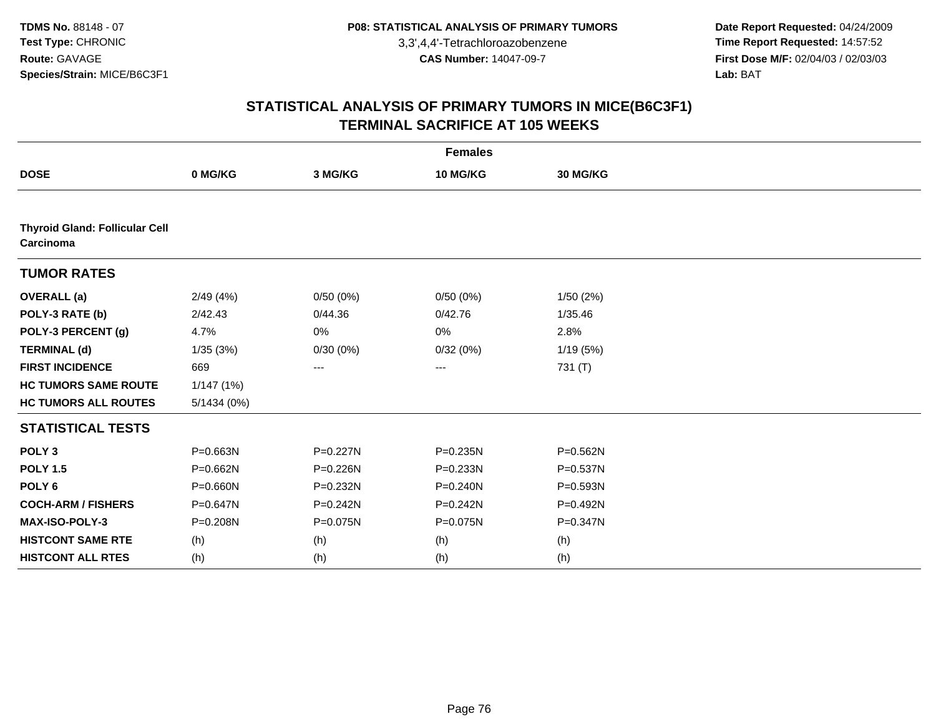**Date Report Requested:** 04/24/2009 **Time Report Requested:** 14:57:52 **First Dose M/F:** 02/04/03 / 02/03/03<br>Lab: BAT **Lab:** BAT

|                                                    |              |          | <b>Females</b> |                 |  |
|----------------------------------------------------|--------------|----------|----------------|-----------------|--|
| <b>DOSE</b>                                        | 0 MG/KG      | 3 MG/KG  | 10 MG/KG       | <b>30 MG/KG</b> |  |
|                                                    |              |          |                |                 |  |
| <b>Thyroid Gland: Follicular Cell</b><br>Carcinoma |              |          |                |                 |  |
| <b>TUMOR RATES</b>                                 |              |          |                |                 |  |
| <b>OVERALL</b> (a)                                 | 2/49(4%)     | 0/50(0%) | 0/50(0%)       | 1/50(2%)        |  |
| POLY-3 RATE (b)                                    | 2/42.43      | 0/44.36  | 0/42.76        | 1/35.46         |  |
| POLY-3 PERCENT (g)                                 | 4.7%         | 0%       | 0%             | 2.8%            |  |
| <b>TERMINAL (d)</b>                                | 1/35(3%)     | 0/30(0%) | 0/32(0%)       | 1/19(5%)        |  |
| <b>FIRST INCIDENCE</b>                             | 669          | ---      | ---            | 731 (T)         |  |
| <b>HC TUMORS SAME ROUTE</b>                        | 1/147(1%)    |          |                |                 |  |
| <b>HC TUMORS ALL ROUTES</b>                        | 5/1434 (0%)  |          |                |                 |  |
| <b>STATISTICAL TESTS</b>                           |              |          |                |                 |  |
| POLY <sub>3</sub>                                  | P=0.663N     | P=0.227N | P=0.235N       | $P = 0.562N$    |  |
| <b>POLY 1.5</b>                                    | $P = 0.662N$ | P=0.226N | $P = 0.233N$   | P=0.537N        |  |
| POLY <sub>6</sub>                                  | P=0.660N     | P=0.232N | $P = 0.240N$   | P=0.593N        |  |
| <b>COCH-ARM / FISHERS</b>                          | P=0.647N     | P=0.242N | $P = 0.242N$   | P=0.492N        |  |
| <b>MAX-ISO-POLY-3</b>                              | P=0.208N     | P=0.075N | P=0.075N       | P=0.347N        |  |
| <b>HISTCONT SAME RTE</b>                           | (h)          | (h)      | (h)            | (h)             |  |
| <b>HISTCONT ALL RTES</b>                           | (h)          | (h)      | (h)            | (h)             |  |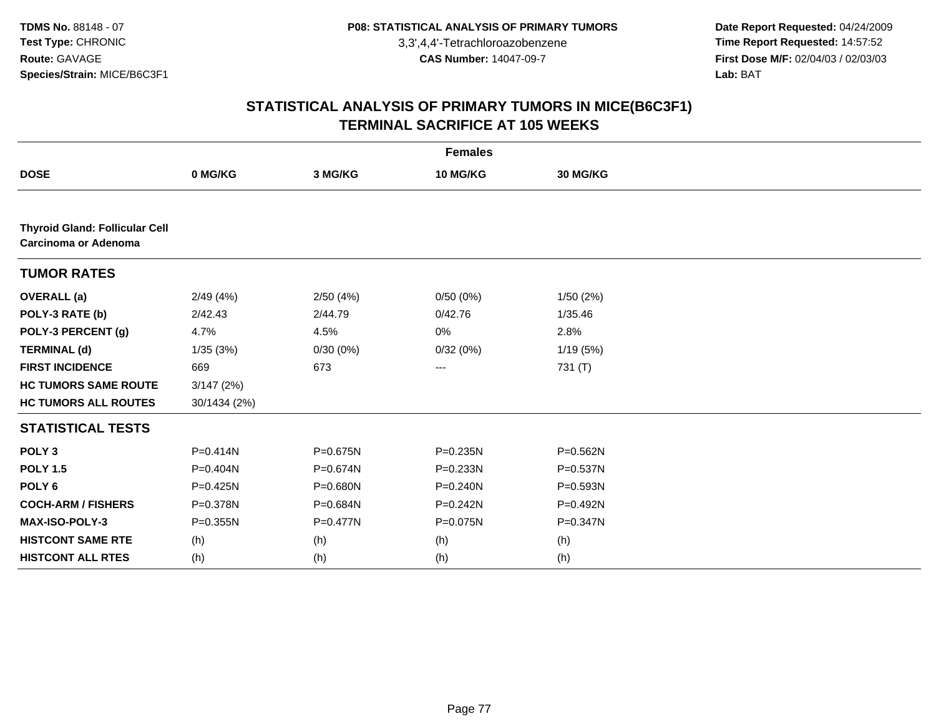**Date Report Requested:** 04/24/2009 **Time Report Requested:** 14:57:52 **First Dose M/F:** 02/04/03 / 02/03/03<br>Lab: BAT **Lab:** BAT

|                                                               |              |          | <b>Females</b> |              |  |
|---------------------------------------------------------------|--------------|----------|----------------|--------------|--|
| <b>DOSE</b>                                                   | 0 MG/KG      | 3 MG/KG  | 10 MG/KG       | 30 MG/KG     |  |
|                                                               |              |          |                |              |  |
| <b>Thyroid Gland: Follicular Cell</b><br>Carcinoma or Adenoma |              |          |                |              |  |
| <b>TUMOR RATES</b>                                            |              |          |                |              |  |
| <b>OVERALL</b> (a)                                            | 2/49(4%)     | 2/50(4%) | 0/50(0%)       | 1/50(2%)     |  |
| POLY-3 RATE (b)                                               | 2/42.43      | 2/44.79  | 0/42.76        | 1/35.46      |  |
| POLY-3 PERCENT (g)                                            | 4.7%         | 4.5%     | 0%             | 2.8%         |  |
| <b>TERMINAL (d)</b>                                           | 1/35(3%)     | 0/30(0%) | 0/32(0%)       | 1/19(5%)     |  |
| <b>FIRST INCIDENCE</b>                                        | 669          | 673      | ---            | 731 (T)      |  |
| <b>HC TUMORS SAME ROUTE</b>                                   | 3/147(2%)    |          |                |              |  |
| <b>HC TUMORS ALL ROUTES</b>                                   | 30/1434 (2%) |          |                |              |  |
| <b>STATISTICAL TESTS</b>                                      |              |          |                |              |  |
| POLY <sub>3</sub>                                             | $P = 0.414N$ | P=0.675N | P=0.235N       | P=0.562N     |  |
| <b>POLY 1.5</b>                                               | P=0.404N     | P=0.674N | P=0.233N       | P=0.537N     |  |
| POLY <sub>6</sub>                                             | $P = 0.425N$ | P=0.680N | $P = 0.240N$   | P=0.593N     |  |
| <b>COCH-ARM / FISHERS</b>                                     | P=0.378N     | P=0.684N | P=0.242N       | P=0.492N     |  |
| MAX-ISO-POLY-3                                                | $P = 0.355N$ | P=0.477N | P=0.075N       | $P = 0.347N$ |  |
| <b>HISTCONT SAME RTE</b>                                      | (h)          | (h)      | (h)            | (h)          |  |
| <b>HISTCONT ALL RTES</b>                                      | (h)          | (h)      | (h)            | (h)          |  |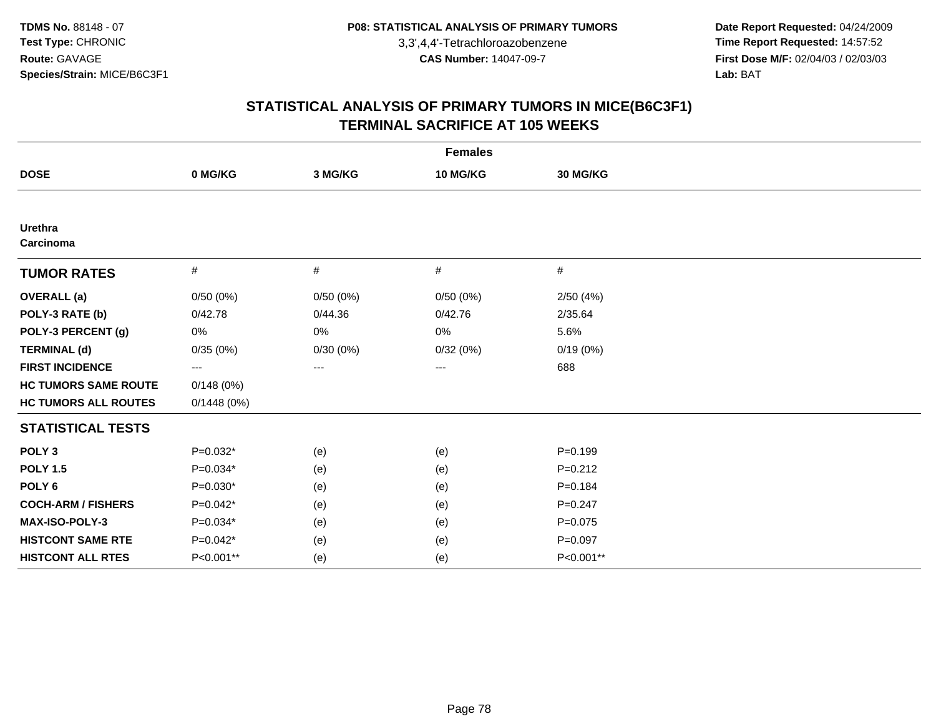**Date Report Requested:** 04/24/2009 **Time Report Requested:** 14:57:52 **First Dose M/F:** 02/04/03 / 02/03/03<br>Lab: BAT **Lab:** BAT

|                             |            |          | <b>Females</b>  |             |  |
|-----------------------------|------------|----------|-----------------|-------------|--|
| <b>DOSE</b>                 | 0 MG/KG    | 3 MG/KG  | <b>10 MG/KG</b> | 30 MG/KG    |  |
|                             |            |          |                 |             |  |
| <b>Urethra</b><br>Carcinoma |            |          |                 |             |  |
| <b>TUMOR RATES</b>          | $\#$       | #        | #               | #           |  |
| <b>OVERALL</b> (a)          | 0/50(0%)   | 0/50(0%) | 0/50(0%)        | 2/50(4%)    |  |
| POLY-3 RATE (b)             | 0/42.78    | 0/44.36  | 0/42.76         | 2/35.64     |  |
| POLY-3 PERCENT (g)          | 0%         | 0%       | 0%              | 5.6%        |  |
| <b>TERMINAL (d)</b>         | 0/35(0%)   | 0/30(0%) | 0/32(0%)        | 0/19(0%)    |  |
| <b>FIRST INCIDENCE</b>      | ---        | ---      | ---             | 688         |  |
| <b>HC TUMORS SAME ROUTE</b> | 0/148(0%)  |          |                 |             |  |
| <b>HC TUMORS ALL ROUTES</b> | 0/1448(0%) |          |                 |             |  |
| <b>STATISTICAL TESTS</b>    |            |          |                 |             |  |
| POLY <sub>3</sub>           | $P=0.032*$ | (e)      | (e)             | $P=0.199$   |  |
| <b>POLY 1.5</b>             | $P=0.034*$ | (e)      | (e)             | $P = 0.212$ |  |
| POLY <sub>6</sub>           | $P=0.030*$ | (e)      | (e)             | $P = 0.184$ |  |
| <b>COCH-ARM / FISHERS</b>   | $P=0.042*$ | (e)      | (e)             | $P = 0.247$ |  |
| <b>MAX-ISO-POLY-3</b>       | $P=0.034*$ | (e)      | (e)             | $P=0.075$   |  |
| <b>HISTCONT SAME RTE</b>    | $P=0.042*$ | (e)      | (e)             | $P = 0.097$ |  |
| <b>HISTCONT ALL RTES</b>    | P<0.001**  | (e)      | (e)             | P<0.001**   |  |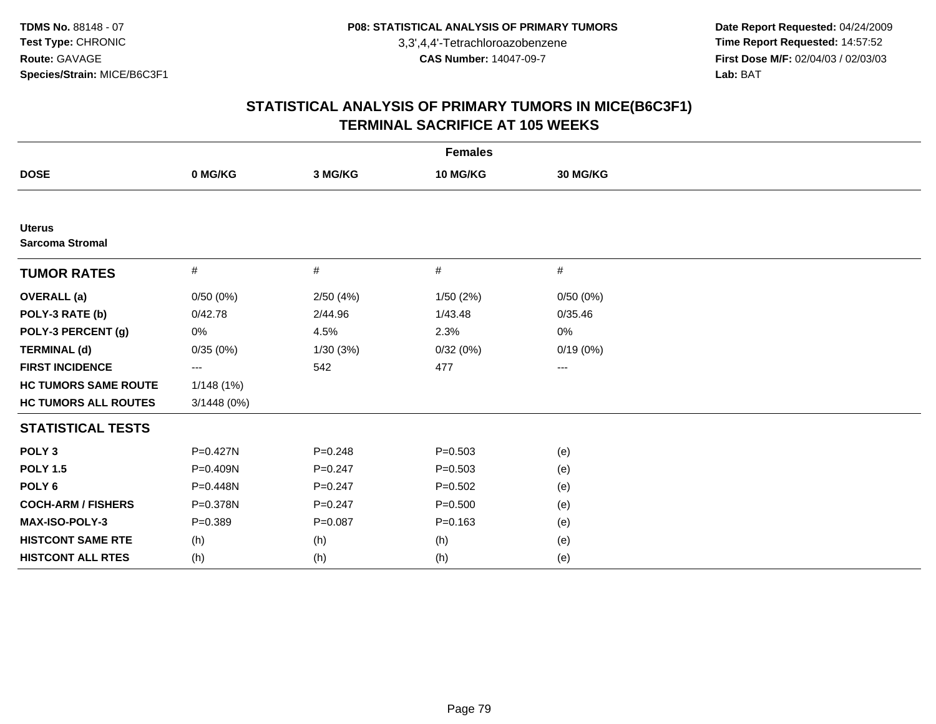**Date Report Requested:** 04/24/2009 **Time Report Requested:** 14:57:52 **First Dose M/F:** 02/04/03 / 02/03/03<br>Lab: BAT **Lab:** BAT

| <b>Females</b>                          |              |             |             |          |  |  |
|-----------------------------------------|--------------|-------------|-------------|----------|--|--|
| <b>DOSE</b>                             | 0 MG/KG      | 3 MG/KG     | 10 MG/KG    | 30 MG/KG |  |  |
|                                         |              |             |             |          |  |  |
| <b>Uterus</b><br><b>Sarcoma Stromal</b> |              |             |             |          |  |  |
| <b>TUMOR RATES</b>                      | #            | #           | #           | $\#$     |  |  |
| <b>OVERALL (a)</b>                      | 0/50(0%)     | 2/50(4%)    | 1/50(2%)    | 0/50(0%) |  |  |
| POLY-3 RATE (b)                         | 0/42.78      | 2/44.96     | 1/43.48     | 0/35.46  |  |  |
| POLY-3 PERCENT (g)                      | 0%           | 4.5%        | 2.3%        | 0%       |  |  |
| <b>TERMINAL (d)</b>                     | 0/35(0%)     | 1/30(3%)    | 0/32(0%)    | 0/19(0%) |  |  |
| <b>FIRST INCIDENCE</b>                  | ---          | 542         | 477         | $--$     |  |  |
| <b>HC TUMORS SAME ROUTE</b>             | 1/148(1%)    |             |             |          |  |  |
| <b>HC TUMORS ALL ROUTES</b>             | 3/1448(0%)   |             |             |          |  |  |
| <b>STATISTICAL TESTS</b>                |              |             |             |          |  |  |
| POLY <sub>3</sub>                       | $P = 0.427N$ | $P = 0.248$ | $P = 0.503$ | (e)      |  |  |
| <b>POLY 1.5</b>                         | P=0.409N     | $P = 0.247$ | $P = 0.503$ | (e)      |  |  |
| POLY <sub>6</sub>                       | P=0.448N     | $P = 0.247$ | $P = 0.502$ | (e)      |  |  |
| <b>COCH-ARM / FISHERS</b>               | P=0.378N     | $P=0.247$   | $P = 0.500$ | (e)      |  |  |
| MAX-ISO-POLY-3                          | $P = 0.389$  | $P = 0.087$ | $P = 0.163$ | (e)      |  |  |
| <b>HISTCONT SAME RTE</b>                | (h)          | (h)         | (h)         | (e)      |  |  |
| <b>HISTCONT ALL RTES</b>                | (h)          | (h)         | (h)         | (e)      |  |  |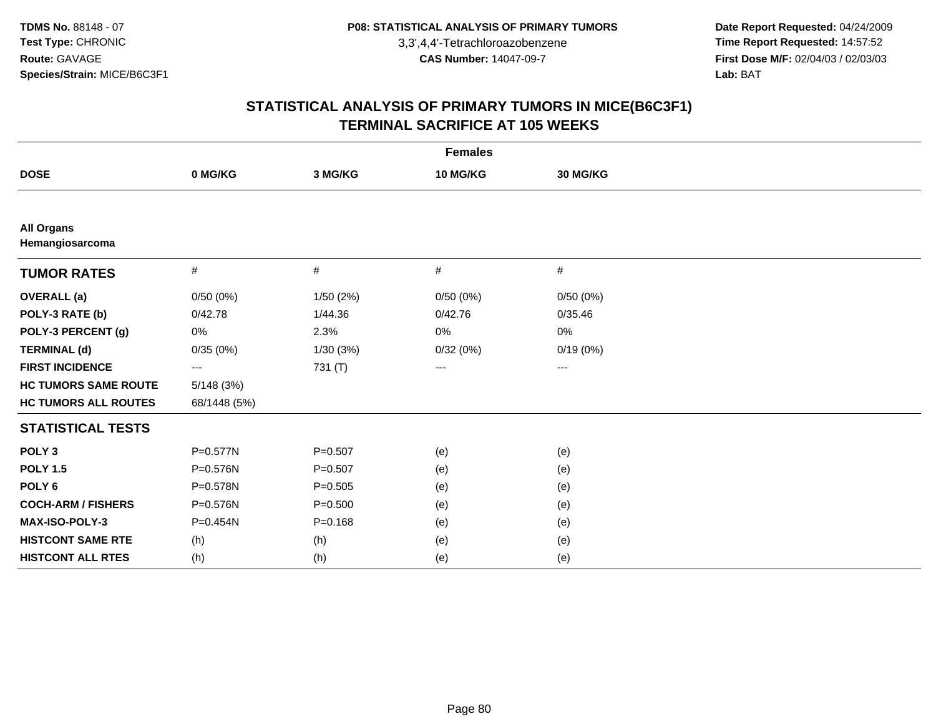**Date Report Requested:** 04/24/2009 **Time Report Requested:** 14:57:52 **First Dose M/F:** 02/04/03 / 02/03/03<br>Lab: BAT **Lab:** BAT

| <b>Females</b>                       |              |             |                 |          |  |  |
|--------------------------------------|--------------|-------------|-----------------|----------|--|--|
| <b>DOSE</b>                          | 0 MG/KG      | 3 MG/KG     | <b>10 MG/KG</b> | 30 MG/KG |  |  |
|                                      |              |             |                 |          |  |  |
| <b>All Organs</b><br>Hemangiosarcoma |              |             |                 |          |  |  |
| <b>TUMOR RATES</b>                   | $\#$         | $\#$        | #               | #        |  |  |
| <b>OVERALL (a)</b>                   | 0/50(0%)     | 1/50(2%)    | 0/50(0%)        | 0/50(0%) |  |  |
| POLY-3 RATE (b)                      | 0/42.78      | 1/44.36     | 0/42.76         | 0/35.46  |  |  |
| POLY-3 PERCENT (g)                   | 0%           | 2.3%        | 0%              | 0%       |  |  |
| <b>TERMINAL (d)</b>                  | 0/35(0%)     | 1/30(3%)    | 0/32(0%)        | 0/19(0%) |  |  |
| <b>FIRST INCIDENCE</b>               | ---          | 731 (T)     | $--$            | $\cdots$ |  |  |
| <b>HC TUMORS SAME ROUTE</b>          | 5/148(3%)    |             |                 |          |  |  |
| <b>HC TUMORS ALL ROUTES</b>          | 68/1448 (5%) |             |                 |          |  |  |
| <b>STATISTICAL TESTS</b>             |              |             |                 |          |  |  |
| POLY <sub>3</sub>                    | P=0.577N     | $P = 0.507$ | (e)             | (e)      |  |  |
| <b>POLY 1.5</b>                      | P=0.576N     | $P = 0.507$ | (e)             | (e)      |  |  |
| POLY <sub>6</sub>                    | P=0.578N     | $P = 0.505$ | (e)             | (e)      |  |  |
| <b>COCH-ARM / FISHERS</b>            | P=0.576N     | $P = 0.500$ | (e)             | (e)      |  |  |
| MAX-ISO-POLY-3                       | P=0.454N     | $P = 0.168$ | (e)             | (e)      |  |  |
| <b>HISTCONT SAME RTE</b>             | (h)          | (h)         | (e)             | (e)      |  |  |
| <b>HISTCONT ALL RTES</b>             | (h)          | (h)         | (e)             | (e)      |  |  |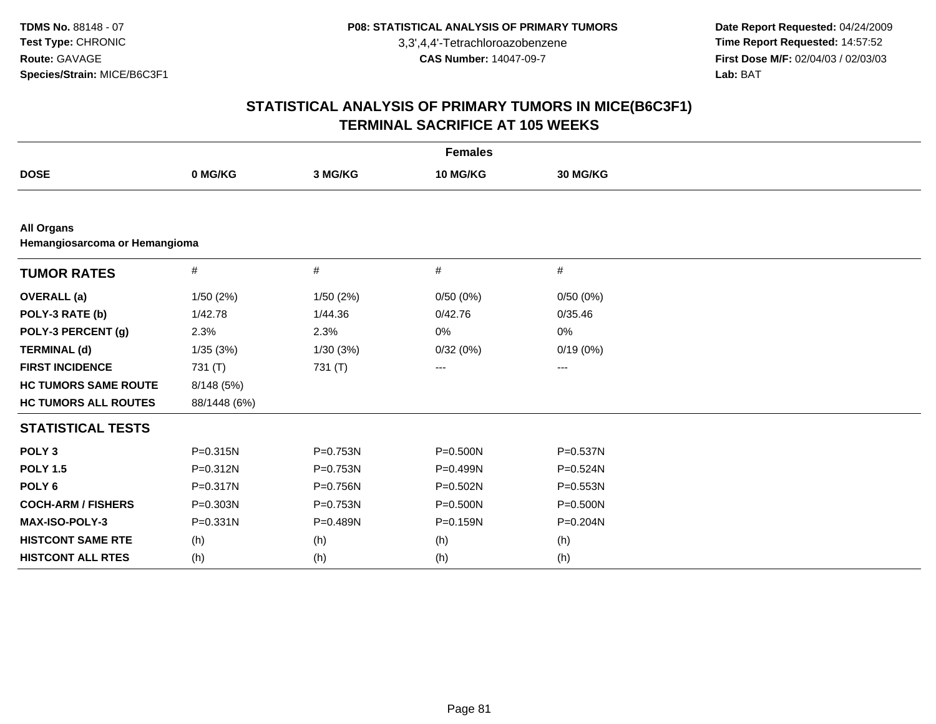**Date Report Requested:** 04/24/2009 **Time Report Requested:** 14:57:52 **First Dose M/F:** 02/04/03 / 02/03/03<br>Lab: BAT **Lab:** BAT

| <b>Females</b>                                     |              |          |              |              |  |  |  |  |  |
|----------------------------------------------------|--------------|----------|--------------|--------------|--|--|--|--|--|
| <b>DOSE</b>                                        | 0 MG/KG      | 3 MG/KG  | 10 MG/KG     | 30 MG/KG     |  |  |  |  |  |
|                                                    |              |          |              |              |  |  |  |  |  |
| <b>All Organs</b><br>Hemangiosarcoma or Hemangioma |              |          |              |              |  |  |  |  |  |
| <b>TUMOR RATES</b>                                 | $\#$         | #        | $\#$         | $\#$         |  |  |  |  |  |
| <b>OVERALL</b> (a)                                 | 1/50(2%)     | 1/50(2%) | 0/50(0%)     | 0/50(0%)     |  |  |  |  |  |
| POLY-3 RATE (b)                                    | 1/42.78      | 1/44.36  | 0/42.76      | 0/35.46      |  |  |  |  |  |
| POLY-3 PERCENT (g)                                 | 2.3%         | 2.3%     | 0%           | 0%           |  |  |  |  |  |
| <b>TERMINAL (d)</b>                                | 1/35(3%)     | 1/30(3%) | 0/32(0%)     | 0/19(0%)     |  |  |  |  |  |
| <b>FIRST INCIDENCE</b>                             | 731 (T)      | 731 (T)  | ---          | ---          |  |  |  |  |  |
| <b>HC TUMORS SAME ROUTE</b>                        | 8/148 (5%)   |          |              |              |  |  |  |  |  |
| <b>HC TUMORS ALL ROUTES</b>                        | 88/1448 (6%) |          |              |              |  |  |  |  |  |
| <b>STATISTICAL TESTS</b>                           |              |          |              |              |  |  |  |  |  |
| POLY <sub>3</sub>                                  | $P = 0.315N$ | P=0.753N | $P = 0.500N$ | P=0.537N     |  |  |  |  |  |
| <b>POLY 1.5</b>                                    | P=0.312N     | P=0.753N | P=0.499N     | P=0.524N     |  |  |  |  |  |
| POLY <sub>6</sub>                                  | $P = 0.317N$ | P=0.756N | $P = 0.502N$ | $P = 0.553N$ |  |  |  |  |  |
| <b>COCH-ARM / FISHERS</b>                          | P=0.303N     | P=0.753N | P=0.500N     | $P = 0.500N$ |  |  |  |  |  |
| MAX-ISO-POLY-3                                     | $P = 0.331N$ | P=0.489N | P=0.159N     | P=0.204N     |  |  |  |  |  |
| <b>HISTCONT SAME RTE</b>                           | (h)          | (h)      | (h)          | (h)          |  |  |  |  |  |
| <b>HISTCONT ALL RTES</b>                           | (h)          | (h)      | (h)          | (h)          |  |  |  |  |  |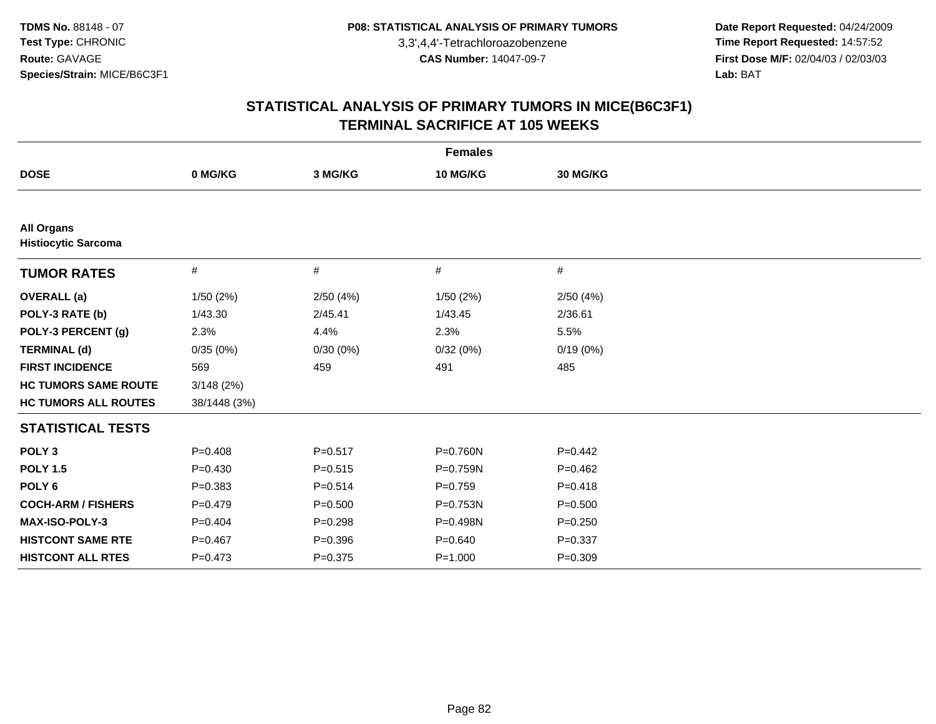**Date Report Requested:** 04/24/2009 **Time Report Requested:** 14:57:52 **First Dose M/F:** 02/04/03 / 02/03/03<br>Lab: BAT **Lab:** BAT

|                                                 |              |             | <b>Females</b> |             |
|-------------------------------------------------|--------------|-------------|----------------|-------------|
| <b>DOSE</b>                                     | 0 MG/KG      | 3 MG/KG     | 10 MG/KG       | 30 MG/KG    |
|                                                 |              |             |                |             |
| <b>All Organs</b><br><b>Histiocytic Sarcoma</b> |              |             |                |             |
| <b>TUMOR RATES</b>                              | #            | #           | #              | #           |
| <b>OVERALL</b> (a)                              | 1/50(2%)     | 2/50(4%)    | 1/50(2%)       | 2/50(4%)    |
| POLY-3 RATE (b)                                 | 1/43.30      | 2/45.41     | 1/43.45        | 2/36.61     |
| POLY-3 PERCENT (g)                              | 2.3%         | 4.4%        | 2.3%           | 5.5%        |
| <b>TERMINAL (d)</b>                             | 0/35(0%)     | 0/30(0%)    | 0/32(0%)       | 0/19(0%)    |
| <b>FIRST INCIDENCE</b>                          | 569          | 459         | 491            | 485         |
| <b>HC TUMORS SAME ROUTE</b>                     | 3/148(2%)    |             |                |             |
| <b>HC TUMORS ALL ROUTES</b>                     | 38/1448 (3%) |             |                |             |
| <b>STATISTICAL TESTS</b>                        |              |             |                |             |
| POLY <sub>3</sub>                               | $P = 0.408$  | $P = 0.517$ | P=0.760N       | $P=0.442$   |
| <b>POLY 1.5</b>                                 | $P=0.430$    | $P = 0.515$ | P=0.759N       | $P=0.462$   |
| POLY <sub>6</sub>                               | $P = 0.383$  | $P = 0.514$ | $P=0.759$      | $P = 0.418$ |
| <b>COCH-ARM / FISHERS</b>                       | $P=0.479$    | $P = 0.500$ | P=0.753N       | $P = 0.500$ |
| MAX-ISO-POLY-3                                  | $P=0.404$    | $P = 0.298$ | P=0.498N       | $P = 0.250$ |
| <b>HISTCONT SAME RTE</b>                        | $P = 0.467$  | $P = 0.396$ | $P = 0.640$    | $P = 0.337$ |
| <b>HISTCONT ALL RTES</b>                        | $P = 0.473$  | $P = 0.375$ | $P = 1.000$    | $P = 0.309$ |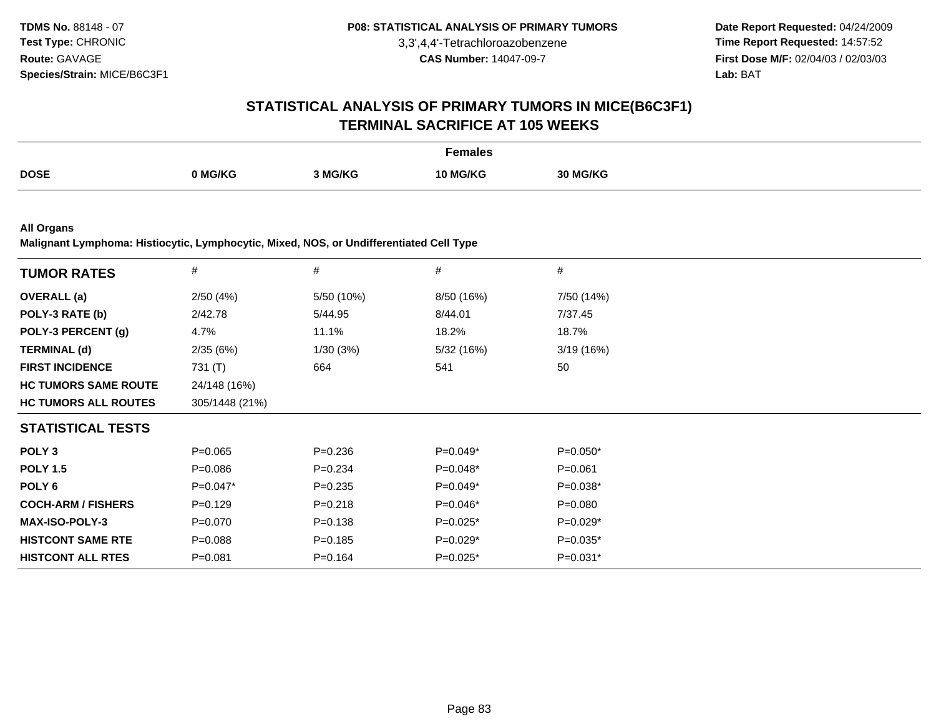**Date Report Requested:** 04/24/2009 **Time Report Requested:** 14:57:52 **First Dose M/F:** 02/04/03 / 02/03/03<br>**Lab:** BAT **Lab:** BAT

# **STATISTICAL ANALYSIS OF PRIMARY TUMORS IN MICE(B6C3F1)TERMINAL SACRIFICE AT 105 WEEKS**

|             |         |         | Females  |                 |
|-------------|---------|---------|----------|-----------------|
| <b>DOSE</b> | 0 MG/KG | 3 MG/KG | 10 MG/KG | <b>30 MG/KG</b> |

**All Organs**

**Malignant Lymphoma: Histiocytic, Lymphocytic, Mixed, NOS, or Undifferentiated Cell Type**

| <b>TUMOR RATES</b>          | $\#$           | $\#$        | #          | $\#$        |
|-----------------------------|----------------|-------------|------------|-------------|
| <b>OVERALL</b> (a)          | 2/50(4%)       | 5/50 (10%)  | 8/50 (16%) | 7/50 (14%)  |
| POLY-3 RATE (b)             | 2/42.78        | 5/44.95     | 8/44.01    | 7/37.45     |
| POLY-3 PERCENT (g)          | 4.7%           | 11.1%       | 18.2%      | 18.7%       |
| <b>TERMINAL (d)</b>         | 2/35(6%)       | 1/30(3%)    | 5/32 (16%) | 3/19(16%)   |
| <b>FIRST INCIDENCE</b>      | 731 (T)        | 664         | 541        | 50          |
| <b>HC TUMORS SAME ROUTE</b> | 24/148 (16%)   |             |            |             |
| <b>HC TUMORS ALL ROUTES</b> | 305/1448 (21%) |             |            |             |
| <b>STATISTICAL TESTS</b>    |                |             |            |             |
| POLY <sub>3</sub>           | $P=0.065$      | $P=0.236$   | $P=0.049*$ | $P=0.050*$  |
| <b>POLY 1.5</b>             | $P = 0.086$    | $P = 0.234$ | $P=0.048*$ | $P = 0.061$ |
| POLY 6                      | $P=0.047*$     | $P = 0.235$ | $P=0.049*$ | $P=0.038*$  |
| <b>COCH-ARM / FISHERS</b>   | $P=0.129$      | $P = 0.218$ | $P=0.046*$ | $P = 0.080$ |
| <b>MAX-ISO-POLY-3</b>       | $P = 0.070$    | $P = 0.138$ | $P=0.025*$ | $P=0.029*$  |
| <b>HISTCONT SAME RTE</b>    | $P = 0.088$    | $P = 0.185$ | $P=0.029*$ | $P=0.035*$  |
| <b>HISTCONT ALL RTES</b>    | $P = 0.081$    | $P = 0.164$ | $P=0.025*$ | $P=0.031*$  |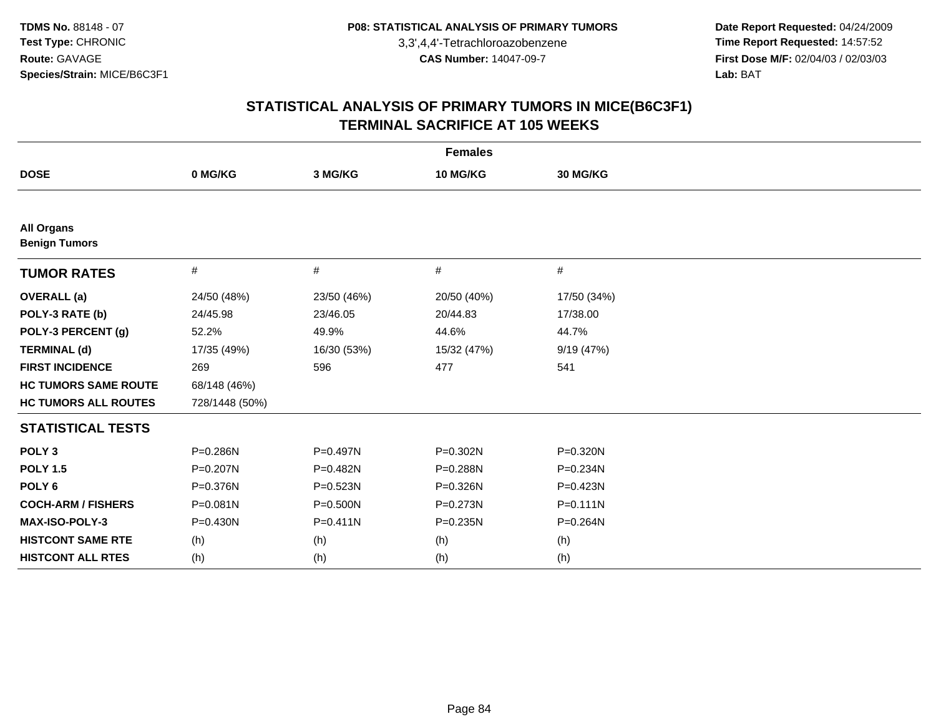**Date Report Requested:** 04/24/2009 **Time Report Requested:** 14:57:52 **First Dose M/F:** 02/04/03 / 02/03/03<br>Lab: BAT **Lab:** BAT

| <b>Females</b>                            |                |              |              |              |  |
|-------------------------------------------|----------------|--------------|--------------|--------------|--|
| <b>DOSE</b>                               | 0 MG/KG        | 3 MG/KG      | 10 MG/KG     | 30 MG/KG     |  |
|                                           |                |              |              |              |  |
| <b>All Organs</b><br><b>Benign Tumors</b> |                |              |              |              |  |
| <b>TUMOR RATES</b>                        | #              | #            | #            | #            |  |
| <b>OVERALL</b> (a)                        | 24/50 (48%)    | 23/50 (46%)  | 20/50 (40%)  | 17/50 (34%)  |  |
| POLY-3 RATE (b)                           | 24/45.98       | 23/46.05     | 20/44.83     | 17/38.00     |  |
| POLY-3 PERCENT (g)                        | 52.2%          | 49.9%        | 44.6%        | 44.7%        |  |
| <b>TERMINAL (d)</b>                       | 17/35 (49%)    | 16/30 (53%)  | 15/32 (47%)  | 9/19 (47%)   |  |
| <b>FIRST INCIDENCE</b>                    | 269            | 596          | 477          | 541          |  |
| <b>HC TUMORS SAME ROUTE</b>               | 68/148 (46%)   |              |              |              |  |
| <b>HC TUMORS ALL ROUTES</b>               | 728/1448 (50%) |              |              |              |  |
| <b>STATISTICAL TESTS</b>                  |                |              |              |              |  |
| POLY <sub>3</sub>                         | P=0.286N       | P=0.497N     | P=0.302N     | P=0.320N     |  |
| <b>POLY 1.5</b>                           | P=0.207N       | P=0.482N     | P=0.288N     | P=0.234N     |  |
| POLY <sub>6</sub>                         | P=0.376N       | P=0.523N     | P=0.326N     | P=0.423N     |  |
| <b>COCH-ARM / FISHERS</b>                 | $P = 0.081N$   | P=0.500N     | $P = 0.273N$ | $P = 0.111N$ |  |
| MAX-ISO-POLY-3                            | $P = 0.430N$   | $P = 0.411N$ | $P = 0.235N$ | P=0.264N     |  |
| <b>HISTCONT SAME RTE</b>                  | (h)            | (h)          | (h)          | (h)          |  |
| <b>HISTCONT ALL RTES</b>                  | (h)            | (h)          | (h)          | (h)          |  |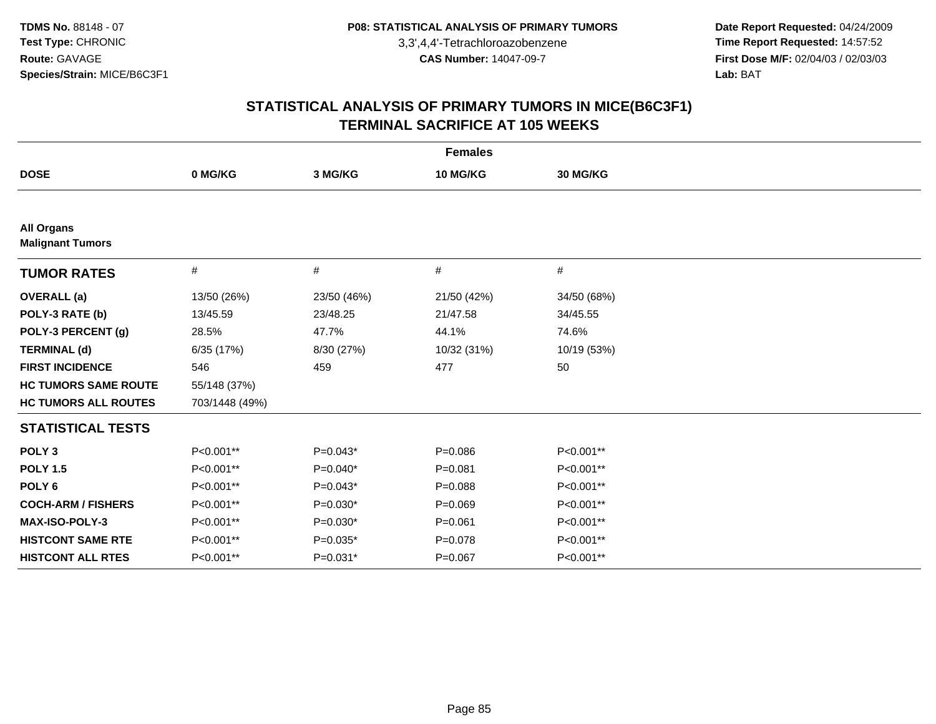**Date Report Requested:** 04/24/2009 **Time Report Requested:** 14:57:52 **First Dose M/F:** 02/04/03 / 02/03/03<br>Lab: BAT **Lab:** BAT

| <b>Females</b>                               |                |             |             |             |  |
|----------------------------------------------|----------------|-------------|-------------|-------------|--|
| <b>DOSE</b>                                  | 0 MG/KG        | 3 MG/KG     | 10 MG/KG    | 30 MG/KG    |  |
|                                              |                |             |             |             |  |
| <b>All Organs</b><br><b>Malignant Tumors</b> |                |             |             |             |  |
| <b>TUMOR RATES</b>                           | #              | #           | #           | $\#$        |  |
| <b>OVERALL</b> (a)                           | 13/50 (26%)    | 23/50 (46%) | 21/50 (42%) | 34/50 (68%) |  |
| POLY-3 RATE (b)                              | 13/45.59       | 23/48.25    | 21/47.58    | 34/45.55    |  |
| POLY-3 PERCENT (g)                           | 28.5%          | 47.7%       | 44.1%       | 74.6%       |  |
| <b>TERMINAL (d)</b>                          | 6/35 (17%)     | 8/30 (27%)  | 10/32 (31%) | 10/19 (53%) |  |
| <b>FIRST INCIDENCE</b>                       | 546            | 459         | 477         | 50          |  |
| <b>HC TUMORS SAME ROUTE</b>                  | 55/148 (37%)   |             |             |             |  |
| <b>HC TUMORS ALL ROUTES</b>                  | 703/1448 (49%) |             |             |             |  |
| <b>STATISTICAL TESTS</b>                     |                |             |             |             |  |
| POLY <sub>3</sub>                            | P<0.001**      | $P=0.043*$  | $P = 0.086$ | P<0.001**   |  |
| <b>POLY 1.5</b>                              | P<0.001**      | $P=0.040*$  | $P = 0.081$ | P<0.001**   |  |
| POLY <sub>6</sub>                            | P<0.001**      | $P=0.043*$  | $P = 0.088$ | P<0.001**   |  |
| <b>COCH-ARM / FISHERS</b>                    | P<0.001**      | $P=0.030*$  | $P = 0.069$ | P<0.001**   |  |
| <b>MAX-ISO-POLY-3</b>                        | P<0.001**      | $P=0.030*$  | $P = 0.061$ | P<0.001**   |  |
| <b>HISTCONT SAME RTE</b>                     | P<0.001**      | $P=0.035*$  | $P = 0.078$ | P<0.001**   |  |
| <b>HISTCONT ALL RTES</b>                     | P<0.001**      | $P=0.031*$  | $P = 0.067$ | P<0.001**   |  |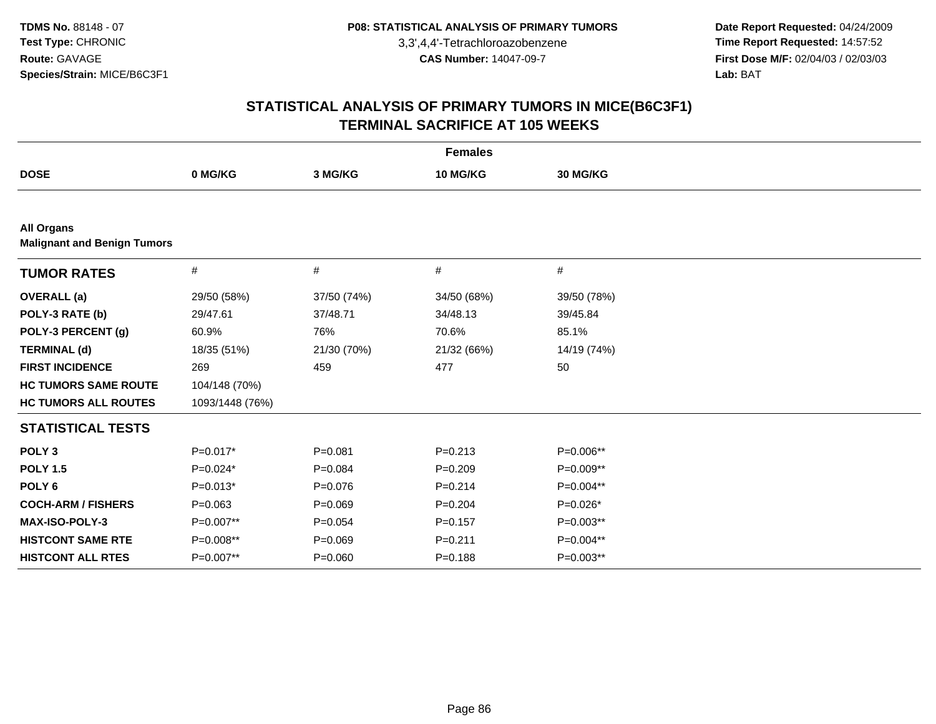**Date Report Requested:** 04/24/2009 **Time Report Requested:** 14:57:52 **First Dose M/F:** 02/04/03 / 02/03/03<br>Lab: BAT **Lab:** BAT

| <b>Females</b>                                          |                 |             |             |             |  |
|---------------------------------------------------------|-----------------|-------------|-------------|-------------|--|
| <b>DOSE</b>                                             | 0 MG/KG         | 3 MG/KG     | 10 MG/KG    | 30 MG/KG    |  |
|                                                         |                 |             |             |             |  |
| <b>All Organs</b><br><b>Malignant and Benign Tumors</b> |                 |             |             |             |  |
| <b>TUMOR RATES</b>                                      | $\#$            | #           | #           | #           |  |
| <b>OVERALL</b> (a)                                      | 29/50 (58%)     | 37/50 (74%) | 34/50 (68%) | 39/50 (78%) |  |
| POLY-3 RATE (b)                                         | 29/47.61        | 37/48.71    | 34/48.13    | 39/45.84    |  |
| POLY-3 PERCENT (g)                                      | 60.9%           | 76%         | 70.6%       | 85.1%       |  |
| <b>TERMINAL (d)</b>                                     | 18/35 (51%)     | 21/30 (70%) | 21/32 (66%) | 14/19 (74%) |  |
| <b>FIRST INCIDENCE</b>                                  | 269             | 459         | 477         | 50          |  |
| <b>HC TUMORS SAME ROUTE</b>                             | 104/148 (70%)   |             |             |             |  |
| <b>HC TUMORS ALL ROUTES</b>                             | 1093/1448 (76%) |             |             |             |  |
| <b>STATISTICAL TESTS</b>                                |                 |             |             |             |  |
| POLY <sub>3</sub>                                       | $P=0.017*$      | $P = 0.081$ | $P = 0.213$ | P=0.006**   |  |
| <b>POLY 1.5</b>                                         | $P=0.024*$      | $P = 0.084$ | $P=0.209$   | P=0.009**   |  |
| POLY <sub>6</sub>                                       | $P=0.013*$      | $P=0.076$   | $P = 0.214$ | P=0.004**   |  |
| <b>COCH-ARM / FISHERS</b>                               | $P=0.063$       | $P = 0.069$ | $P = 0.204$ | $P=0.026*$  |  |
| MAX-ISO-POLY-3                                          | P=0.007**       | $P = 0.054$ | $P = 0.157$ | $P=0.003**$ |  |
| <b>HISTCONT SAME RTE</b>                                | P=0.008**       | $P = 0.069$ | $P = 0.211$ | P=0.004**   |  |
| <b>HISTCONT ALL RTES</b>                                | P=0.007**       | $P = 0.060$ | $P = 0.188$ | P=0.003**   |  |